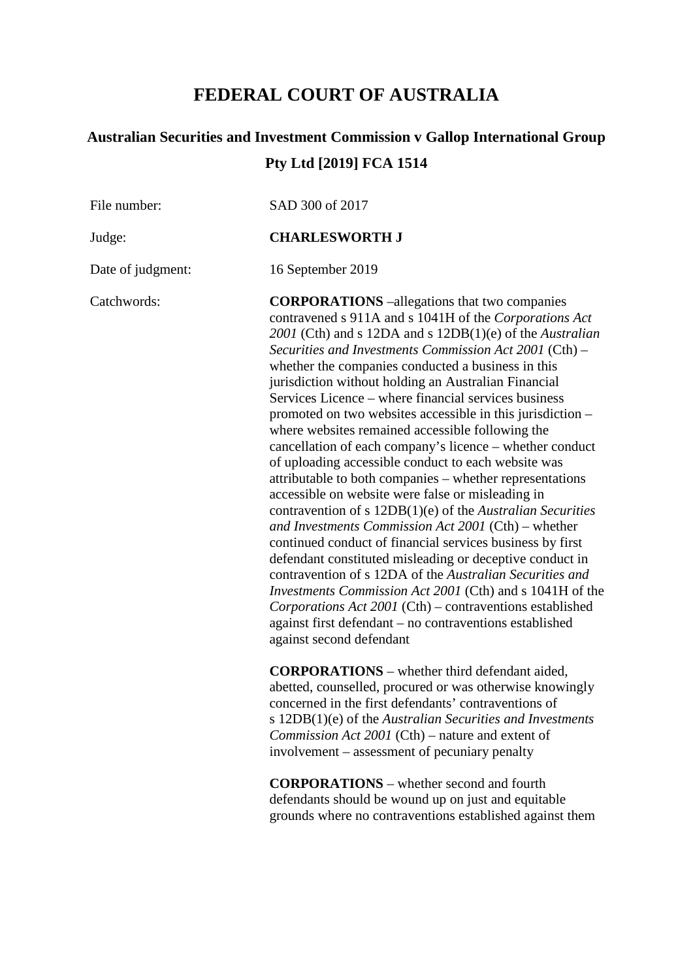# **FEDERAL COURT OF AUSTRALIA**

# **Australian Securities and Investment Commission v Gallop International Group Pty Ltd [2019] FCA 1514**

File number: SAD 300 of 2017

Judge: **CHARLESWORTH J**

Date of judgment: 16 September 2019

Catchwords: **CORPORATIONS** –allegations that two companies contravened s 911A and s 1041H of the *Corporations Act 2001* (Cth) and s 12DA and s 12DB(1)(e) of the *Australian Securities and Investments Commission Act 2001* (Cth) – whether the companies conducted a business in this jurisdiction without holding an Australian Financial Services Licence – where financial services business promoted on two websites accessible in this jurisdiction – where websites remained accessible following the cancellation of each company's licence – whether conduct of uploading accessible conduct to each website was attributable to both companies – whether representations accessible on website were false or misleading in contravention of s 12DB(1)(e) of the *Australian Securities and Investments Commission Act 2001* (Cth) – whether continued conduct of financial services business by first defendant constituted misleading or deceptive conduct in contravention of s 12DA of the *Australian Securities and Investments Commission Act 2001* (Cth) and s 1041H of the *Corporations Act 2001* (Cth) – contraventions established against first defendant – no contraventions established against second defendant

> **CORPORATIONS** – whether third defendant aided, abetted, counselled, procured or was otherwise knowingly concerned in the first defendants' contraventions of s 12DB(1)(e) of the *Australian Securities and Investments Commission Act 2001* (Cth) – nature and extent of involvement – assessment of pecuniary penalty

> **CORPORATIONS** – whether second and fourth defendants should be wound up on just and equitable grounds where no contraventions established against them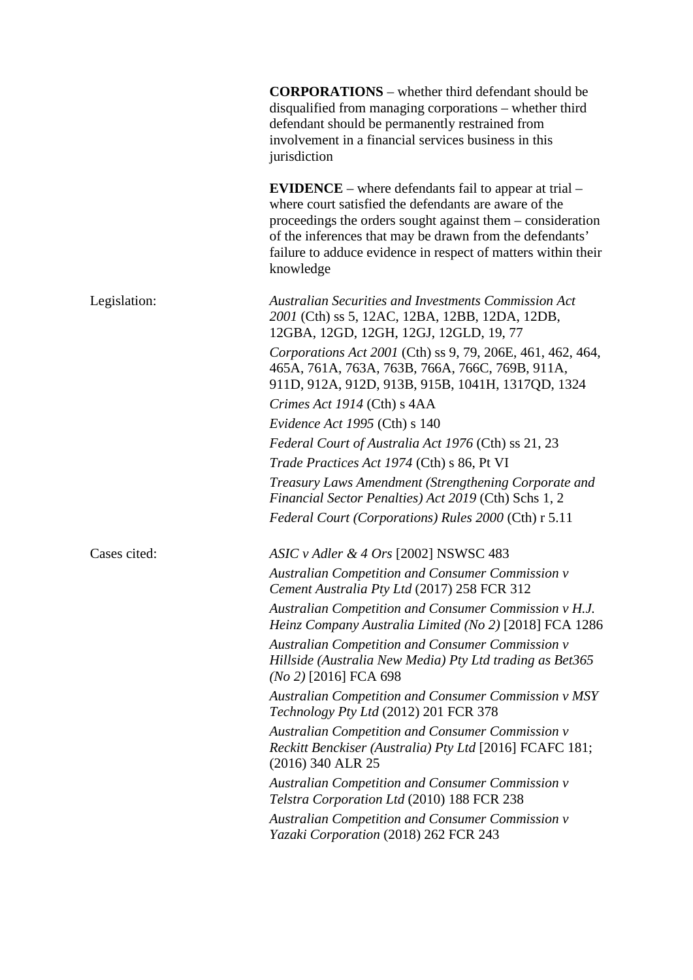|              | <b>CORPORATIONS</b> – whether third defendant should be<br>disqualified from managing corporations – whether third<br>defendant should be permanently restrained from<br>involvement in a financial services business in this<br>jurisdiction                                                                                 |
|--------------|-------------------------------------------------------------------------------------------------------------------------------------------------------------------------------------------------------------------------------------------------------------------------------------------------------------------------------|
|              | <b>EVIDENCE</b> – where defendants fail to appear at trial –<br>where court satisfied the defendants are aware of the<br>proceedings the orders sought against them – consideration<br>of the inferences that may be drawn from the defendants'<br>failure to adduce evidence in respect of matters within their<br>knowledge |
| Legislation: | <b>Australian Securities and Investments Commission Act</b><br>2001 (Cth) ss 5, 12AC, 12BA, 12BB, 12DA, 12DB,<br>12GBA, 12GD, 12GH, 12GJ, 12GLD, 19, 77                                                                                                                                                                       |
|              | Corporations Act 2001 (Cth) ss 9, 79, 206E, 461, 462, 464,<br>465A, 761A, 763A, 763B, 766A, 766C, 769B, 911A,<br>911D, 912A, 912D, 913B, 915B, 1041H, 1317QD, 1324                                                                                                                                                            |
|              | Crimes Act 1914 (Cth) s 4AA                                                                                                                                                                                                                                                                                                   |
|              | Evidence Act 1995 (Cth) s 140                                                                                                                                                                                                                                                                                                 |
|              | Federal Court of Australia Act 1976 (Cth) ss 21, 23                                                                                                                                                                                                                                                                           |
|              | Trade Practices Act 1974 (Cth) s 86, Pt VI                                                                                                                                                                                                                                                                                    |
|              | Treasury Laws Amendment (Strengthening Corporate and<br>Financial Sector Penalties) Act 2019 (Cth) Schs 1, 2                                                                                                                                                                                                                  |
|              | Federal Court (Corporations) Rules 2000 (Cth) r 5.11                                                                                                                                                                                                                                                                          |
| Cases cited: | ASIC v Adler & 4 Ors [2002] NSWSC 483                                                                                                                                                                                                                                                                                         |
|              | Australian Competition and Consumer Commission v<br>Cement Australia Pty Ltd (2017) 258 FCR 312                                                                                                                                                                                                                               |
|              | Australian Competition and Consumer Commission v H.J.<br>Heinz Company Australia Limited (No 2) [2018] FCA 1286                                                                                                                                                                                                               |
|              | Australian Competition and Consumer Commission v<br>Hillside (Australia New Media) Pty Ltd trading as Bet365<br>$(No 2)$ [2016] FCA 698                                                                                                                                                                                       |
|              | <b>Australian Competition and Consumer Commission v MSY</b><br>Technology Pty Ltd (2012) 201 FCR 378                                                                                                                                                                                                                          |
|              | Australian Competition and Consumer Commission v<br>Reckitt Benckiser (Australia) Pty Ltd [2016] FCAFC 181;<br>(2016) 340 ALR 25                                                                                                                                                                                              |
|              | Australian Competition and Consumer Commission v<br>Telstra Corporation Ltd (2010) 188 FCR 238                                                                                                                                                                                                                                |
|              | <b>Australian Competition and Consumer Commission v</b><br>Yazaki Corporation (2018) 262 FCR 243                                                                                                                                                                                                                              |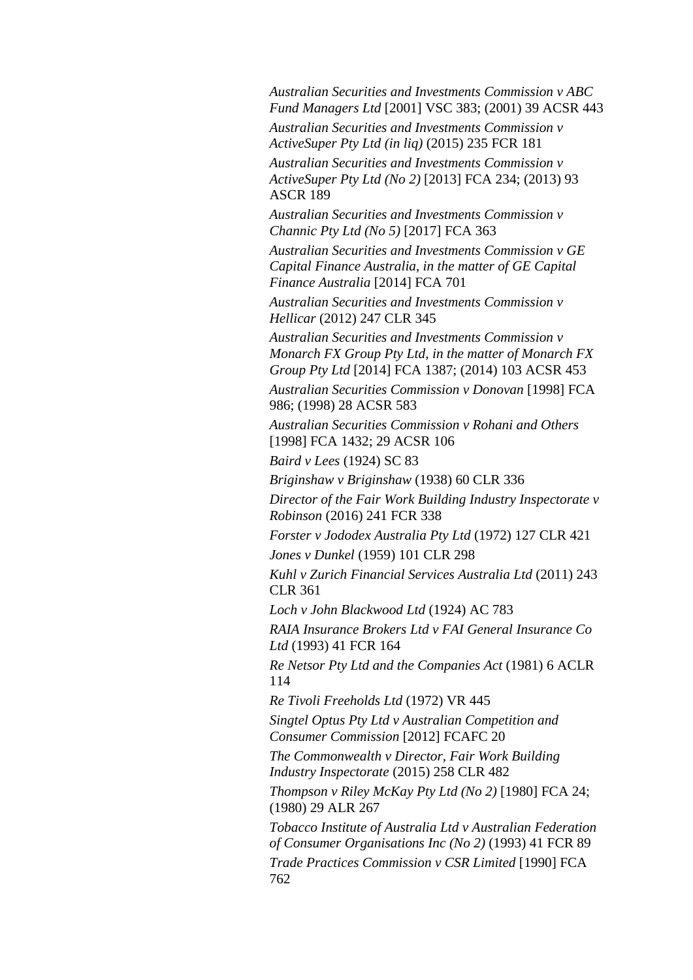*Australian Securities and Investments Commission v ABC Fund Managers Ltd* [2001] VSC 383; (2001) 39 ACSR 443 *Australian Securities and Investments Commission v ActiveSuper Pty Ltd (in liq)* (2015) 235 FCR 181 *Australian Securities and Investments Commission v* 

*ActiveSuper Pty Ltd (No 2)* [2013] FCA 234; (2013) 93 ASCR 189

*Australian Securities and Investments Commission v Channic Pty Ltd (No 5)* [2017] FCA 363

*Australian Securities and Investments Commission v GE Capital Finance Australia, in the matter of GE Capital Finance Australia* [2014] FCA 701

*Australian Securities and Investments Commission v Hellicar* (2012) 247 CLR 345

*Australian Securities and Investments Commission v Monarch FX Group Pty Ltd, in the matter of Monarch FX Group Pty Ltd* [2014] FCA 1387; (2014) 103 ACSR 453

*Australian Securities Commission v Donovan* [1998] FCA 986; (1998) 28 ACSR 583

*Australian Securities Commission v Rohani and Others* [1998] FCA 1432; 29 ACSR 106

*Baird v Lees* (1924) SC 83

*Briginshaw v Briginshaw* (1938) 60 CLR 336

*Director of the Fair Work Building Industry Inspectorate v Robinson* (2016) 241 FCR 338

*Forster v Jododex Australia Pty Ltd* (1972) 127 CLR 421

*Jones v Dunkel* (1959) 101 CLR 298

*Kuhl v Zurich Financial Services Australia Ltd* (2011) 243 CLR 361

*Loch v John Blackwood Ltd* (1924) AC 783

*RAIA Insurance Brokers Ltd v FAI General Insurance Co Ltd* (1993) 41 FCR 164

*Re Netsor Pty Ltd and the Companies Act* (1981) 6 ACLR 114

*Re Tivoli Freeholds Ltd* (1972) VR 445

*Singtel Optus Pty Ltd v Australian Competition and Consumer Commission* [2012] FCAFC 20

*The Commonwealth v Director, Fair Work Building Industry Inspectorate* (2015) 258 CLR 482

*Thompson v Riley McKay Pty Ltd (No 2)* [1980] FCA 24; (1980) 29 ALR 267

*Tobacco Institute of Australia Ltd v Australian Federation of Consumer Organisations Inc (No 2)* (1993) 41 FCR 89 *Trade Practices Commission v CSR Limited* [1990] FCA 762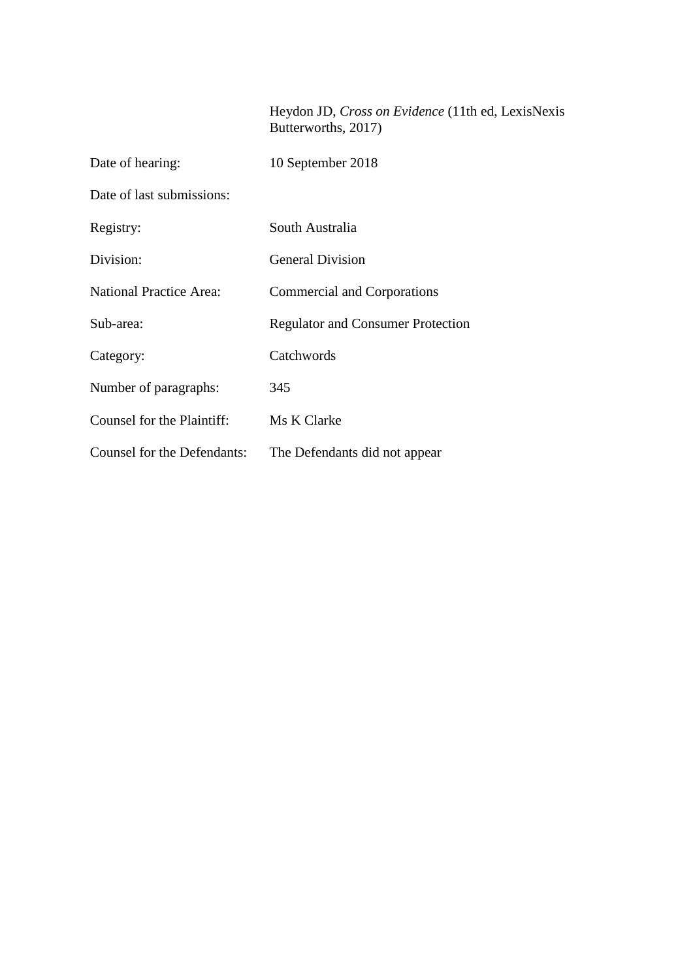# Heydon JD, *Cross on Evidence* (11th ed, LexisNexis Butterworths, 2017)

| Date of hearing:                   | 10 September 2018                        |
|------------------------------------|------------------------------------------|
| Date of last submissions:          |                                          |
| Registry:                          | South Australia                          |
| Division:                          | <b>General Division</b>                  |
| <b>National Practice Area:</b>     | <b>Commercial and Corporations</b>       |
| Sub-area:                          | <b>Regulator and Consumer Protection</b> |
| Category:                          | Catchwords                               |
| Number of paragraphs:              | 345                                      |
| Counsel for the Plaintiff:         | Ms K Clarke                              |
| <b>Counsel for the Defendants:</b> | The Defendants did not appear            |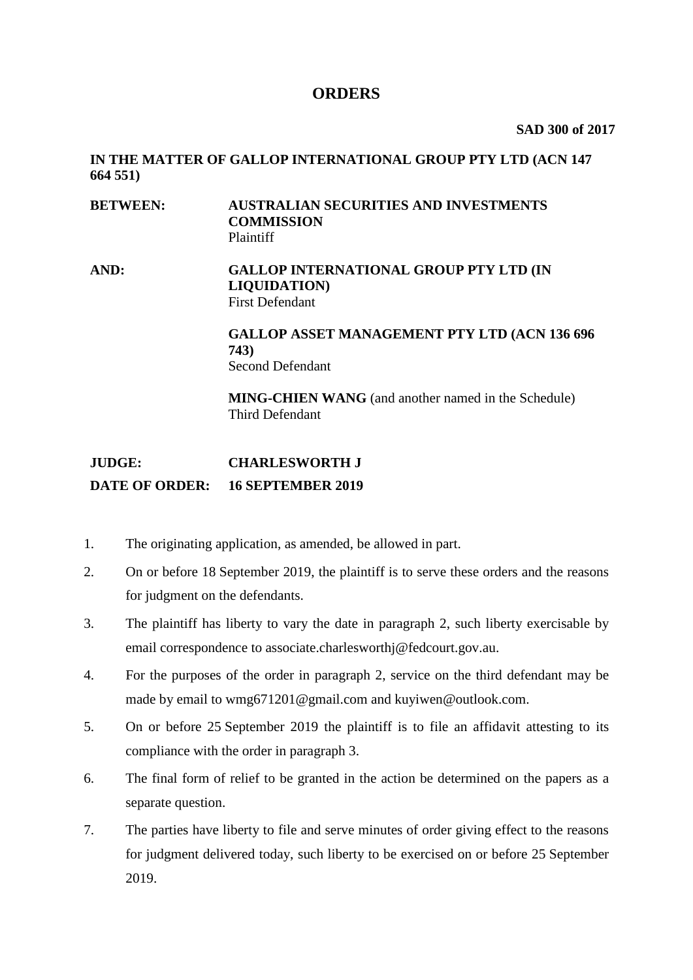# **ORDERS**

**SAD 300 of 2017**

# **IN THE MATTER OF GALLOP INTERNATIONAL GROUP PTY LTD (ACN 147 664 551)**

# **BETWEEN: AUSTRALIAN SECURITIES AND INVESTMENTS COMMISSION** Plaintiff

## **AND: GALLOP INTERNATIONAL GROUP PTY LTD (IN LIQUIDATION)** First Defendant

# **GALLOP ASSET MANAGEMENT PTY LTD (ACN 136 696 743)** Second Defendant

**MING-CHIEN WANG** (and another named in the Schedule) Third Defendant

# **JUDGE: CHARLESWORTH J DATE OF ORDER: 16 SEPTEMBER 2019**

- 1. The originating application, as amended, be allowed in part.
- 2. On or before 18 September 2019, the plaintiff is to serve these orders and the reasons for judgment on the defendants.
- 3. The plaintiff has liberty to vary the date in paragraph 2, such liberty exercisable by email correspondence to associate.charlesworthj@fedcourt.gov.au.
- 4. For the purposes of the order in paragraph 2, service on the third defendant may be made by email to wmg671201@gmail.com and kuyiwen@outlook.com.
- 5. On or before 25 September 2019 the plaintiff is to file an affidavit attesting to its compliance with the order in paragraph 3.
- 6. The final form of relief to be granted in the action be determined on the papers as a separate question.
- 7. The parties have liberty to file and serve minutes of order giving effect to the reasons for judgment delivered today, such liberty to be exercised on or before 25 September 2019.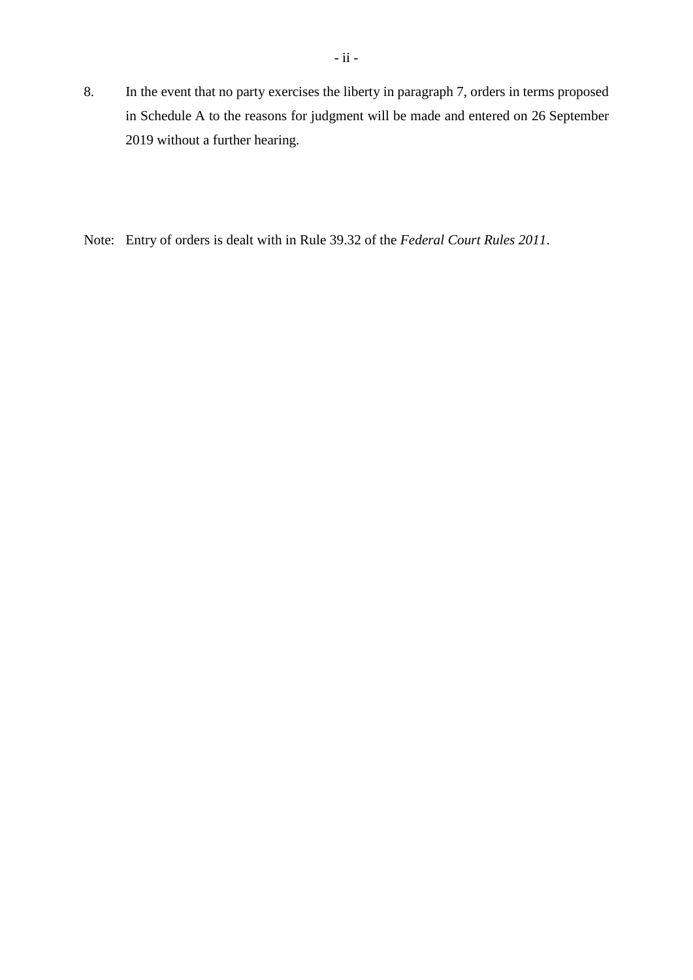8. In the event that no party exercises the liberty in paragraph 7, orders in terms proposed in Schedule A to the reasons for judgment will be made and entered on 26 September 2019 without a further hearing.

Note: Entry of orders is dealt with in Rule 39.32 of the *Federal Court Rules 2011*.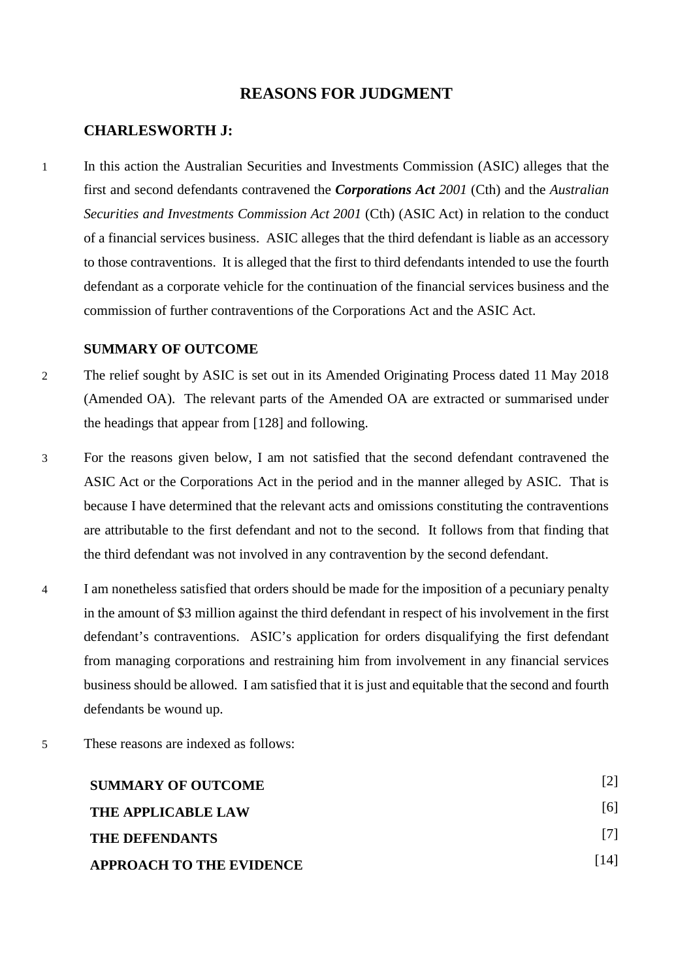# **REASONS FOR JUDGMENT**

## **CHARLESWORTH J:**

1 In this action the Australian Securities and Investments Commission (ASIC) alleges that the first and second defendants contravened the *Corporations Act 2001* (Cth) and the *Australian Securities and Investments Commission Act 2001* (Cth) (ASIC Act) in relation to the conduct of a financial services business. ASIC alleges that the third defendant is liable as an accessory to those contraventions. It is alleged that the first to third defendants intended to use the fourth defendant as a corporate vehicle for the continuation of the financial services business and the commission of further contraventions of the Corporations Act and the ASIC Act.

#### <span id="page-6-0"></span>**SUMMARY OF OUTCOME**

- 2 The relief sought by ASIC is set out in its Amended Originating Process dated 11 May 2018 (Amended OA). The relevant parts of the Amended OA are extracted or summarised under the headings that appear from [128] and following.
- 3 For the reasons given below, I am not satisfied that the second defendant contravened the ASIC Act or the Corporations Act in the period and in the manner alleged by ASIC. That is because I have determined that the relevant acts and omissions constituting the contraventions are attributable to the first defendant and not to the second. It follows from that finding that the third defendant was not involved in any contravention by the second defendant.
- 4 I am nonetheless satisfied that orders should be made for the imposition of a pecuniary penalty in the amount of \$3 million against the third defendant in respect of his involvement in the first defendant's contraventions. ASIC's application for orders disqualifying the first defendant from managing corporations and restraining him from involvement in any financial services business should be allowed. I am satisfied that it is just and equitable that the second and fourth defendants be wound up.
- 5 These reasons are indexed as follows:

| <b>SUMMARY OF OUTCOME</b>       |      |
|---------------------------------|------|
| THE APPLICABLE LAW              | [6]  |
| <b>THE DEFENDANTS</b>           | 17 L |
| <b>APPROACH TO THE EVIDENCE</b> | [14] |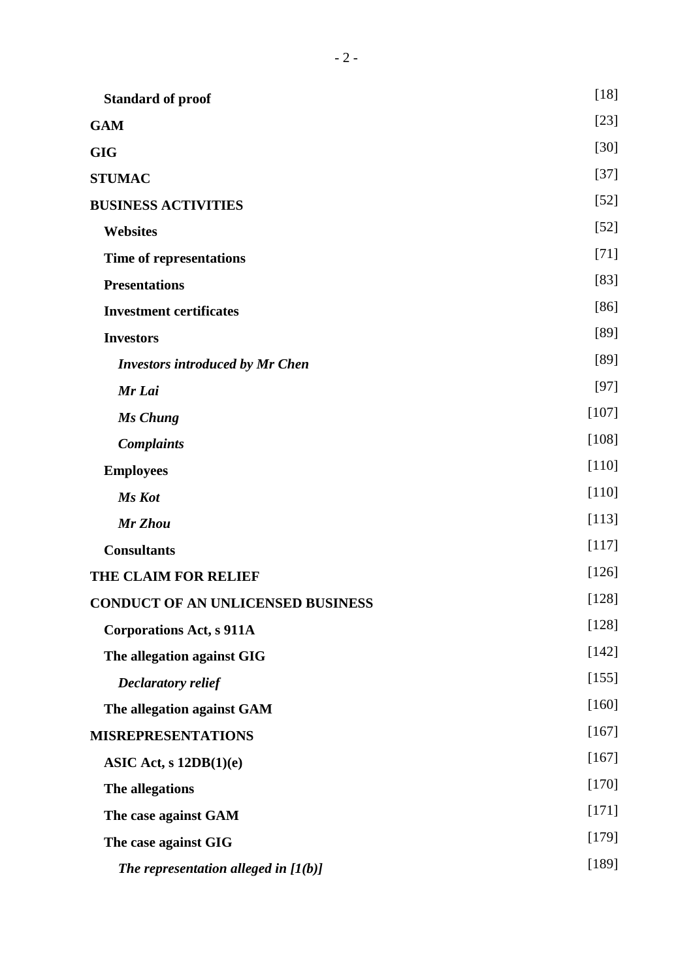| <b>Standard of proof</b>                 | $[18]$  |
|------------------------------------------|---------|
| <b>GAM</b>                               | $[23]$  |
| <b>GIG</b>                               | $[30]$  |
| <b>STUMAC</b>                            | $[37]$  |
| <b>BUSINESS ACTIVITIES</b>               | $[52]$  |
| <b>Websites</b>                          | $[52]$  |
| Time of representations                  | $[71]$  |
| <b>Presentations</b>                     | $[83]$  |
| <b>Investment certificates</b>           | $[86]$  |
| <b>Investors</b>                         | [89]    |
| <b>Investors introduced by Mr Chen</b>   | [89]    |
| Mr Lai                                   | $[97]$  |
| Ms Chung                                 | $[107]$ |
| <b>Complaints</b>                        | $[108]$ |
| <b>Employees</b>                         | $[110]$ |
| Ms Kot                                   | $[110]$ |
| Mr Zhou                                  | [113]   |
| <b>Consultants</b>                       | [117]   |
| THE CLAIM FOR RELIEF                     | [126]   |
| <b>CONDUCT OF AN UNLICENSED BUSINESS</b> | $[128]$ |
| <b>Corporations Act, s 911A</b>          | $[128]$ |
| The allegation against GIG               | $[142]$ |
| <b>Declaratory relief</b>                | [155]   |
| The allegation against GAM               | [160]   |
| <b>MISREPRESENTATIONS</b>                | $[167]$ |
| ASIC Act, $s$ 12DB(1)(e)                 | $[167]$ |
| The allegations                          | $[170]$ |
| The case against GAM                     | $[171]$ |
| The case against GIG                     | [179]   |
| The representation alleged in $[1(b)]$   | [189]   |
|                                          |         |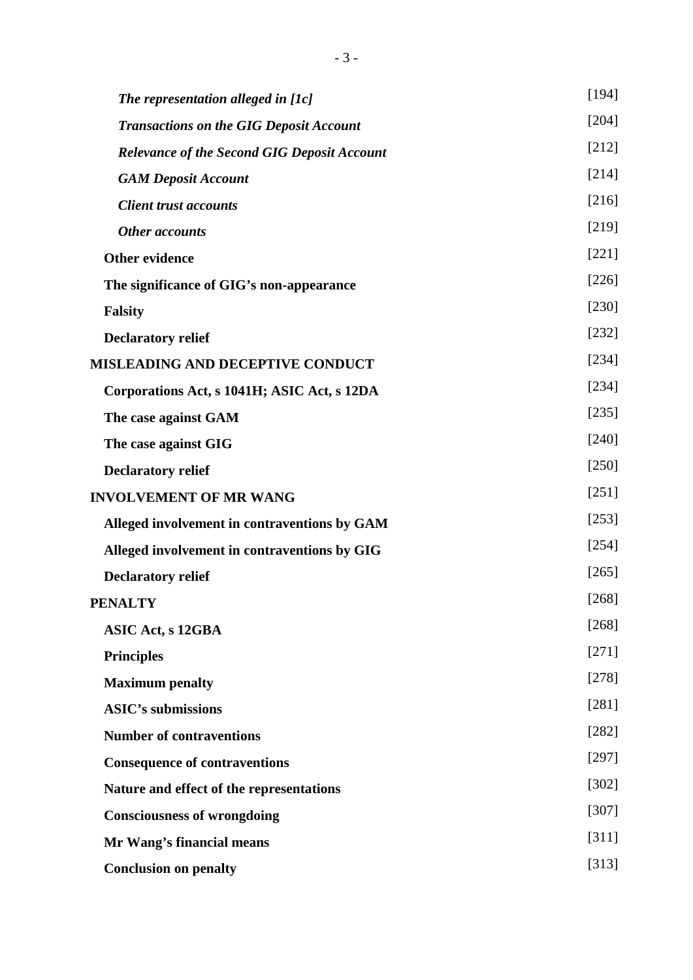| The representation alleged in [1c]                 | [194]   |
|----------------------------------------------------|---------|
| <b>Transactions on the GIG Deposit Account</b>     | [204]   |
| <b>Relevance of the Second GIG Deposit Account</b> | $[212]$ |
| <b>GAM Deposit Account</b>                         | [214]   |
| <b>Client trust accounts</b>                       | [216]   |
| <b>Other accounts</b>                              | [219]   |
| <b>Other evidence</b>                              | $[221]$ |
| The significance of GIG's non-appearance           | $[226]$ |
| <b>Falsity</b>                                     | [230]   |
| <b>Declaratory relief</b>                          | $[232]$ |
| <b>MISLEADING AND DECEPTIVE CONDUCT</b>            | [234]   |
| Corporations Act, s 1041H; ASIC Act, s 12DA        | [234]   |
| The case against GAM                               | $[235]$ |
| The case against GIG                               | [240]   |
| <b>Declaratory relief</b>                          | $[250]$ |
| <b>INVOLVEMENT OF MR WANG</b>                      | [251]   |
| Alleged involvement in contraventions by GAM       | [253]   |
| Alleged involvement in contraventions by GIG       | [254]   |
| <b>Declaratory relief</b>                          | [265]   |
| <b>PENALTY</b>                                     | [268]   |
| <b>ASIC Act, s 12GBA</b>                           | [268]   |
| <b>Principles</b>                                  | $[271]$ |
| <b>Maximum</b> penalty                             | [278]   |
| <b>ASIC's submissions</b>                          | $[281]$ |
| <b>Number of contraventions</b>                    | $[282]$ |
| <b>Consequence of contraventions</b>               | [297]   |
| Nature and effect of the representations           | [302]   |
| <b>Consciousness of wrongdoing</b>                 | [307]   |
| Mr Wang's financial means                          | [311]   |
| <b>Conclusion on penalty</b>                       | [313]   |
|                                                    |         |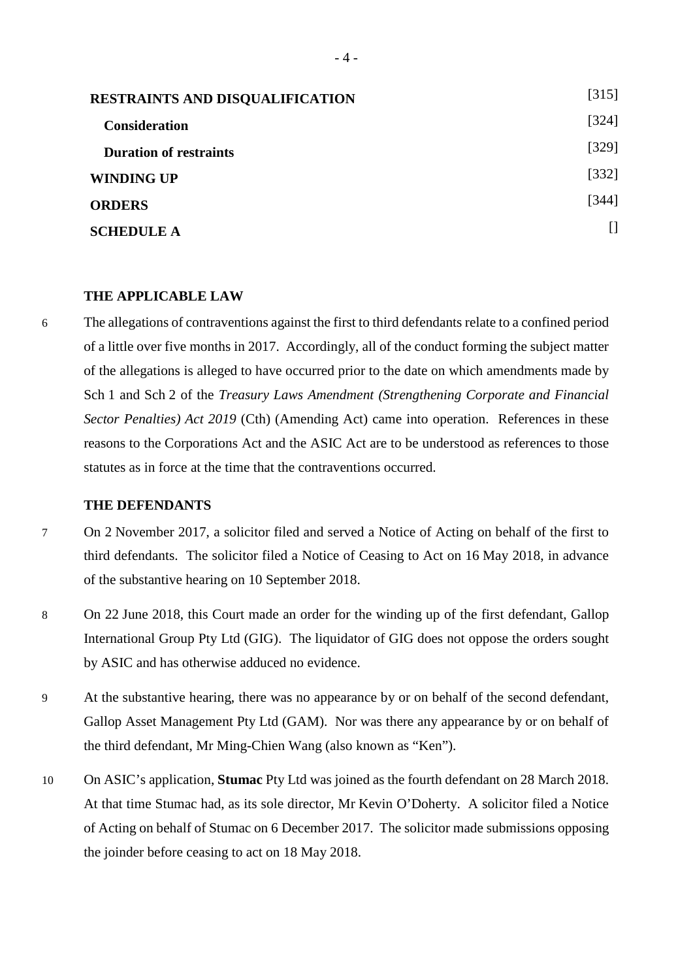| <b>RESTRAINTS AND DISQUALIFICATION</b> | [315] |
|----------------------------------------|-------|
| <b>Consideration</b>                   | [324] |
| <b>Duration of restraints</b>          | [329] |
| <b>WINDING UP</b>                      | [332] |
| <b>ORDERS</b>                          | [344] |
| <b>SCHEDULE A</b>                      |       |

#### <span id="page-9-0"></span>**THE APPLICABLE LAW**

6 The allegations of contraventions against the first to third defendants relate to a confined period of a little over five months in 2017. Accordingly, all of the conduct forming the subject matter of the allegations is alleged to have occurred prior to the date on which amendments made by Sch 1 and Sch 2 of the *Treasury Laws Amendment (Strengthening Corporate and Financial Sector Penalties) Act 2019* (Cth) (Amending Act) came into operation. References in these reasons to the Corporations Act and the ASIC Act are to be understood as references to those statutes as in force at the time that the contraventions occurred.

### <span id="page-9-1"></span>**THE DEFENDANTS**

- 7 On 2 November 2017, a solicitor filed and served a Notice of Acting on behalf of the first to third defendants. The solicitor filed a Notice of Ceasing to Act on 16 May 2018, in advance of the substantive hearing on 10 September 2018.
- 8 On 22 June 2018, this Court made an order for the winding up of the first defendant, Gallop International Group Pty Ltd (GIG). The liquidator of GIG does not oppose the orders sought by ASIC and has otherwise adduced no evidence.
- 9 At the substantive hearing, there was no appearance by or on behalf of the second defendant, Gallop Asset Management Pty Ltd (GAM). Nor was there any appearance by or on behalf of the third defendant, Mr Ming-Chien Wang (also known as "Ken").
- 10 On ASIC's application, **Stumac** Pty Ltd was joined as the fourth defendant on 28 March 2018. At that time Stumac had, as its sole director, Mr Kevin O'Doherty. A solicitor filed a Notice of Acting on behalf of Stumac on 6 December 2017. The solicitor made submissions opposing the joinder before ceasing to act on 18 May 2018.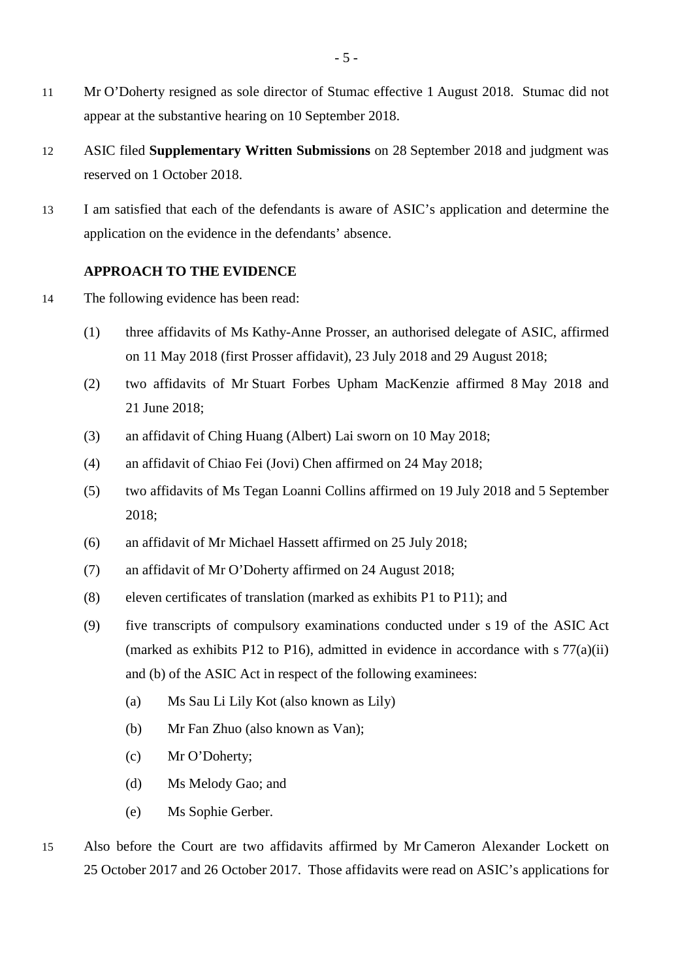- 11 Mr O'Doherty resigned as sole director of Stumac effective 1 August 2018. Stumac did not appear at the substantive hearing on 10 September 2018.
- 12 ASIC filed **Supplementary Written Submissions** on 28 September 2018 and judgment was reserved on 1 October 2018.
- 13 I am satisfied that each of the defendants is aware of ASIC's application and determine the application on the evidence in the defendants' absence.

## <span id="page-10-0"></span>**APPROACH TO THE EVIDENCE**

- 14 The following evidence has been read:
	- (1) three affidavits of Ms Kathy-Anne Prosser, an authorised delegate of ASIC, affirmed on 11 May 2018 (first Prosser affidavit), 23 July 2018 and 29 August 2018;
	- (2) two affidavits of Mr Stuart Forbes Upham MacKenzie affirmed 8 May 2018 and 21 June 2018;
	- (3) an affidavit of Ching Huang (Albert) Lai sworn on 10 May 2018;
	- (4) an affidavit of Chiao Fei (Jovi) Chen affirmed on 24 May 2018;
	- (5) two affidavits of Ms Tegan Loanni Collins affirmed on 19 July 2018 and 5 September 2018;
	- (6) an affidavit of Mr Michael Hassett affirmed on 25 July 2018;
	- (7) an affidavit of Mr O'Doherty affirmed on 24 August 2018;
	- (8) eleven certificates of translation (marked as exhibits P1 to P11); and
	- (9) five transcripts of compulsory examinations conducted under s 19 of the ASIC Act (marked as exhibits P12 to P16), admitted in evidence in accordance with  $\frac{57}{a}$ (ii) and (b) of the ASIC Act in respect of the following examinees:
		- (a) Ms Sau Li Lily Kot (also known as Lily)
		- (b) Mr Fan Zhuo (also known as Van);
		- (c) Mr O'Doherty;
		- (d) Ms Melody Gao; and
		- (e) Ms Sophie Gerber.
- 15 Also before the Court are two affidavits affirmed by Mr Cameron Alexander Lockett on 25 October 2017 and 26 October 2017. Those affidavits were read on ASIC's applications for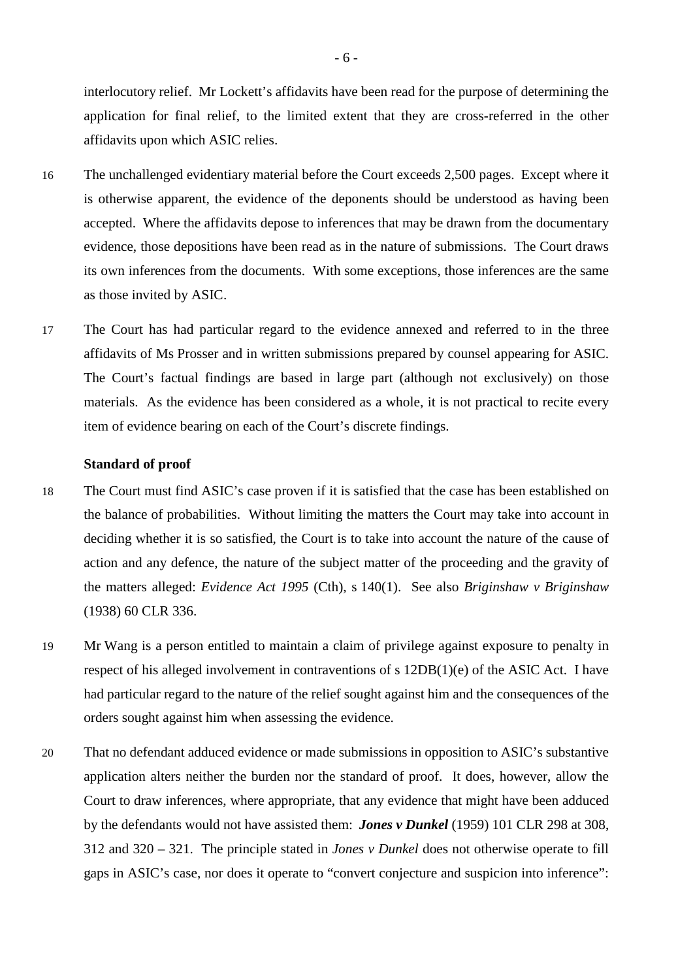interlocutory relief. Mr Lockett's affidavits have been read for the purpose of determining the application for final relief, to the limited extent that they are cross-referred in the other affidavits upon which ASIC relies.

- 16 The unchallenged evidentiary material before the Court exceeds 2,500 pages. Except where it is otherwise apparent, the evidence of the deponents should be understood as having been accepted. Where the affidavits depose to inferences that may be drawn from the documentary evidence, those depositions have been read as in the nature of submissions. The Court draws its own inferences from the documents. With some exceptions, those inferences are the same as those invited by ASIC.
- 17 The Court has had particular regard to the evidence annexed and referred to in the three affidavits of Ms Prosser and in written submissions prepared by counsel appearing for ASIC. The Court's factual findings are based in large part (although not exclusively) on those materials. As the evidence has been considered as a whole, it is not practical to recite every item of evidence bearing on each of the Court's discrete findings.

#### <span id="page-11-0"></span>**Standard of proof**

- 18 The Court must find ASIC's case proven if it is satisfied that the case has been established on the balance of probabilities. Without limiting the matters the Court may take into account in deciding whether it is so satisfied, the Court is to take into account the nature of the cause of action and any defence, the nature of the subject matter of the proceeding and the gravity of the matters alleged: *Evidence Act 1995* (Cth), s 140(1). See also *Briginshaw v Briginshaw* (1938) 60 CLR 336.
- 19 Mr Wang is a person entitled to maintain a claim of privilege against exposure to penalty in respect of his alleged involvement in contraventions of s 12DB(1)(e) of the ASIC Act. I have had particular regard to the nature of the relief sought against him and the consequences of the orders sought against him when assessing the evidence.
- 20 That no defendant adduced evidence or made submissions in opposition to ASIC's substantive application alters neither the burden nor the standard of proof. It does, however, allow the Court to draw inferences, where appropriate, that any evidence that might have been adduced by the defendants would not have assisted them: *Jones v Dunkel* (1959) 101 CLR 298 at 308, 312 and 320 – 321. The principle stated in *Jones v Dunkel* does not otherwise operate to fill gaps in ASIC's case, nor does it operate to "convert conjecture and suspicion into inference":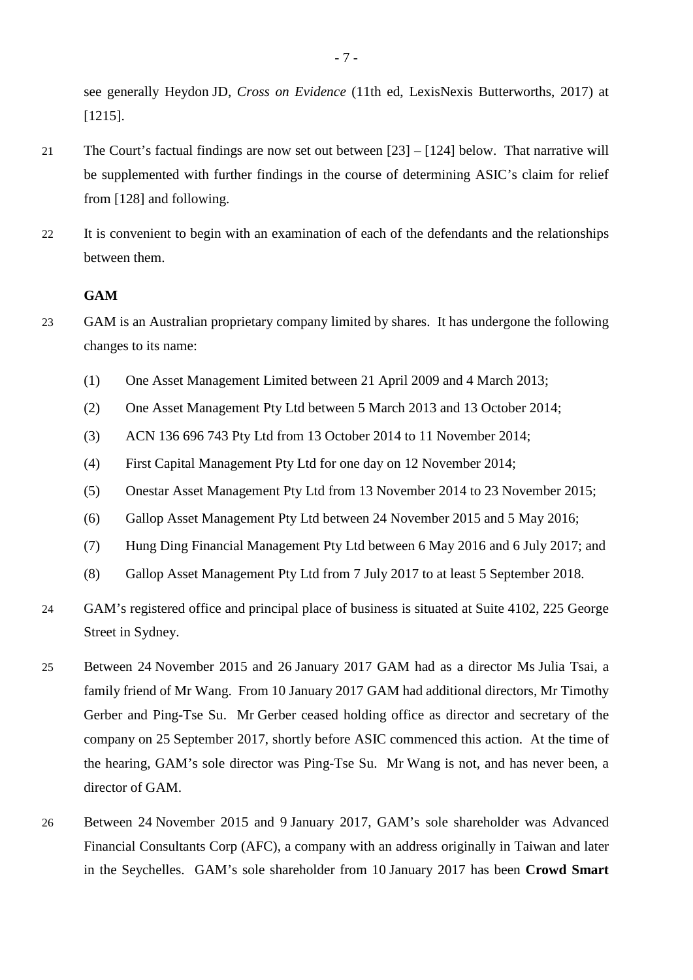see generally Heydon JD, *Cross on Evidence* (11th ed, LexisNexis Butterworths, 2017) at [1215].

- 21 The Court's factual findings are now set out between [23] [124] below. That narrative will be supplemented with further findings in the course of determining ASIC's claim for relief from [128] and following.
- 22 It is convenient to begin with an examination of each of the defendants and the relationships between them.

# <span id="page-12-0"></span>**GAM**

- 23 GAM is an Australian proprietary company limited by shares. It has undergone the following changes to its name:
	- (1) One Asset Management Limited between 21 April 2009 and 4 March 2013;
	- (2) One Asset Management Pty Ltd between 5 March 2013 and 13 October 2014;
	- (3) ACN 136 696 743 Pty Ltd from 13 October 2014 to 11 November 2014;
	- (4) First Capital Management Pty Ltd for one day on 12 November 2014;
	- (5) Onestar Asset Management Pty Ltd from 13 November 2014 to 23 November 2015;
	- (6) Gallop Asset Management Pty Ltd between 24 November 2015 and 5 May 2016;
	- (7) Hung Ding Financial Management Pty Ltd between 6 May 2016 and 6 July 2017; and
	- (8) Gallop Asset Management Pty Ltd from 7 July 2017 to at least 5 September 2018.
- 24 GAM's registered office and principal place of business is situated at Suite 4102, 225 George Street in Sydney.
- 25 Between 24 November 2015 and 26 January 2017 GAM had as a director Ms Julia Tsai, a family friend of Mr Wang. From 10 January 2017 GAM had additional directors, Mr Timothy Gerber and Ping-Tse Su. Mr Gerber ceased holding office as director and secretary of the company on 25 September 2017, shortly before ASIC commenced this action. At the time of the hearing, GAM's sole director was Ping-Tse Su. Mr Wang is not, and has never been, a director of GAM.
- 26 Between 24 November 2015 and 9 January 2017, GAM's sole shareholder was Advanced Financial Consultants Corp (AFC), a company with an address originally in Taiwan and later in the Seychelles. GAM's sole shareholder from 10 January 2017 has been **Crowd Smart**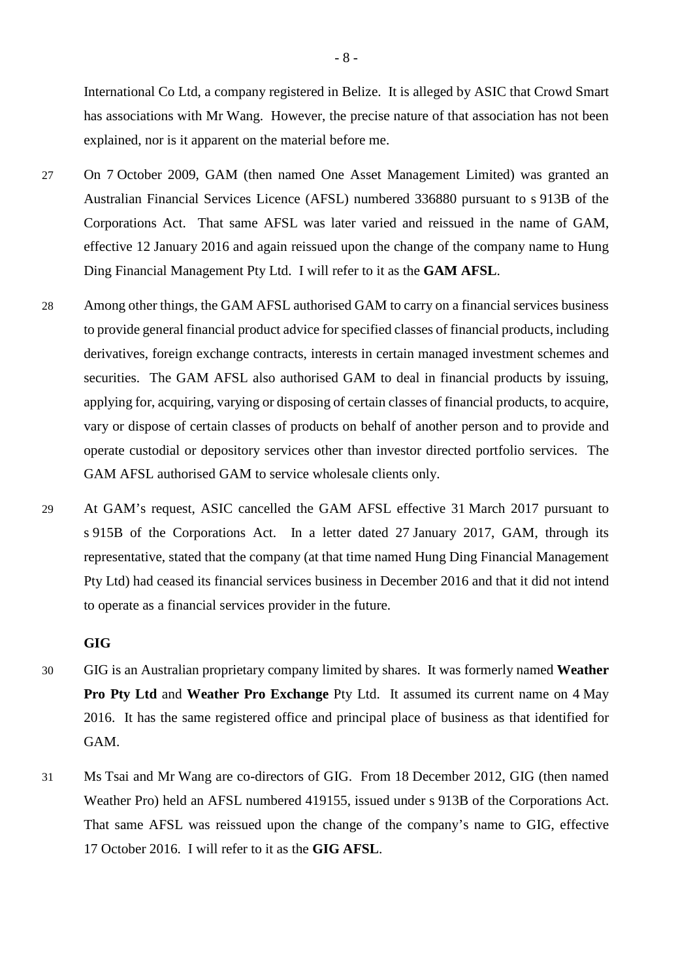International Co Ltd, a company registered in Belize. It is alleged by ASIC that Crowd Smart has associations with Mr Wang. However, the precise nature of that association has not been explained, nor is it apparent on the material before me.

- 27 On 7 October 2009, GAM (then named One Asset Management Limited) was granted an Australian Financial Services Licence (AFSL) numbered 336880 pursuant to s 913B of the Corporations Act. That same AFSL was later varied and reissued in the name of GAM, effective 12 January 2016 and again reissued upon the change of the company name to Hung Ding Financial Management Pty Ltd. I will refer to it as the **GAM AFSL**.
- 28 Among other things, the GAM AFSL authorised GAM to carry on a financial services business to provide general financial product advice for specified classes of financial products, including derivatives, foreign exchange contracts, interests in certain managed investment schemes and securities. The GAM AFSL also authorised GAM to deal in financial products by issuing, applying for, acquiring, varying or disposing of certain classes of financial products, to acquire, vary or dispose of certain classes of products on behalf of another person and to provide and operate custodial or depository services other than investor directed portfolio services. The GAM AFSL authorised GAM to service wholesale clients only.
- 29 At GAM's request, ASIC cancelled the GAM AFSL effective 31 March 2017 pursuant to s 915B of the Corporations Act. In a letter dated 27 January 2017, GAM, through its representative, stated that the company (at that time named Hung Ding Financial Management Pty Ltd) had ceased its financial services business in December 2016 and that it did not intend to operate as a financial services provider in the future.

### <span id="page-13-0"></span>**GIG**

- 30 GIG is an Australian proprietary company limited by shares. It was formerly named **Weather Pro Pty Ltd** and **Weather Pro Exchange** Pty Ltd. It assumed its current name on 4 May 2016. It has the same registered office and principal place of business as that identified for GAM.
- 31 Ms Tsai and Mr Wang are co-directors of GIG. From 18 December 2012, GIG (then named Weather Pro) held an AFSL numbered 419155, issued under s 913B of the Corporations Act. That same AFSL was reissued upon the change of the company's name to GIG, effective 17 October 2016. I will refer to it as the **GIG AFSL**.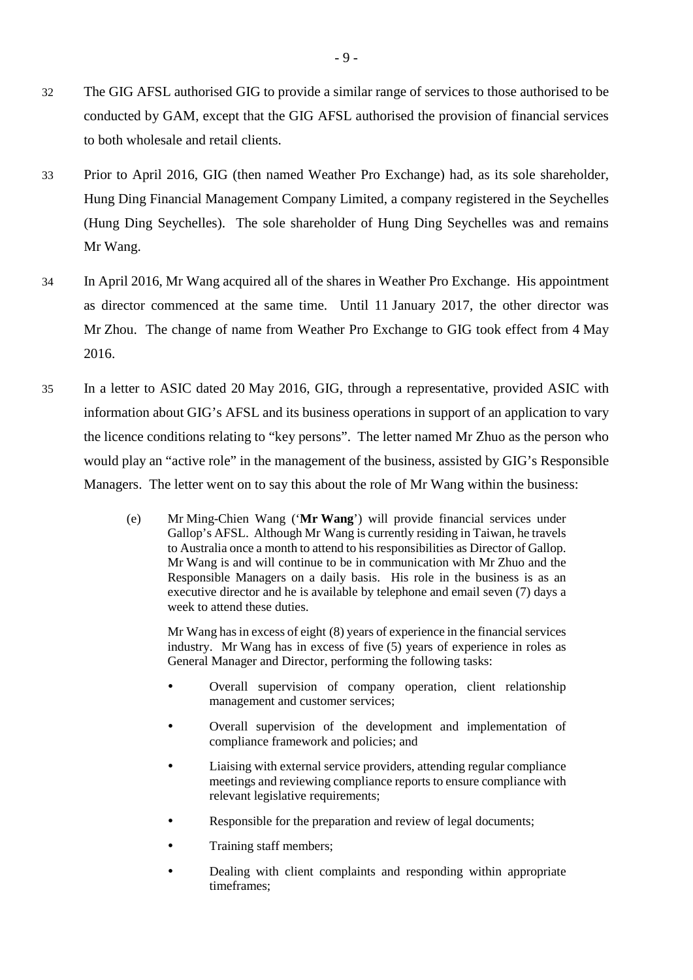- 32 The GIG AFSL authorised GIG to provide a similar range of services to those authorised to be conducted by GAM, except that the GIG AFSL authorised the provision of financial services to both wholesale and retail clients.
- 33 Prior to April 2016, GIG (then named Weather Pro Exchange) had, as its sole shareholder, Hung Ding Financial Management Company Limited, a company registered in the Seychelles (Hung Ding Seychelles). The sole shareholder of Hung Ding Seychelles was and remains Mr Wang.
- 34 In April 2016, Mr Wang acquired all of the shares in Weather Pro Exchange. His appointment as director commenced at the same time. Until 11 January 2017, the other director was Mr Zhou. The change of name from Weather Pro Exchange to GIG took effect from 4 May 2016.
- 35 In a letter to ASIC dated 20 May 2016, GIG, through a representative, provided ASIC with information about GIG's AFSL and its business operations in support of an application to vary the licence conditions relating to "key persons". The letter named Mr Zhuo as the person who would play an "active role" in the management of the business, assisted by GIG's Responsible Managers. The letter went on to say this about the role of Mr Wang within the business:
	- (e) Mr Ming-Chien Wang ('**Mr Wang**') will provide financial services under Gallop's AFSL. Although Mr Wang is currently residing in Taiwan, he travels to Australia once a month to attend to his responsibilities as Director of Gallop. Mr Wang is and will continue to be in communication with Mr Zhuo and the Responsible Managers on a daily basis. His role in the business is as an executive director and he is available by telephone and email seven (7) days a week to attend these duties.

Mr Wang has in excess of eight (8) years of experience in the financial services industry. Mr Wang has in excess of five (5) years of experience in roles as General Manager and Director, performing the following tasks:

- Overall supervision of company operation, client relationship management and customer services;
- Overall supervision of the development and implementation of compliance framework and policies; and
- Liaising with external service providers, attending regular compliance meetings and reviewing compliance reports to ensure compliance with relevant legislative requirements;
- Responsible for the preparation and review of legal documents;
- Training staff members;
- Dealing with client complaints and responding within appropriate timeframes;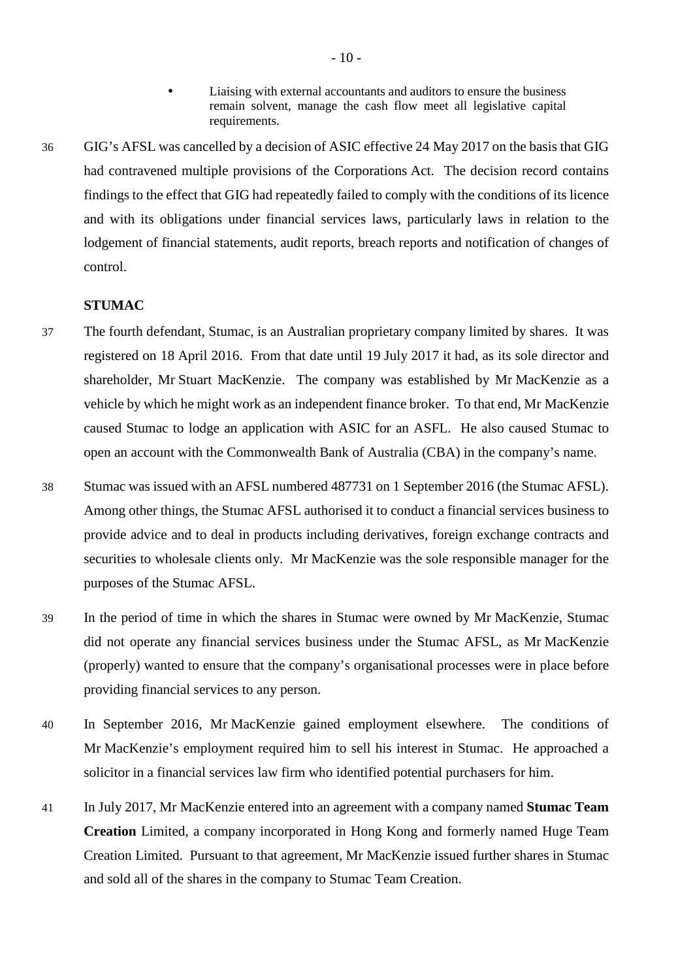- Liaising with external accountants and auditors to ensure the business remain solvent, manage the cash flow meet all legislative capital requirements.
- 36 GIG's AFSL was cancelled by a decision of ASIC effective 24 May 2017 on the basis that GIG had contravened multiple provisions of the Corporations Act. The decision record contains findings to the effect that GIG had repeatedly failed to comply with the conditions of its licence and with its obligations under financial services laws, particularly laws in relation to the lodgement of financial statements, audit reports, breach reports and notification of changes of control.

# <span id="page-15-0"></span>**STUMAC**

- 37 The fourth defendant, Stumac, is an Australian proprietary company limited by shares. It was registered on 18 April 2016. From that date until 19 July 2017 it had, as its sole director and shareholder, Mr Stuart MacKenzie. The company was established by Mr MacKenzie as a vehicle by which he might work as an independent finance broker. To that end, Mr MacKenzie caused Stumac to lodge an application with ASIC for an ASFL. He also caused Stumac to open an account with the Commonwealth Bank of Australia (CBA) in the company's name.
- 38 Stumac was issued with an AFSL numbered 487731 on 1 September 2016 (the Stumac AFSL). Among other things, the Stumac AFSL authorised it to conduct a financial services business to provide advice and to deal in products including derivatives, foreign exchange contracts and securities to wholesale clients only. Mr MacKenzie was the sole responsible manager for the purposes of the Stumac AFSL.
- 39 In the period of time in which the shares in Stumac were owned by Mr MacKenzie, Stumac did not operate any financial services business under the Stumac AFSL, as Mr MacKenzie (properly) wanted to ensure that the company's organisational processes were in place before providing financial services to any person.
- 40 In September 2016, Mr MacKenzie gained employment elsewhere. The conditions of Mr MacKenzie's employment required him to sell his interest in Stumac. He approached a solicitor in a financial services law firm who identified potential purchasers for him.
- 41 In July 2017, Mr MacKenzie entered into an agreement with a company named **Stumac Team Creation** Limited, a company incorporated in Hong Kong and formerly named Huge Team Creation Limited. Pursuant to that agreement, Mr MacKenzie issued further shares in Stumac and sold all of the shares in the company to Stumac Team Creation.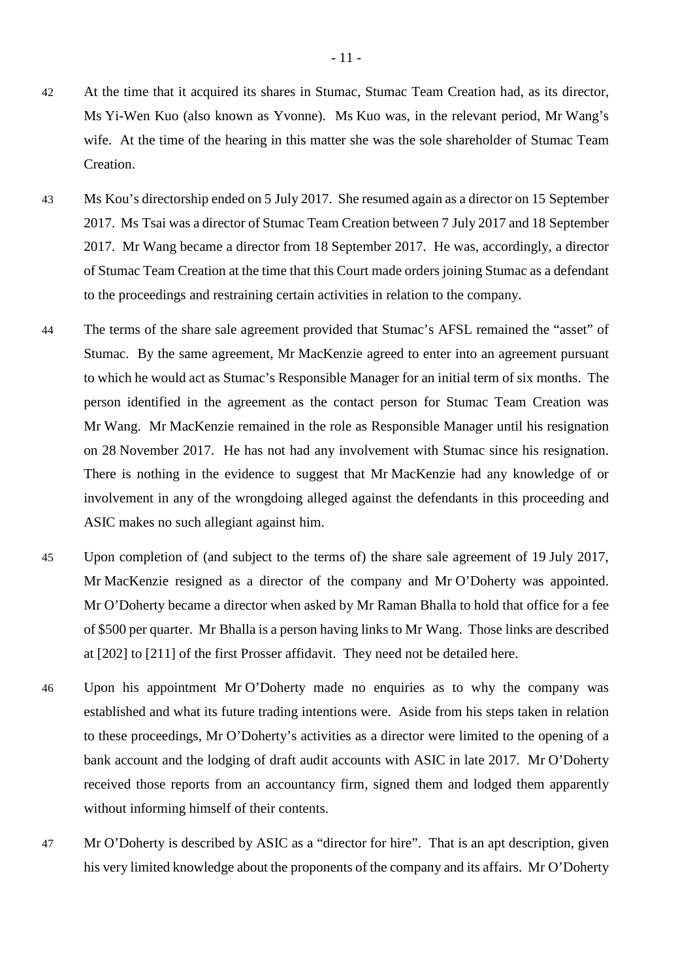- 42 At the time that it acquired its shares in Stumac, Stumac Team Creation had, as its director, Ms Yi-Wen Kuo (also known as Yvonne). Ms Kuo was, in the relevant period, Mr Wang's wife. At the time of the hearing in this matter she was the sole shareholder of Stumac Team Creation.
- 43 Ms Kou's directorship ended on 5 July 2017. She resumed again as a director on 15 September 2017. Ms Tsai was a director of Stumac Team Creation between 7 July 2017 and 18 September 2017. Mr Wang became a director from 18 September 2017. He was, accordingly, a director of Stumac Team Creation at the time that this Court made orders joining Stumac as a defendant to the proceedings and restraining certain activities in relation to the company.
- 44 The terms of the share sale agreement provided that Stumac's AFSL remained the "asset" of Stumac. By the same agreement, Mr MacKenzie agreed to enter into an agreement pursuant to which he would act as Stumac's Responsible Manager for an initial term of six months. The person identified in the agreement as the contact person for Stumac Team Creation was Mr Wang. Mr MacKenzie remained in the role as Responsible Manager until his resignation on 28 November 2017. He has not had any involvement with Stumac since his resignation. There is nothing in the evidence to suggest that Mr MacKenzie had any knowledge of or involvement in any of the wrongdoing alleged against the defendants in this proceeding and ASIC makes no such allegiant against him.
- 45 Upon completion of (and subject to the terms of) the share sale agreement of 19 July 2017, Mr MacKenzie resigned as a director of the company and Mr O'Doherty was appointed. Mr O'Doherty became a director when asked by Mr Raman Bhalla to hold that office for a fee of \$500 per quarter. Mr Bhalla is a person having links to Mr Wang. Those links are described at [202] to [211] of the first Prosser affidavit. They need not be detailed here.
- 46 Upon his appointment Mr O'Doherty made no enquiries as to why the company was established and what its future trading intentions were. Aside from his steps taken in relation to these proceedings, Mr O'Doherty's activities as a director were limited to the opening of a bank account and the lodging of draft audit accounts with ASIC in late 2017. Mr O'Doherty received those reports from an accountancy firm, signed them and lodged them apparently without informing himself of their contents.
- 47 Mr O'Doherty is described by ASIC as a "director for hire". That is an apt description, given his very limited knowledge about the proponents of the company and its affairs. Mr O'Doherty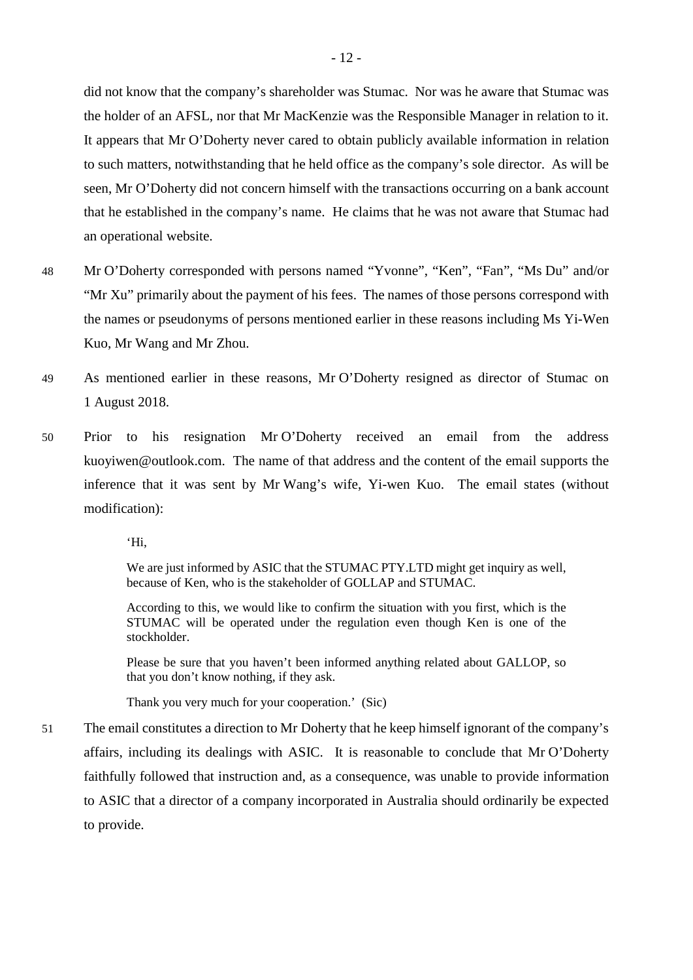did not know that the company's shareholder was Stumac. Nor was he aware that Stumac was the holder of an AFSL, nor that Mr MacKenzie was the Responsible Manager in relation to it. It appears that Mr O'Doherty never cared to obtain publicly available information in relation to such matters, notwithstanding that he held office as the company's sole director. As will be seen, Mr O'Doherty did not concern himself with the transactions occurring on a bank account that he established in the company's name. He claims that he was not aware that Stumac had an operational website.

- 48 Mr O'Doherty corresponded with persons named "Yvonne", "Ken", "Fan", "Ms Du" and/or "Mr Xu" primarily about the payment of his fees. The names of those persons correspond with the names or pseudonyms of persons mentioned earlier in these reasons including Ms Yi-Wen Kuo, Mr Wang and Mr Zhou.
- 49 As mentioned earlier in these reasons, Mr O'Doherty resigned as director of Stumac on 1 August 2018.
- 50 Prior to his resignation Mr O'Doherty received an email from the address kuoyiwen@outlook.com. The name of that address and the content of the email supports the inference that it was sent by Mr Wang's wife, Yi-wen Kuo. The email states (without modification):

'Hi,

We are just informed by ASIC that the STUMAC PTY.LTD might get inquiry as well, because of Ken, who is the stakeholder of GOLLAP and STUMAC.

According to this, we would like to confirm the situation with you first, which is the STUMAC will be operated under the regulation even though Ken is one of the stockholder.

Please be sure that you haven't been informed anything related about GALLOP, so that you don't know nothing, if they ask.

Thank you very much for your cooperation.' (Sic)

51 The email constitutes a direction to Mr Doherty that he keep himself ignorant of the company's affairs, including its dealings with ASIC. It is reasonable to conclude that Mr O'Doherty faithfully followed that instruction and, as a consequence, was unable to provide information to ASIC that a director of a company incorporated in Australia should ordinarily be expected to provide.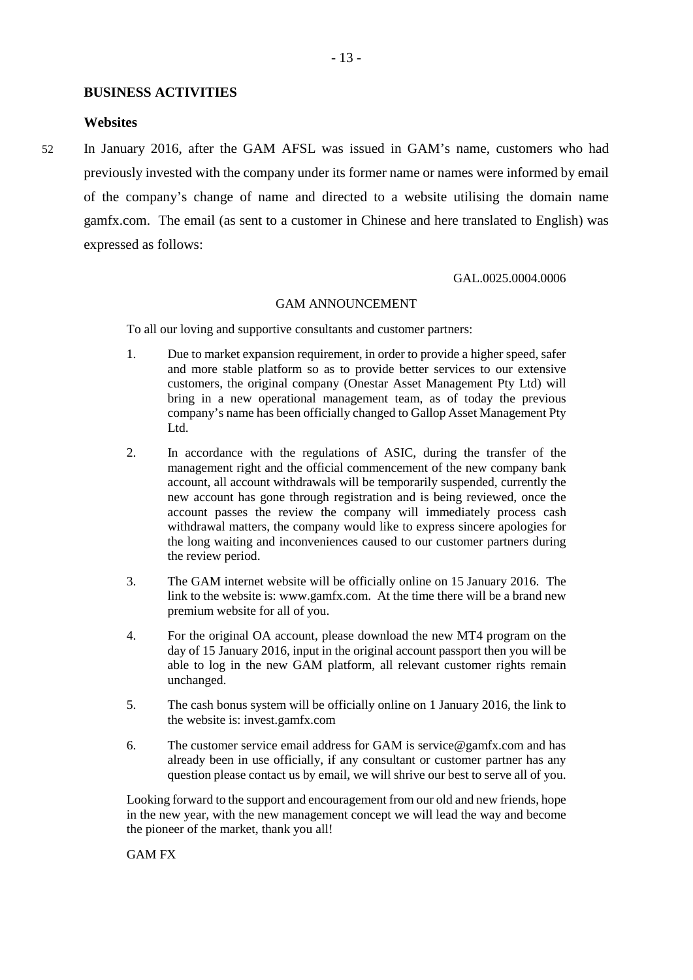#### <span id="page-18-0"></span>**BUSINESS ACTIVITIES**

#### <span id="page-18-1"></span>**Websites**

52 In January 2016, after the GAM AFSL was issued in GAM's name, customers who had previously invested with the company under its former name or names were informed by email of the company's change of name and directed to a website utilising the domain name gamfx.com. The email (as sent to a customer in Chinese and here translated to English) was expressed as follows:

#### GAL.0025.0004.0006

#### GAM ANNOUNCEMENT

To all our loving and supportive consultants and customer partners:

- 1. Due to market expansion requirement, in order to provide a higher speed, safer and more stable platform so as to provide better services to our extensive customers, the original company (Onestar Asset Management Pty Ltd) will bring in a new operational management team, as of today the previous company's name has been officially changed to Gallop Asset Management Pty Ltd.
- 2. In accordance with the regulations of ASIC, during the transfer of the management right and the official commencement of the new company bank account, all account withdrawals will be temporarily suspended, currently the new account has gone through registration and is being reviewed, once the account passes the review the company will immediately process cash withdrawal matters, the company would like to express sincere apologies for the long waiting and inconveniences caused to our customer partners during the review period.
- 3. The GAM internet website will be officially online on 15 January 2016. The link to the website is: www.gamfx.com. At the time there will be a brand new premium website for all of you.
- 4. For the original OA account, please download the new MT4 program on the day of 15 January 2016, input in the original account passport then you will be able to log in the new GAM platform, all relevant customer rights remain unchanged.
- 5. The cash bonus system will be officially online on 1 January 2016, the link to the website is: invest.gamfx.com
- 6. The customer service email address for GAM is service  $\mathcal{Q}$  gamfx.com and has already been in use officially, if any consultant or customer partner has any question please contact us by email, we will shrive our best to serve all of you.

Looking forward to the support and encouragement from our old and new friends, hope in the new year, with the new management concept we will lead the way and become the pioneer of the market, thank you all!

GAM FX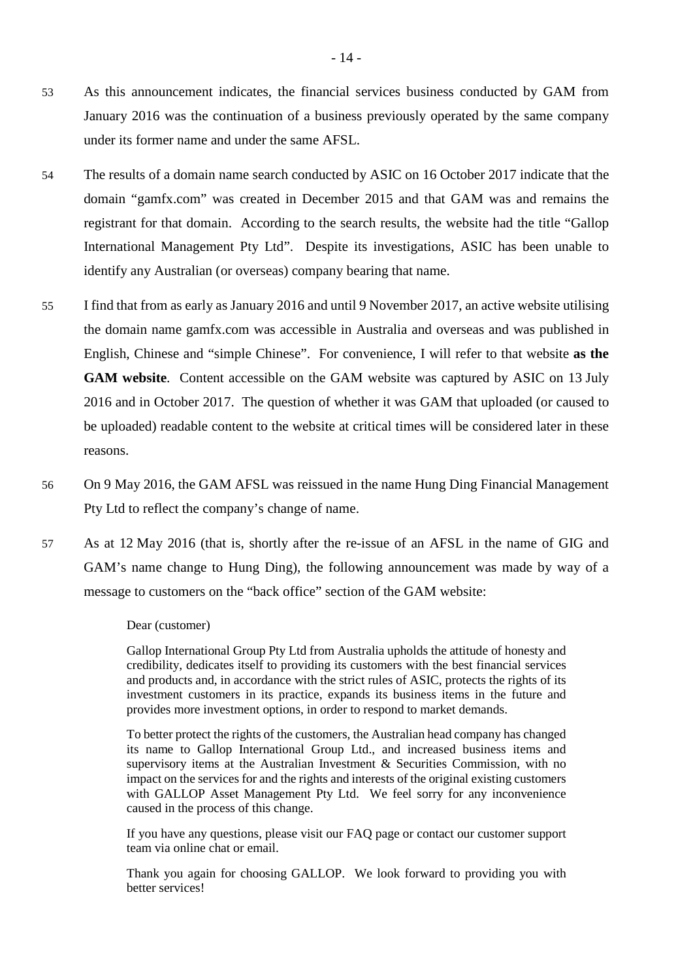- 53 As this announcement indicates, the financial services business conducted by GAM from January 2016 was the continuation of a business previously operated by the same company under its former name and under the same AFSL.
- 54 The results of a domain name search conducted by ASIC on 16 October 2017 indicate that the domain "gamfx.com" was created in December 2015 and that GAM was and remains the registrant for that domain. According to the search results, the website had the title "Gallop International Management Pty Ltd". Despite its investigations, ASIC has been unable to identify any Australian (or overseas) company bearing that name.
- 55 I find that from as early as January 2016 and until 9 November 2017, an active website utilising the domain name gamfx.com was accessible in Australia and overseas and was published in English, Chinese and "simple Chinese". For convenience, I will refer to that website **as the GAM website**. Content accessible on the GAM website was captured by ASIC on 13 July 2016 and in October 2017. The question of whether it was GAM that uploaded (or caused to be uploaded) readable content to the website at critical times will be considered later in these reasons.
- 56 On 9 May 2016, the GAM AFSL was reissued in the name Hung Ding Financial Management Pty Ltd to reflect the company's change of name.
- 57 As at 12 May 2016 (that is, shortly after the re-issue of an AFSL in the name of GIG and GAM's name change to Hung Ding), the following announcement was made by way of a message to customers on the "back office" section of the GAM website:

Dear (customer)

Gallop International Group Pty Ltd from Australia upholds the attitude of honesty and credibility, dedicates itself to providing its customers with the best financial services and products and, in accordance with the strict rules of ASIC, protects the rights of its investment customers in its practice, expands its business items in the future and provides more investment options, in order to respond to market demands.

To better protect the rights of the customers, the Australian head company has changed its name to Gallop International Group Ltd., and increased business items and supervisory items at the Australian Investment & Securities Commission, with no impact on the services for and the rights and interests of the original existing customers with GALLOP Asset Management Pty Ltd. We feel sorry for any inconvenience caused in the process of this change.

If you have any questions, please visit our FAQ page or contact our customer support team via online chat or email.

Thank you again for choosing GALLOP. We look forward to providing you with better services!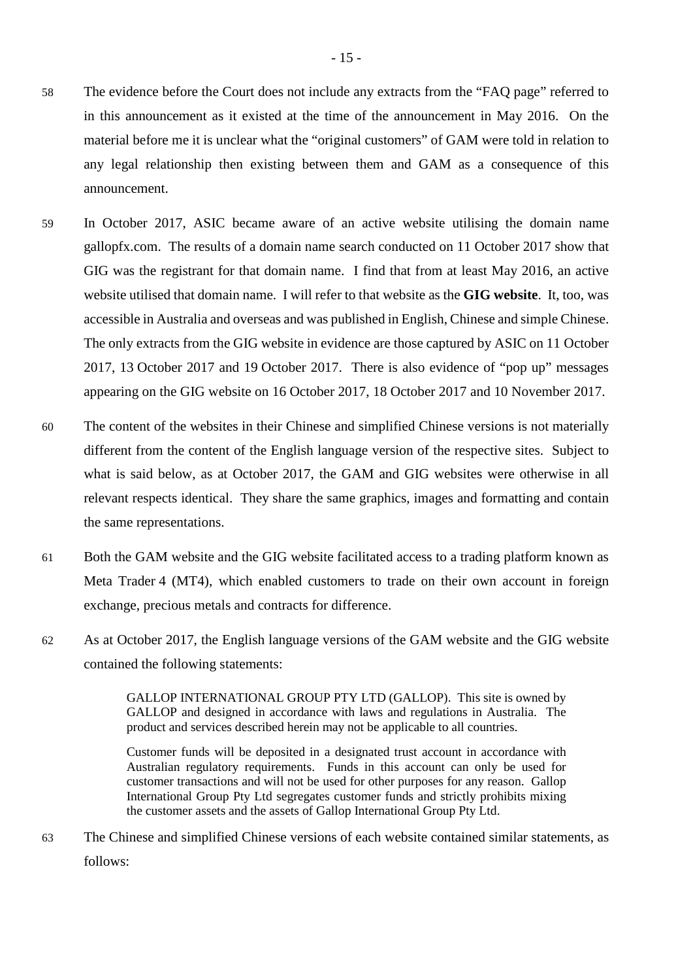- 58 The evidence before the Court does not include any extracts from the "FAQ page" referred to in this announcement as it existed at the time of the announcement in May 2016. On the material before me it is unclear what the "original customers" of GAM were told in relation to any legal relationship then existing between them and GAM as a consequence of this announcement.
- 59 In October 2017, ASIC became aware of an active website utilising the domain name gallopfx.com. The results of a domain name search conducted on 11 October 2017 show that GIG was the registrant for that domain name. I find that from at least May 2016, an active website utilised that domain name. I will refer to that website as the **GIG website**. It, too, was accessible in Australia and overseas and was published in English, Chinese and simple Chinese. The only extracts from the GIG website in evidence are those captured by ASIC on 11 October 2017, 13 October 2017 and 19 October 2017. There is also evidence of "pop up" messages appearing on the GIG website on 16 October 2017, 18 October 2017 and 10 November 2017.
- 60 The content of the websites in their Chinese and simplified Chinese versions is not materially different from the content of the English language version of the respective sites. Subject to what is said below, as at October 2017, the GAM and GIG websites were otherwise in all relevant respects identical. They share the same graphics, images and formatting and contain the same representations.
- 61 Both the GAM website and the GIG website facilitated access to a trading platform known as Meta Trader 4 (MT4), which enabled customers to trade on their own account in foreign exchange, precious metals and contracts for difference.
- 62 As at October 2017, the English language versions of the GAM website and the GIG website contained the following statements:

GALLOP INTERNATIONAL GROUP PTY LTD (GALLOP). This site is owned by GALLOP and designed in accordance with laws and regulations in Australia. The product and services described herein may not be applicable to all countries.

Customer funds will be deposited in a designated trust account in accordance with Australian regulatory requirements. Funds in this account can only be used for customer transactions and will not be used for other purposes for any reason. Gallop International Group Pty Ltd segregates customer funds and strictly prohibits mixing the customer assets and the assets of Gallop International Group Pty Ltd.

63 The Chinese and simplified Chinese versions of each website contained similar statements, as follows: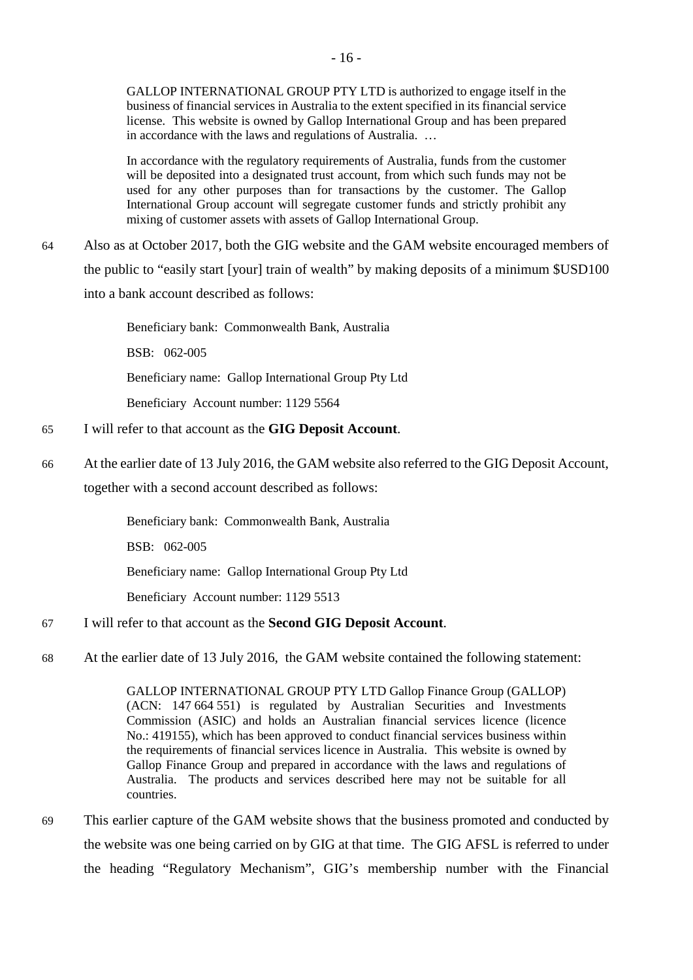GALLOP INTERNATIONAL GROUP PTY LTD is authorized to engage itself in the business of financial services in Australia to the extent specified in its financial service license. This website is owned by Gallop International Group and has been prepared in accordance with the laws and regulations of Australia. …

In accordance with the regulatory requirements of Australia, funds from the customer will be deposited into a designated trust account, from which such funds may not be used for any other purposes than for transactions by the customer. The Gallop International Group account will segregate customer funds and strictly prohibit any mixing of customer assets with assets of Gallop International Group.

64 Also as at October 2017, both the GIG website and the GAM website encouraged members of the public to "easily start [your] train of wealth" by making deposits of a minimum \$USD100 into a bank account described as follows:

> Beneficiary bank: Commonwealth Bank, Australia BSB: 062-005 Beneficiary name: Gallop International Group Pty Ltd Beneficiary Account number: 1129 5564

- 65 I will refer to that account as the **GIG Deposit Account**.
- 66 At the earlier date of 13 July 2016, the GAM website also referred to the GIG Deposit Account, together with a second account described as follows:

Beneficiary bank: Commonwealth Bank, Australia BSB: 062-005

Beneficiary name: Gallop International Group Pty Ltd

Beneficiary Account number: 1129 5513

# 67 I will refer to that account as the **Second GIG Deposit Account**.

68 At the earlier date of 13 July 2016, the GAM website contained the following statement:

GALLOP INTERNATIONAL GROUP PTY LTD Gallop Finance Group (GALLOP) (ACN: 147 664 551) is regulated by Australian Securities and Investments Commission (ASIC) and holds an Australian financial services licence (licence No.: 419155), which has been approved to conduct financial services business within the requirements of financial services licence in Australia. This website is owned by Gallop Finance Group and prepared in accordance with the laws and regulations of Australia. The products and services described here may not be suitable for all countries.

69 This earlier capture of the GAM website shows that the business promoted and conducted by the website was one being carried on by GIG at that time. The GIG AFSL is referred to under the heading "Regulatory Mechanism", GIG's membership number with the Financial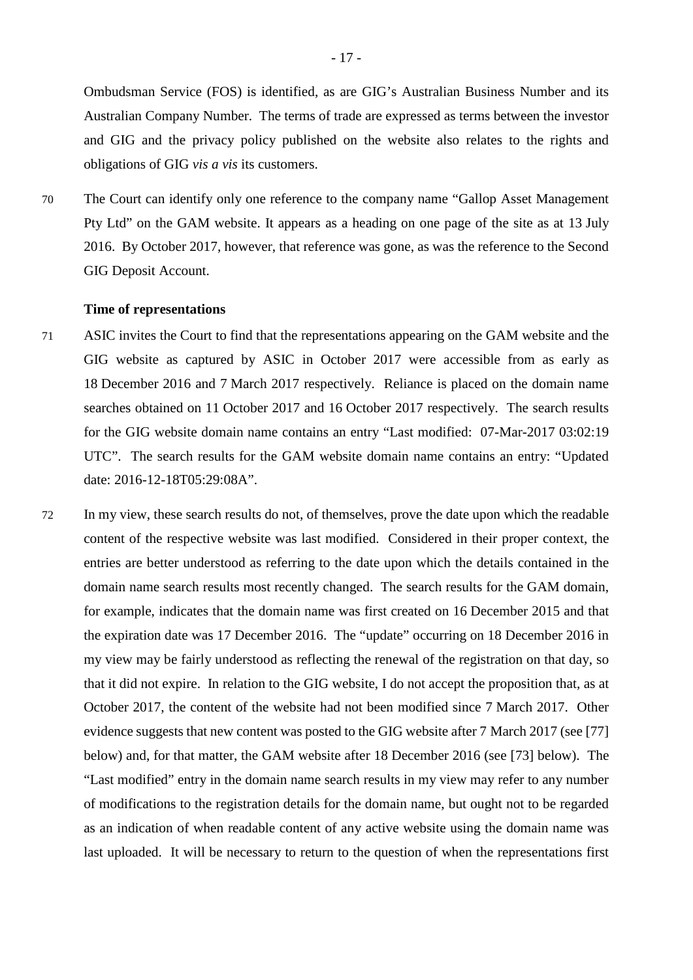Ombudsman Service (FOS) is identified, as are GIG's Australian Business Number and its Australian Company Number. The terms of trade are expressed as terms between the investor and GIG and the privacy policy published on the website also relates to the rights and obligations of GIG *vis a vis* its customers.

70 The Court can identify only one reference to the company name "Gallop Asset Management Pty Ltd" on the GAM website. It appears as a heading on one page of the site as at 13 July 2016. By October 2017, however, that reference was gone, as was the reference to the Second GIG Deposit Account.

#### <span id="page-22-0"></span>**Time of representations**

- 71 ASIC invites the Court to find that the representations appearing on the GAM website and the GIG website as captured by ASIC in October 2017 were accessible from as early as 18 December 2016 and 7 March 2017 respectively. Reliance is placed on the domain name searches obtained on 11 October 2017 and 16 October 2017 respectively. The search results for the GIG website domain name contains an entry "Last modified: 07-Mar-2017 03:02:19 UTC". The search results for the GAM website domain name contains an entry: "Updated date: 2016-12-18T05:29:08A".
- 72 In my view, these search results do not, of themselves, prove the date upon which the readable content of the respective website was last modified. Considered in their proper context, the entries are better understood as referring to the date upon which the details contained in the domain name search results most recently changed. The search results for the GAM domain, for example, indicates that the domain name was first created on 16 December 2015 and that the expiration date was 17 December 2016. The "update" occurring on 18 December 2016 in my view may be fairly understood as reflecting the renewal of the registration on that day, so that it did not expire. In relation to the GIG website, I do not accept the proposition that, as at October 2017, the content of the website had not been modified since 7 March 2017. Other evidence suggests that new content was posted to the GIG website after 7 March 2017 (see [77] below) and, for that matter, the GAM website after 18 December 2016 (see [73] below). The "Last modified" entry in the domain name search results in my view may refer to any number of modifications to the registration details for the domain name, but ought not to be regarded as an indication of when readable content of any active website using the domain name was last uploaded. It will be necessary to return to the question of when the representations first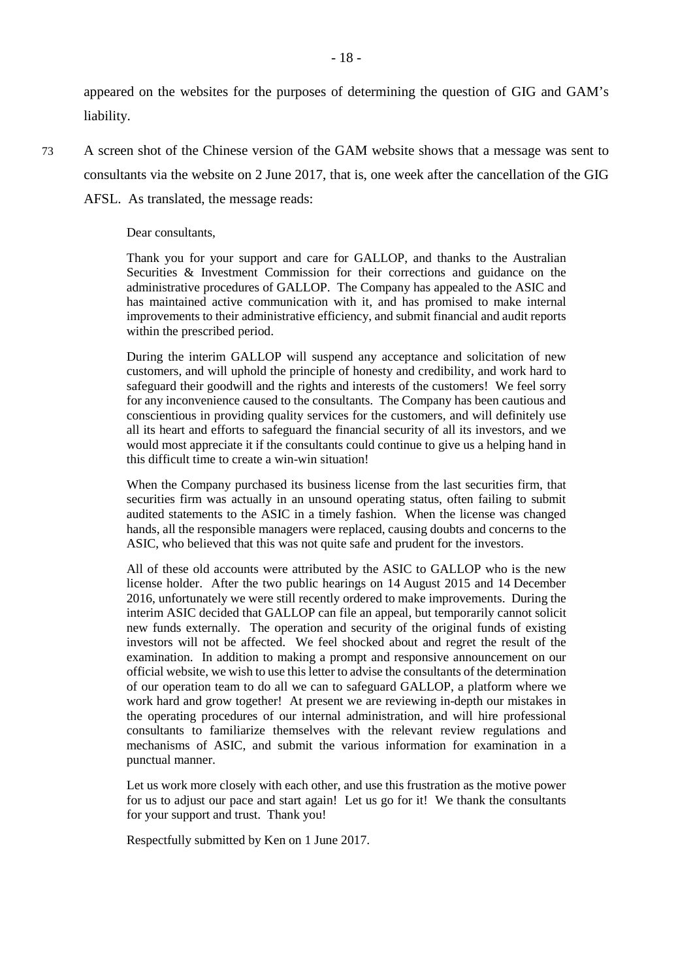appeared on the websites for the purposes of determining the question of GIG and GAM's liability.

73 A screen shot of the Chinese version of the GAM website shows that a message was sent to consultants via the website on 2 June 2017, that is, one week after the cancellation of the GIG AFSL. As translated, the message reads:

#### Dear consultants,

Thank you for your support and care for GALLOP, and thanks to the Australian Securities & Investment Commission for their corrections and guidance on the administrative procedures of GALLOP. The Company has appealed to the ASIC and has maintained active communication with it, and has promised to make internal improvements to their administrative efficiency, and submit financial and audit reports within the prescribed period.

During the interim GALLOP will suspend any acceptance and solicitation of new customers, and will uphold the principle of honesty and credibility, and work hard to safeguard their goodwill and the rights and interests of the customers! We feel sorry for any inconvenience caused to the consultants. The Company has been cautious and conscientious in providing quality services for the customers, and will definitely use all its heart and efforts to safeguard the financial security of all its investors, and we would most appreciate it if the consultants could continue to give us a helping hand in this difficult time to create a win-win situation!

When the Company purchased its business license from the last securities firm, that securities firm was actually in an unsound operating status, often failing to submit audited statements to the ASIC in a timely fashion. When the license was changed hands, all the responsible managers were replaced, causing doubts and concerns to the ASIC, who believed that this was not quite safe and prudent for the investors.

All of these old accounts were attributed by the ASIC to GALLOP who is the new license holder. After the two public hearings on 14 August 2015 and 14 December 2016, unfortunately we were still recently ordered to make improvements. During the interim ASIC decided that GALLOP can file an appeal, but temporarily cannot solicit new funds externally. The operation and security of the original funds of existing investors will not be affected. We feel shocked about and regret the result of the examination. In addition to making a prompt and responsive announcement on our official website, we wish to use this letter to advise the consultants of the determination of our operation team to do all we can to safeguard GALLOP, a platform where we work hard and grow together! At present we are reviewing in-depth our mistakes in the operating procedures of our internal administration, and will hire professional consultants to familiarize themselves with the relevant review regulations and mechanisms of ASIC, and submit the various information for examination in a punctual manner.

Let us work more closely with each other, and use this frustration as the motive power for us to adjust our pace and start again! Let us go for it! We thank the consultants for your support and trust. Thank you!

Respectfully submitted by Ken on 1 June 2017.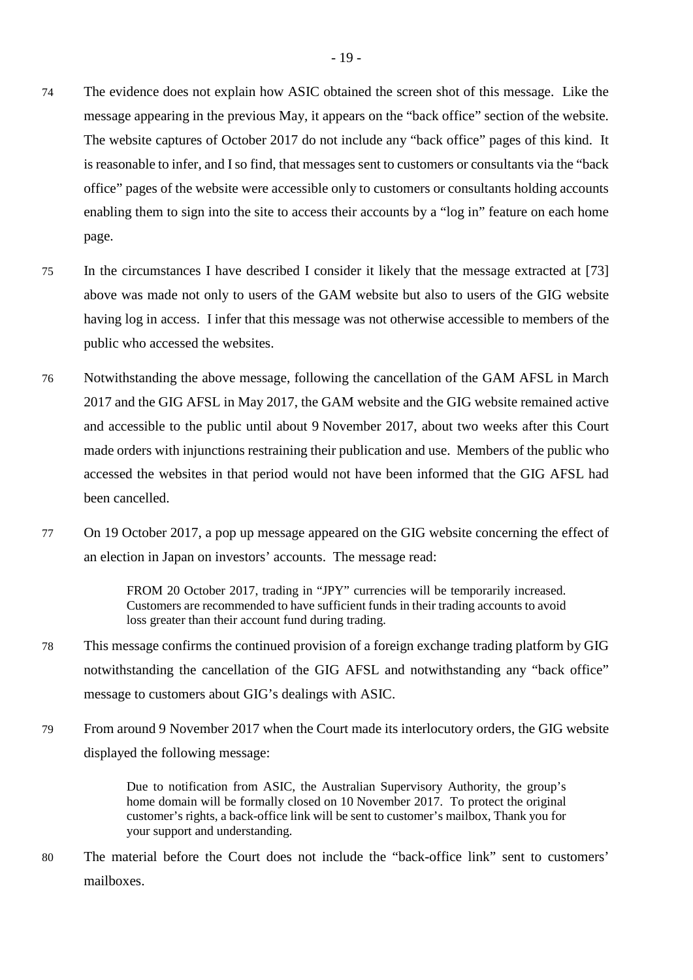- 74 The evidence does not explain how ASIC obtained the screen shot of this message. Like the message appearing in the previous May, it appears on the "back office" section of the website. The website captures of October 2017 do not include any "back office" pages of this kind. It is reasonable to infer, and I so find, that messages sent to customers or consultants via the "back office" pages of the website were accessible only to customers or consultants holding accounts enabling them to sign into the site to access their accounts by a "log in" feature on each home page.
- 75 In the circumstances I have described I consider it likely that the message extracted at [73] above was made not only to users of the GAM website but also to users of the GIG website having log in access. I infer that this message was not otherwise accessible to members of the public who accessed the websites.
- 76 Notwithstanding the above message, following the cancellation of the GAM AFSL in March 2017 and the GIG AFSL in May 2017, the GAM website and the GIG website remained active and accessible to the public until about 9 November 2017, about two weeks after this Court made orders with injunctions restraining their publication and use. Members of the public who accessed the websites in that period would not have been informed that the GIG AFSL had been cancelled.
- 77 On 19 October 2017, a pop up message appeared on the GIG website concerning the effect of an election in Japan on investors' accounts. The message read:

FROM 20 October 2017, trading in "JPY" currencies will be temporarily increased. Customers are recommended to have sufficient funds in their trading accounts to avoid loss greater than their account fund during trading.

- 78 This message confirms the continued provision of a foreign exchange trading platform by GIG notwithstanding the cancellation of the GIG AFSL and notwithstanding any "back office" message to customers about GIG's dealings with ASIC.
- 79 From around 9 November 2017 when the Court made its interlocutory orders, the GIG website displayed the following message:

Due to notification from ASIC, the Australian Supervisory Authority, the group's home domain will be formally closed on 10 November 2017. To protect the original customer's rights, a back-office link will be sent to customer's mailbox, Thank you for your support and understanding.

80 The material before the Court does not include the "back-office link" sent to customers' mailboxes.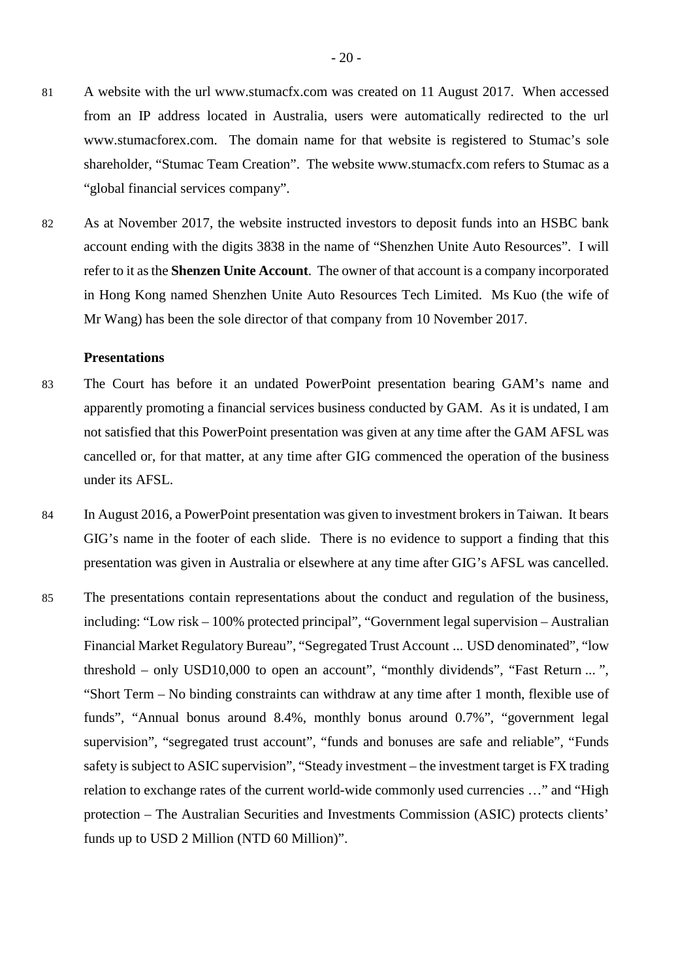- 81 A website with the url www.stumacfx.com was created on 11 August 2017. When accessed from an IP address located in Australia, users were automatically redirected to the url www.stumacforex.com. The domain name for that website is registered to Stumac's sole shareholder, "Stumac Team Creation". The website www.stumacfx.com refers to Stumac as a "global financial services company".
- 82 As at November 2017, the website instructed investors to deposit funds into an HSBC bank account ending with the digits 3838 in the name of "Shenzhen Unite Auto Resources". I will refer to it as the **Shenzen Unite Account**. The owner of that account is a company incorporated in Hong Kong named Shenzhen Unite Auto Resources Tech Limited. Ms Kuo (the wife of Mr Wang) has been the sole director of that company from 10 November 2017.

## <span id="page-25-0"></span>**Presentations**

- 83 The Court has before it an undated PowerPoint presentation bearing GAM's name and apparently promoting a financial services business conducted by GAM. As it is undated, I am not satisfied that this PowerPoint presentation was given at any time after the GAM AFSL was cancelled or, for that matter, at any time after GIG commenced the operation of the business under its AFSL.
- 84 In August 2016, a PowerPoint presentation was given to investment brokers in Taiwan. It bears GIG's name in the footer of each slide. There is no evidence to support a finding that this presentation was given in Australia or elsewhere at any time after GIG's AFSL was cancelled.
- 85 The presentations contain representations about the conduct and regulation of the business, including: "Low risk – 100% protected principal", "Government legal supervision – Australian Financial Market Regulatory Bureau", "Segregated Trust Account ... USD denominated", "low threshold – only USD10,000 to open an account", "monthly dividends", "Fast Return ...", "Short Term – No binding constraints can withdraw at any time after 1 month, flexible use of funds", "Annual bonus around 8.4%, monthly bonus around 0.7%", "government legal supervision", "segregated trust account", "funds and bonuses are safe and reliable", "Funds safety is subject to ASIC supervision", "Steady investment – the investment target is FX trading relation to exchange rates of the current world-wide commonly used currencies …" and "High protection – The Australian Securities and Investments Commission (ASIC) protects clients' funds up to USD 2 Million (NTD 60 Million)".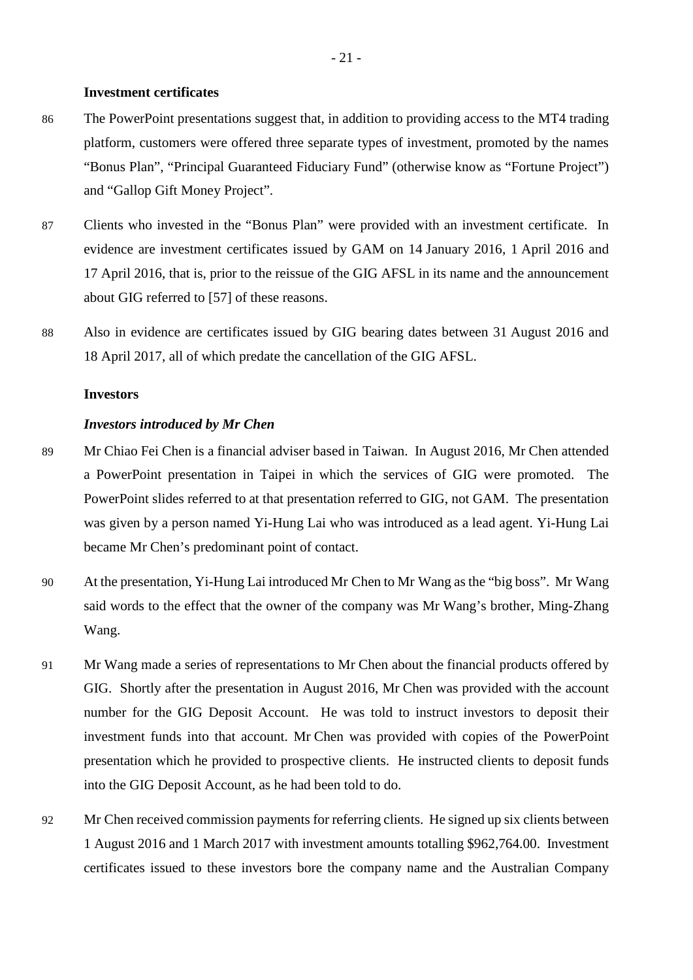#### <span id="page-26-0"></span>**Investment certificates**

- 86 The PowerPoint presentations suggest that, in addition to providing access to the MT4 trading platform, customers were offered three separate types of investment, promoted by the names "Bonus Plan", "Principal Guaranteed Fiduciary Fund" (otherwise know as "Fortune Project") and "Gallop Gift Money Project".
- 87 Clients who invested in the "Bonus Plan" were provided with an investment certificate. In evidence are investment certificates issued by GAM on 14 January 2016, 1 April 2016 and 17 April 2016, that is, prior to the reissue of the GIG AFSL in its name and the announcement about GIG referred to [57] of these reasons.
- 88 Also in evidence are certificates issued by GIG bearing dates between 31 August 2016 and 18 April 2017, all of which predate the cancellation of the GIG AFSL.

#### <span id="page-26-1"></span>**Investors**

#### <span id="page-26-2"></span>*Investors introduced by Mr Chen*

- 89 Mr Chiao Fei Chen is a financial adviser based in Taiwan. In August 2016, Mr Chen attended a PowerPoint presentation in Taipei in which the services of GIG were promoted. The PowerPoint slides referred to at that presentation referred to GIG, not GAM. The presentation was given by a person named Yi-Hung Lai who was introduced as a lead agent. Yi-Hung Lai became Mr Chen's predominant point of contact.
- 90 At the presentation, Yi-Hung Lai introduced Mr Chen to Mr Wang as the "big boss". Mr Wang said words to the effect that the owner of the company was Mr Wang's brother, Ming-Zhang Wang.
- 91 Mr Wang made a series of representations to Mr Chen about the financial products offered by GIG. Shortly after the presentation in August 2016, Mr Chen was provided with the account number for the GIG Deposit Account. He was told to instruct investors to deposit their investment funds into that account. Mr Chen was provided with copies of the PowerPoint presentation which he provided to prospective clients. He instructed clients to deposit funds into the GIG Deposit Account, as he had been told to do.
- 92 Mr Chen received commission payments for referring clients. He signed up six clients between 1 August 2016 and 1 March 2017 with investment amounts totalling \$962,764.00. Investment certificates issued to these investors bore the company name and the Australian Company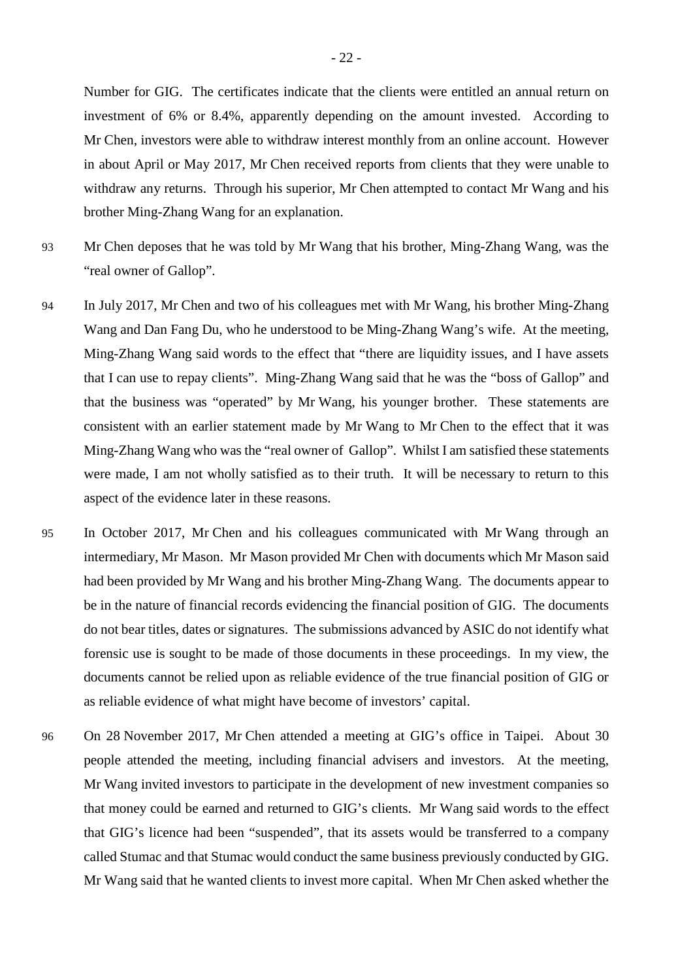Number for GIG. The certificates indicate that the clients were entitled an annual return on investment of 6% or 8.4%, apparently depending on the amount invested. According to Mr Chen, investors were able to withdraw interest monthly from an online account. However in about April or May 2017, Mr Chen received reports from clients that they were unable to withdraw any returns. Through his superior, Mr Chen attempted to contact Mr Wang and his brother Ming-Zhang Wang for an explanation.

- 93 Mr Chen deposes that he was told by Mr Wang that his brother, Ming-Zhang Wang, was the "real owner of Gallop".
- 94 In July 2017, Mr Chen and two of his colleagues met with Mr Wang, his brother Ming-Zhang Wang and Dan Fang Du, who he understood to be Ming-Zhang Wang's wife. At the meeting, Ming-Zhang Wang said words to the effect that "there are liquidity issues, and I have assets that I can use to repay clients". Ming-Zhang Wang said that he was the "boss of Gallop" and that the business was "operated" by Mr Wang, his younger brother. These statements are consistent with an earlier statement made by Mr Wang to Mr Chen to the effect that it was Ming-Zhang Wang who was the "real owner of Gallop". Whilst I am satisfied these statements were made, I am not wholly satisfied as to their truth. It will be necessary to return to this aspect of the evidence later in these reasons.
- 95 In October 2017, Mr Chen and his colleagues communicated with Mr Wang through an intermediary, Mr Mason. Mr Mason provided Mr Chen with documents which Mr Mason said had been provided by Mr Wang and his brother Ming-Zhang Wang. The documents appear to be in the nature of financial records evidencing the financial position of GIG. The documents do not bear titles, dates or signatures. The submissions advanced by ASIC do not identify what forensic use is sought to be made of those documents in these proceedings. In my view, the documents cannot be relied upon as reliable evidence of the true financial position of GIG or as reliable evidence of what might have become of investors' capital.
- 96 On 28 November 2017, Mr Chen attended a meeting at GIG's office in Taipei. About 30 people attended the meeting, including financial advisers and investors. At the meeting, Mr Wang invited investors to participate in the development of new investment companies so that money could be earned and returned to GIG's clients. Mr Wang said words to the effect that GIG's licence had been "suspended", that its assets would be transferred to a company called Stumac and that Stumac would conduct the same business previously conducted by GIG. Mr Wang said that he wanted clients to invest more capital. When Mr Chen asked whether the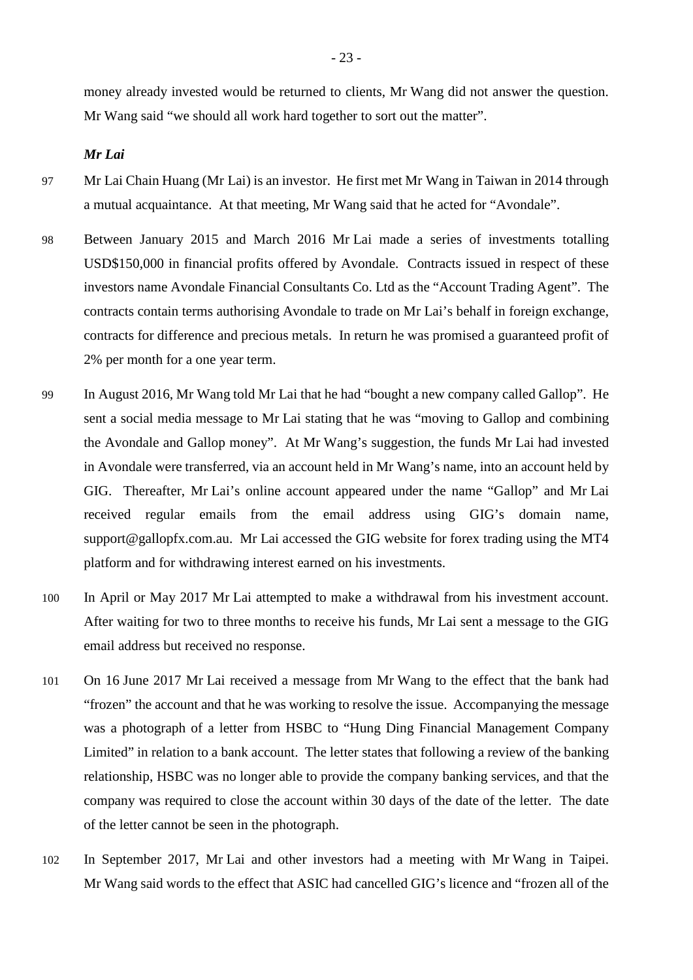money already invested would be returned to clients, Mr Wang did not answer the question. Mr Wang said "we should all work hard together to sort out the matter".

<span id="page-28-0"></span>*Mr Lai*

- 97 Mr Lai Chain Huang (Mr Lai) is an investor. He first met Mr Wang in Taiwan in 2014 through a mutual acquaintance. At that meeting, Mr Wang said that he acted for "Avondale".
- 98 Between January 2015 and March 2016 Mr Lai made a series of investments totalling USD\$150,000 in financial profits offered by Avondale. Contracts issued in respect of these investors name Avondale Financial Consultants Co. Ltd as the "Account Trading Agent". The contracts contain terms authorising Avondale to trade on Mr Lai's behalf in foreign exchange, contracts for difference and precious metals. In return he was promised a guaranteed profit of 2% per month for a one year term.
- 99 In August 2016, Mr Wang told Mr Lai that he had "bought a new company called Gallop". He sent a social media message to Mr Lai stating that he was "moving to Gallop and combining the Avondale and Gallop money". At Mr Wang's suggestion, the funds Mr Lai had invested in Avondale were transferred, via an account held in Mr Wang's name, into an account held by GIG. Thereafter, Mr Lai's online account appeared under the name "Gallop" and Mr Lai received regular emails from the email address using GIG's domain name, support@gallopfx.com.au. Mr Lai accessed the GIG website for forex trading using the MT4 platform and for withdrawing interest earned on his investments.
- 100 In April or May 2017 Mr Lai attempted to make a withdrawal from his investment account. After waiting for two to three months to receive his funds, Mr Lai sent a message to the GIG email address but received no response.
- 101 On 16 June 2017 Mr Lai received a message from Mr Wang to the effect that the bank had "frozen" the account and that he was working to resolve the issue. Accompanying the message was a photograph of a letter from HSBC to "Hung Ding Financial Management Company Limited" in relation to a bank account. The letter states that following a review of the banking relationship, HSBC was no longer able to provide the company banking services, and that the company was required to close the account within 30 days of the date of the letter. The date of the letter cannot be seen in the photograph.
- 102 In September 2017, Mr Lai and other investors had a meeting with Mr Wang in Taipei. Mr Wang said words to the effect that ASIC had cancelled GIG's licence and "frozen all of the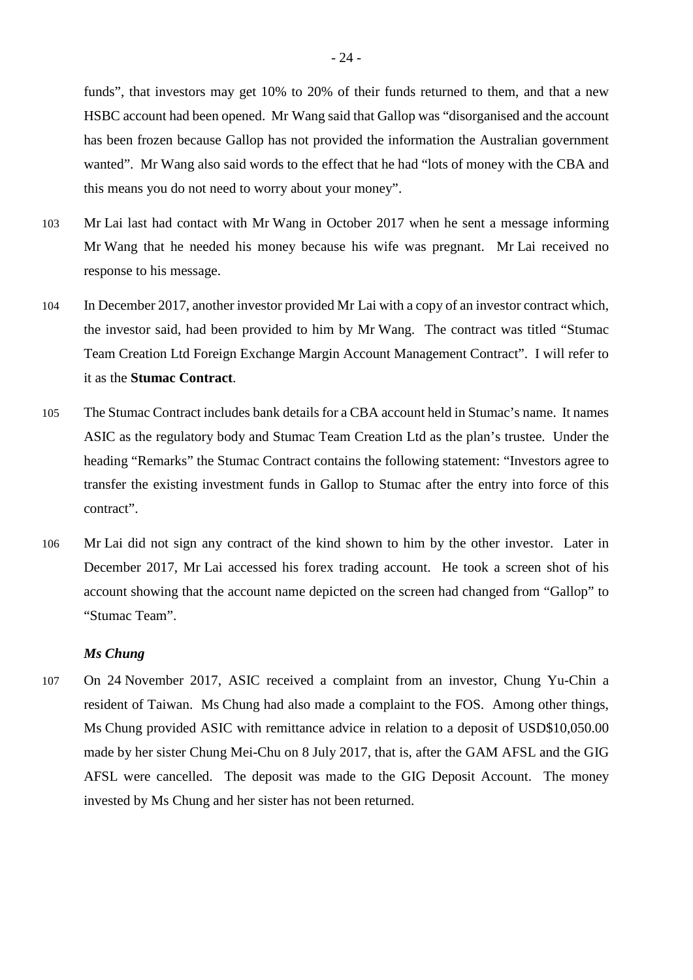funds", that investors may get 10% to 20% of their funds returned to them, and that a new HSBC account had been opened. Mr Wang said that Gallop was "disorganised and the account has been frozen because Gallop has not provided the information the Australian government wanted". Mr Wang also said words to the effect that he had "lots of money with the CBA and this means you do not need to worry about your money".

- 103 Mr Lai last had contact with Mr Wang in October 2017 when he sent a message informing Mr Wang that he needed his money because his wife was pregnant. Mr Lai received no response to his message.
- 104 In December 2017, another investor provided Mr Lai with a copy of an investor contract which, the investor said, had been provided to him by Mr Wang. The contract was titled "Stumac Team Creation Ltd Foreign Exchange Margin Account Management Contract". I will refer to it as the **Stumac Contract**.
- 105 The Stumac Contract includes bank details for a CBA account held in Stumac's name. It names ASIC as the regulatory body and Stumac Team Creation Ltd as the plan's trustee. Under the heading "Remarks" the Stumac Contract contains the following statement: "Investors agree to transfer the existing investment funds in Gallop to Stumac after the entry into force of this contract".
- 106 Mr Lai did not sign any contract of the kind shown to him by the other investor. Later in December 2017, Mr Lai accessed his forex trading account. He took a screen shot of his account showing that the account name depicted on the screen had changed from "Gallop" to "Stumac Team".

#### <span id="page-29-0"></span>*Ms Chung*

107 On 24 November 2017, ASIC received a complaint from an investor, Chung Yu-Chin a resident of Taiwan. Ms Chung had also made a complaint to the FOS. Among other things, Ms Chung provided ASIC with remittance advice in relation to a deposit of USD\$10,050.00 made by her sister Chung Mei-Chu on 8 July 2017, that is, after the GAM AFSL and the GIG AFSL were cancelled. The deposit was made to the GIG Deposit Account. The money invested by Ms Chung and her sister has not been returned.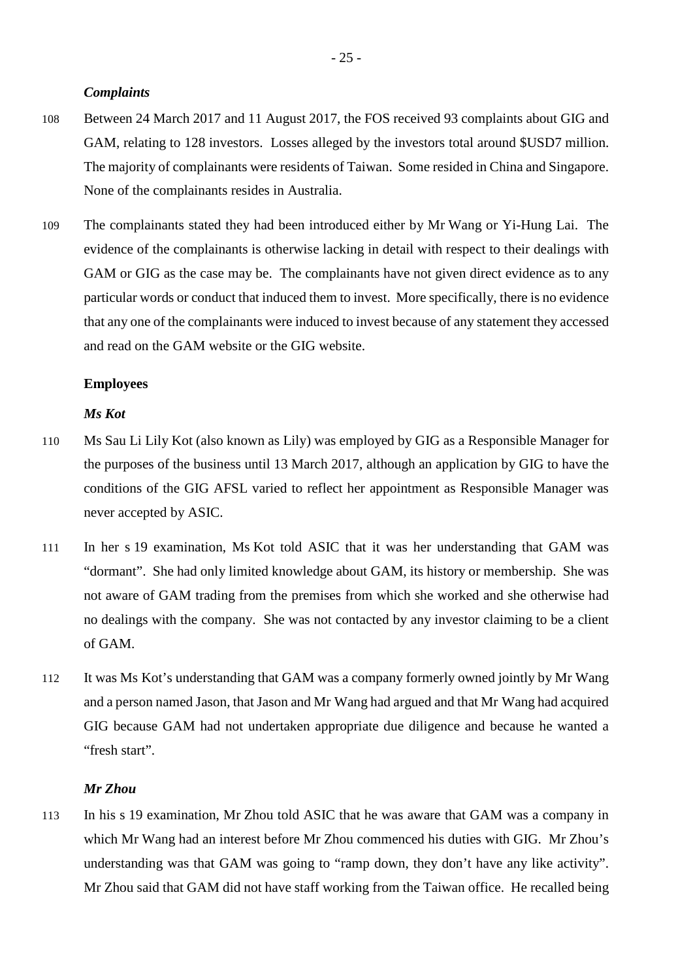#### <span id="page-30-0"></span>*Complaints*

- 108 Between 24 March 2017 and 11 August 2017, the FOS received 93 complaints about GIG and GAM, relating to 128 investors. Losses alleged by the investors total around \$USD7 million. The majority of complainants were residents of Taiwan. Some resided in China and Singapore. None of the complainants resides in Australia.
- 109 The complainants stated they had been introduced either by Mr Wang or Yi-Hung Lai. The evidence of the complainants is otherwise lacking in detail with respect to their dealings with GAM or GIG as the case may be. The complainants have not given direct evidence as to any particular words or conduct that induced them to invest. More specifically, there is no evidence that any one of the complainants were induced to invest because of any statement they accessed and read on the GAM website or the GIG website.

#### <span id="page-30-1"></span>**Employees**

## <span id="page-30-2"></span>*Ms Kot*

- 110 Ms Sau Li Lily Kot (also known as Lily) was employed by GIG as a Responsible Manager for the purposes of the business until 13 March 2017, although an application by GIG to have the conditions of the GIG AFSL varied to reflect her appointment as Responsible Manager was never accepted by ASIC.
- 111 In her s 19 examination, Ms Kot told ASIC that it was her understanding that GAM was "dormant". She had only limited knowledge about GAM, its history or membership. She was not aware of GAM trading from the premises from which she worked and she otherwise had no dealings with the company. She was not contacted by any investor claiming to be a client of GAM.
- 112 It was Ms Kot's understanding that GAM was a company formerly owned jointly by Mr Wang and a person named Jason, that Jason and Mr Wang had argued and that Mr Wang had acquired GIG because GAM had not undertaken appropriate due diligence and because he wanted a "fresh start".

# <span id="page-30-3"></span>*Mr Zhou*

113 In his s 19 examination, Mr Zhou told ASIC that he was aware that GAM was a company in which Mr Wang had an interest before Mr Zhou commenced his duties with GIG. Mr Zhou's understanding was that GAM was going to "ramp down, they don't have any like activity". Mr Zhou said that GAM did not have staff working from the Taiwan office. He recalled being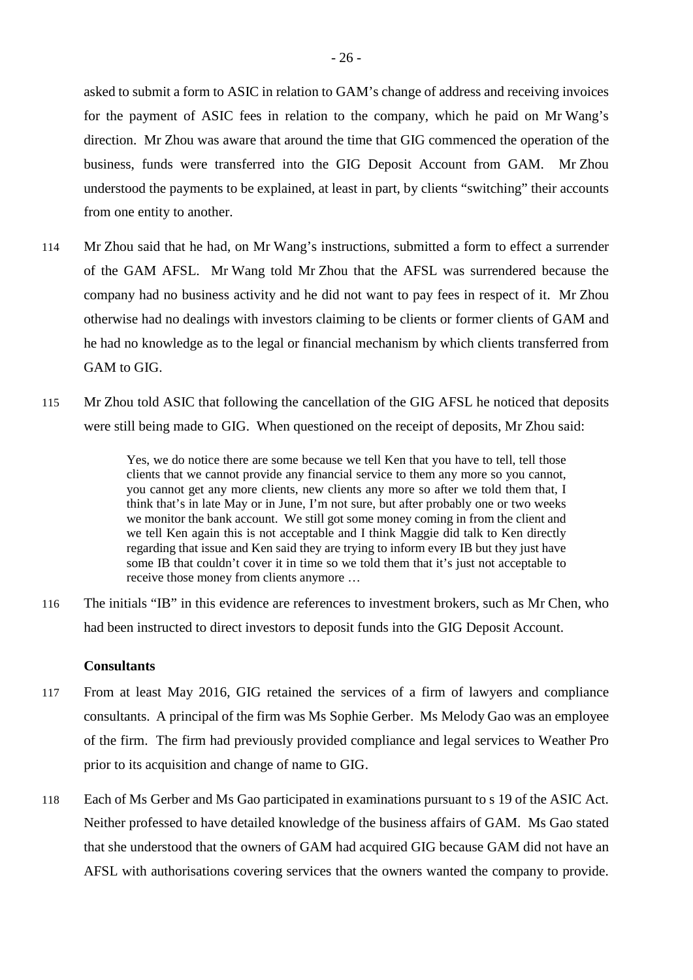asked to submit a form to ASIC in relation to GAM's change of address and receiving invoices for the payment of ASIC fees in relation to the company, which he paid on Mr Wang's direction. Mr Zhou was aware that around the time that GIG commenced the operation of the business, funds were transferred into the GIG Deposit Account from GAM. Mr Zhou understood the payments to be explained, at least in part, by clients "switching" their accounts from one entity to another.

- 114 Mr Zhou said that he had, on Mr Wang's instructions, submitted a form to effect a surrender of the GAM AFSL. Mr Wang told Mr Zhou that the AFSL was surrendered because the company had no business activity and he did not want to pay fees in respect of it. Mr Zhou otherwise had no dealings with investors claiming to be clients or former clients of GAM and he had no knowledge as to the legal or financial mechanism by which clients transferred from GAM to GIG.
- 115 Mr Zhou told ASIC that following the cancellation of the GIG AFSL he noticed that deposits were still being made to GIG. When questioned on the receipt of deposits, Mr Zhou said:

Yes, we do notice there are some because we tell Ken that you have to tell, tell those clients that we cannot provide any financial service to them any more so you cannot, you cannot get any more clients, new clients any more so after we told them that, I think that's in late May or in June, I'm not sure, but after probably one or two weeks we monitor the bank account. We still got some money coming in from the client and we tell Ken again this is not acceptable and I think Maggie did talk to Ken directly regarding that issue and Ken said they are trying to inform every IB but they just have some IB that couldn't cover it in time so we told them that it's just not acceptable to receive those money from clients anymore …

116 The initials "IB" in this evidence are references to investment brokers, such as Mr Chen, who had been instructed to direct investors to deposit funds into the GIG Deposit Account.

#### <span id="page-31-0"></span>**Consultants**

- 117 From at least May 2016, GIG retained the services of a firm of lawyers and compliance consultants. A principal of the firm was Ms Sophie Gerber. Ms Melody Gao was an employee of the firm. The firm had previously provided compliance and legal services to Weather Pro prior to its acquisition and change of name to GIG.
- 118 Each of Ms Gerber and Ms Gao participated in examinations pursuant to s 19 of the ASIC Act. Neither professed to have detailed knowledge of the business affairs of GAM. Ms Gao stated that she understood that the owners of GAM had acquired GIG because GAM did not have an AFSL with authorisations covering services that the owners wanted the company to provide.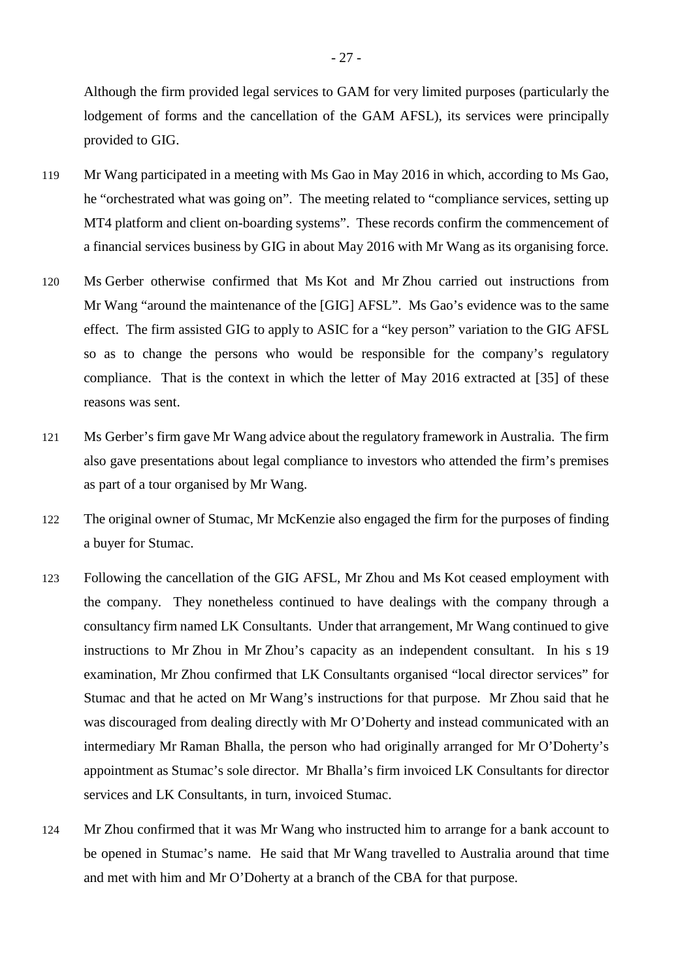Although the firm provided legal services to GAM for very limited purposes (particularly the lodgement of forms and the cancellation of the GAM AFSL), its services were principally provided to GIG.

- 119 Mr Wang participated in a meeting with Ms Gao in May 2016 in which, according to Ms Gao, he "orchestrated what was going on". The meeting related to "compliance services, setting up MT4 platform and client on-boarding systems". These records confirm the commencement of a financial services business by GIG in about May 2016 with Mr Wang as its organising force.
- 120 Ms Gerber otherwise confirmed that Ms Kot and Mr Zhou carried out instructions from Mr Wang "around the maintenance of the [GIG] AFSL". Ms Gao's evidence was to the same effect. The firm assisted GIG to apply to ASIC for a "key person" variation to the GIG AFSL so as to change the persons who would be responsible for the company's regulatory compliance. That is the context in which the letter of May 2016 extracted at [35] of these reasons was sent.
- 121 Ms Gerber's firm gave Mr Wang advice about the regulatory framework in Australia. The firm also gave presentations about legal compliance to investors who attended the firm's premises as part of a tour organised by Mr Wang.
- 122 The original owner of Stumac, Mr McKenzie also engaged the firm for the purposes of finding a buyer for Stumac.
- 123 Following the cancellation of the GIG AFSL, Mr Zhou and Ms Kot ceased employment with the company. They nonetheless continued to have dealings with the company through a consultancy firm named LK Consultants. Under that arrangement, Mr Wang continued to give instructions to Mr Zhou in Mr Zhou's capacity as an independent consultant. In his s 19 examination, Mr Zhou confirmed that LK Consultants organised "local director services" for Stumac and that he acted on Mr Wang's instructions for that purpose. Mr Zhou said that he was discouraged from dealing directly with Mr O'Doherty and instead communicated with an intermediary Mr Raman Bhalla, the person who had originally arranged for Mr O'Doherty's appointment as Stumac's sole director. Mr Bhalla's firm invoiced LK Consultants for director services and LK Consultants, in turn, invoiced Stumac.
- 124 Mr Zhou confirmed that it was Mr Wang who instructed him to arrange for a bank account to be opened in Stumac's name. He said that Mr Wang travelled to Australia around that time and met with him and Mr O'Doherty at a branch of the CBA for that purpose.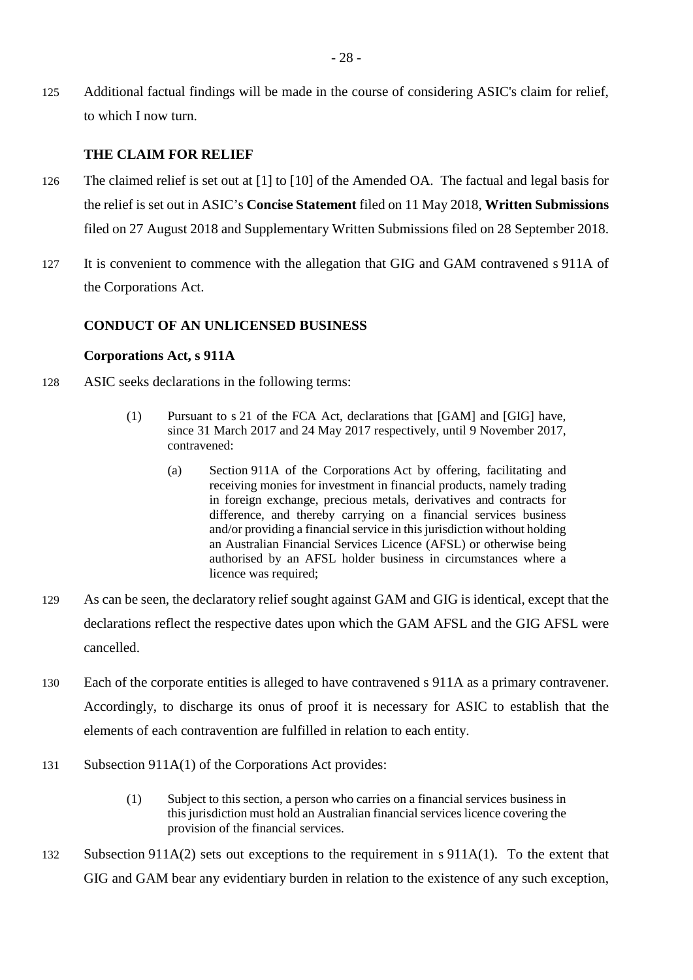125 Additional factual findings will be made in the course of considering ASIC's claim for relief, to which I now turn.

# <span id="page-33-0"></span>**THE CLAIM FOR RELIEF**

- 126 The claimed relief is set out at [1] to [10] of the Amended OA. The factual and legal basis for the relief is set out in ASIC's **Concise Statement** filed on 11 May 2018, **Written Submissions**  filed on 27 August 2018 and Supplementary Written Submissions filed on 28 September 2018.
- 127 It is convenient to commence with the allegation that GIG and GAM contravened s 911A of the Corporations Act.

# <span id="page-33-1"></span>**CONDUCT OF AN UNLICENSED BUSINESS**

# <span id="page-33-2"></span>**Corporations Act, s 911A**

- 128 ASIC seeks declarations in the following terms:
	- (1) Pursuant to s 21 of the FCA Act, declarations that [GAM] and [GIG] have, since 31 March 2017 and 24 May 2017 respectively, until 9 November 2017, contravened:
		- (a) Section 911A of the Corporations Act by offering, facilitating and receiving monies for investment in financial products, namely trading in foreign exchange, precious metals, derivatives and contracts for difference, and thereby carrying on a financial services business and/or providing a financial service in this jurisdiction without holding an Australian Financial Services Licence (AFSL) or otherwise being authorised by an AFSL holder business in circumstances where a licence was required;
- 129 As can be seen, the declaratory relief sought against GAM and GIG is identical, except that the declarations reflect the respective dates upon which the GAM AFSL and the GIG AFSL were cancelled.
- 130 Each of the corporate entities is alleged to have contravened s 911A as a primary contravener. Accordingly, to discharge its onus of proof it is necessary for ASIC to establish that the elements of each contravention are fulfilled in relation to each entity.
- 131 Subsection 911A(1) of the Corporations Act provides:
	- (1) Subject to this section, a person who carries on a financial services business in this jurisdiction must hold an Australian financial services licence covering the provision of the financial services.
- 132 Subsection 911A(2) sets out exceptions to the requirement in s 911A(1). To the extent that GIG and GAM bear any evidentiary burden in relation to the existence of any such exception,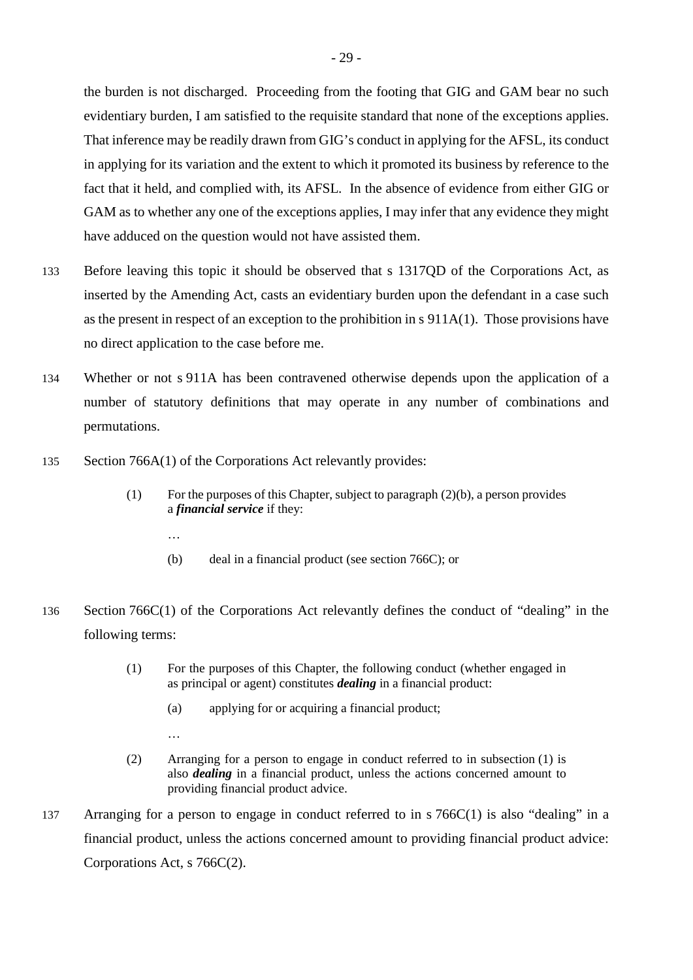the burden is not discharged. Proceeding from the footing that GIG and GAM bear no such evidentiary burden, I am satisfied to the requisite standard that none of the exceptions applies. That inference may be readily drawn from GIG's conduct in applying for the AFSL, its conduct in applying for its variation and the extent to which it promoted its business by reference to the fact that it held, and complied with, its AFSL. In the absence of evidence from either GIG or GAM as to whether any one of the exceptions applies, I may infer that any evidence they might have adduced on the question would not have assisted them.

- 133 Before leaving this topic it should be observed that s 1317QD of the Corporations Act, as inserted by the Amending Act, casts an evidentiary burden upon the defendant in a case such as the present in respect of an exception to the prohibition in s 911A(1). Those provisions have no direct application to the case before me.
- 134 Whether or not s 911A has been contravened otherwise depends upon the application of a number of statutory definitions that may operate in any number of combinations and permutations.
- 135 Section 766A(1) of the Corporations Act relevantly provides:
	- (1) For the purposes of this Chapter, subject to paragraph  $(2)(b)$ , a person provides a *financial service* if they:
		- …

…

- (b) deal in a financial product (see section 766C); or
- 136 Section 766C(1) of the Corporations Act relevantly defines the conduct of "dealing" in the following terms:
	- (1) For the purposes of this Chapter, the following conduct (whether engaged in as principal or agent) constitutes *dealing* in a financial product:
		- (a) applying for or acquiring a financial product;
	- (2) Arranging for a person to engage in conduct referred to in subsection (1) is also *dealing* in a financial product, unless the actions concerned amount to providing financial product advice.
- 137 Arranging for a person to engage in conduct referred to in s 766C(1) is also "dealing" in a financial product, unless the actions concerned amount to providing financial product advice: Corporations Act, s 766C(2).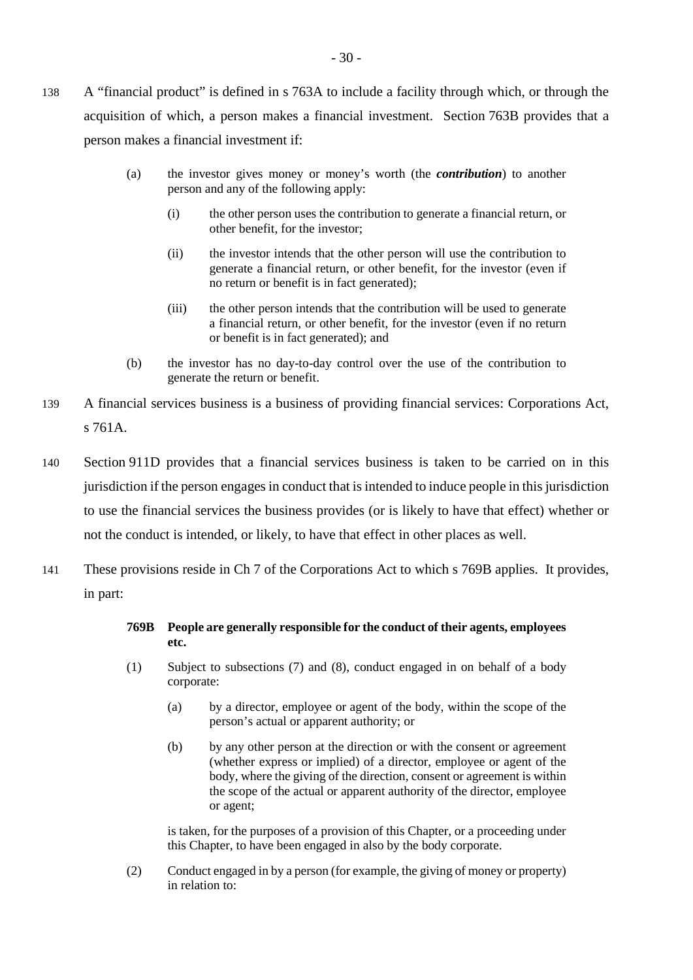- 138 A "financial product" is defined in s 763A to include a facility through which, or through the acquisition of which, a person makes a financial investment. Section 763B provides that a person makes a financial investment if:
	- (a) the investor gives money or money's worth (the *contribution*) to another person and any of the following apply:
		- (i) the other person uses the contribution to generate a financial return, or other benefit, for the investor;
		- (ii) the investor intends that the other person will use the contribution to generate a financial return, or other benefit, for the investor (even if no return or benefit is in fact generated);
		- (iii) the other person intends that the contribution will be used to generate a financial return, or other benefit, for the investor (even if no return or benefit is in fact generated); and
	- (b) the investor has no day-to-day control over the use of the contribution to generate the return or benefit.
- 139 A financial services business is a business of providing financial services: Corporations Act, s 761A.
- 140 Section 911D provides that a financial services business is taken to be carried on in this jurisdiction if the person engages in conduct that is intended to induce people in this jurisdiction to use the financial services the business provides (or is likely to have that effect) whether or not the conduct is intended, or likely, to have that effect in other places as well.
- 141 These provisions reside in Ch 7 of the Corporations Act to which s 769B applies. It provides, in part:

## **769B People are generally responsible for the conduct of their agents, employees etc.**

- (1) Subject to subsections (7) and (8), conduct engaged in on behalf of a body corporate:
	- (a) by a director, employee or agent of the body, within the scope of the person's actual or apparent authority; or
	- (b) by any other person at the direction or with the consent or agreement (whether express or implied) of a director, employee or agent of the body, where the giving of the direction, consent or agreement is within the scope of the actual or apparent authority of the director, employee or agent;

is taken, for the purposes of a provision of this Chapter, or a proceeding under this Chapter, to have been engaged in also by the body corporate.

(2) Conduct engaged in by a person (for example, the giving of money or property) in relation to: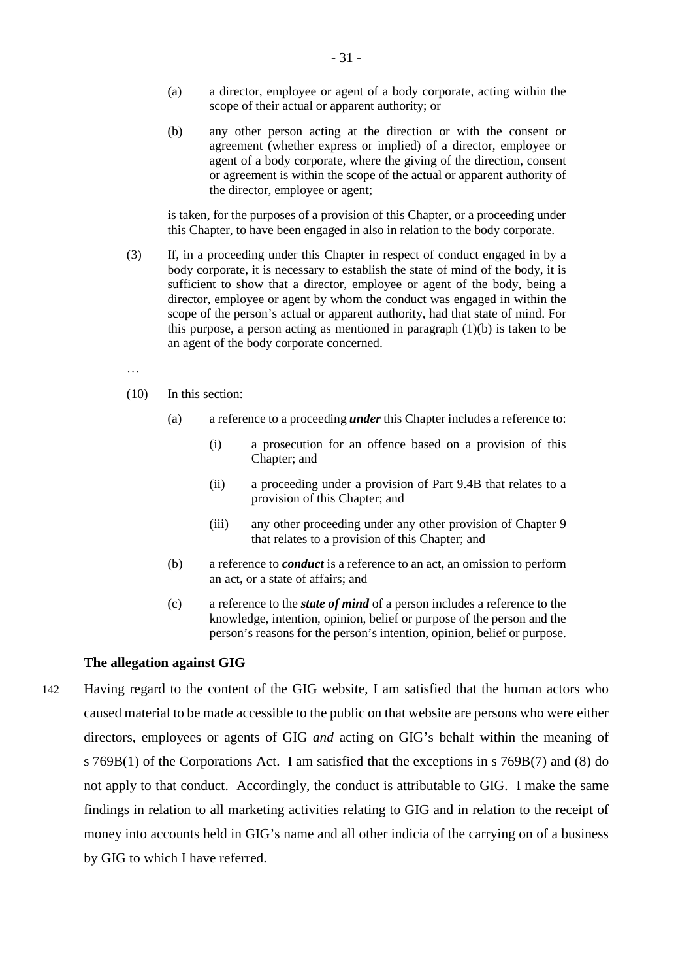- (a) a director, employee or agent of a body corporate, acting within the scope of their actual or apparent authority; or
- (b) any other person acting at the direction or with the consent or agreement (whether express or implied) of a director, employee or agent of a body corporate, where the giving of the direction, consent or agreement is within the scope of the actual or apparent authority of the director, employee or agent;

is taken, for the purposes of a provision of this Chapter, or a proceeding under this Chapter, to have been engaged in also in relation to the body corporate.

- (3) If, in a proceeding under this Chapter in respect of conduct engaged in by a body corporate, it is necessary to establish the state of mind of the body, it is sufficient to show that a director, employee or agent of the body, being a director, employee or agent by whom the conduct was engaged in within the scope of the person's actual or apparent authority, had that state of mind. For this purpose, a person acting as mentioned in paragraph  $(1)(b)$  is taken to be an agent of the body corporate concerned.
- …
- (10) In this section:
	- (a) a reference to a proceeding *under* this Chapter includes a reference to:
		- (i) a prosecution for an offence based on a provision of this Chapter; and
		- (ii) a proceeding under a provision of Part 9.4B that relates to a provision of this Chapter; and
		- (iii) any other proceeding under any other provision of Chapter 9 that relates to a provision of this Chapter; and
	- (b) a reference to *conduct* is a reference to an act, an omission to perform an act, or a state of affairs; and
	- (c) a reference to the *state of mind* of a person includes a reference to the knowledge, intention, opinion, belief or purpose of the person and the person's reasons for the person's intention, opinion, belief or purpose.

#### **The allegation against GIG**

142 Having regard to the content of the GIG website, I am satisfied that the human actors who caused material to be made accessible to the public on that website are persons who were either directors, employees or agents of GIG *and* acting on GIG's behalf within the meaning of s 769B(1) of the Corporations Act. I am satisfied that the exceptions in s 769B(7) and (8) do not apply to that conduct. Accordingly, the conduct is attributable to GIG. I make the same findings in relation to all marketing activities relating to GIG and in relation to the receipt of money into accounts held in GIG's name and all other indicia of the carrying on of a business by GIG to which I have referred.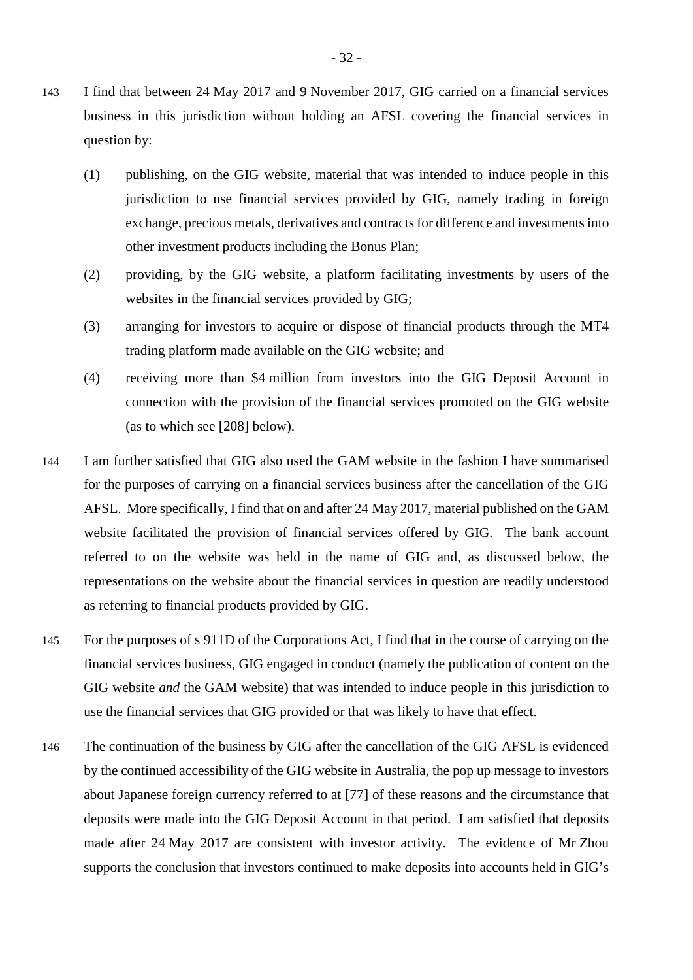- 143 I find that between 24 May 2017 and 9 November 2017, GIG carried on a financial services business in this jurisdiction without holding an AFSL covering the financial services in question by:
	- (1) publishing, on the GIG website, material that was intended to induce people in this jurisdiction to use financial services provided by GIG, namely trading in foreign exchange, precious metals, derivatives and contracts for difference and investments into other investment products including the Bonus Plan;
	- (2) providing, by the GIG website, a platform facilitating investments by users of the websites in the financial services provided by GIG;
	- (3) arranging for investors to acquire or dispose of financial products through the MT4 trading platform made available on the GIG website; and
	- (4) receiving more than \$4 million from investors into the GIG Deposit Account in connection with the provision of the financial services promoted on the GIG website (as to which see [208] below).
- 144 I am further satisfied that GIG also used the GAM website in the fashion I have summarised for the purposes of carrying on a financial services business after the cancellation of the GIG AFSL. More specifically, I find that on and after 24 May 2017, material published on the GAM website facilitated the provision of financial services offered by GIG. The bank account referred to on the website was held in the name of GIG and, as discussed below, the representations on the website about the financial services in question are readily understood as referring to financial products provided by GIG.
- 145 For the purposes of s 911D of the Corporations Act, I find that in the course of carrying on the financial services business, GIG engaged in conduct (namely the publication of content on the GIG website *and* the GAM website) that was intended to induce people in this jurisdiction to use the financial services that GIG provided or that was likely to have that effect.
- 146 The continuation of the business by GIG after the cancellation of the GIG AFSL is evidenced by the continued accessibility of the GIG website in Australia, the pop up message to investors about Japanese foreign currency referred to at [77] of these reasons and the circumstance that deposits were made into the GIG Deposit Account in that period. I am satisfied that deposits made after 24 May 2017 are consistent with investor activity. The evidence of Mr Zhou supports the conclusion that investors continued to make deposits into accounts held in GIG's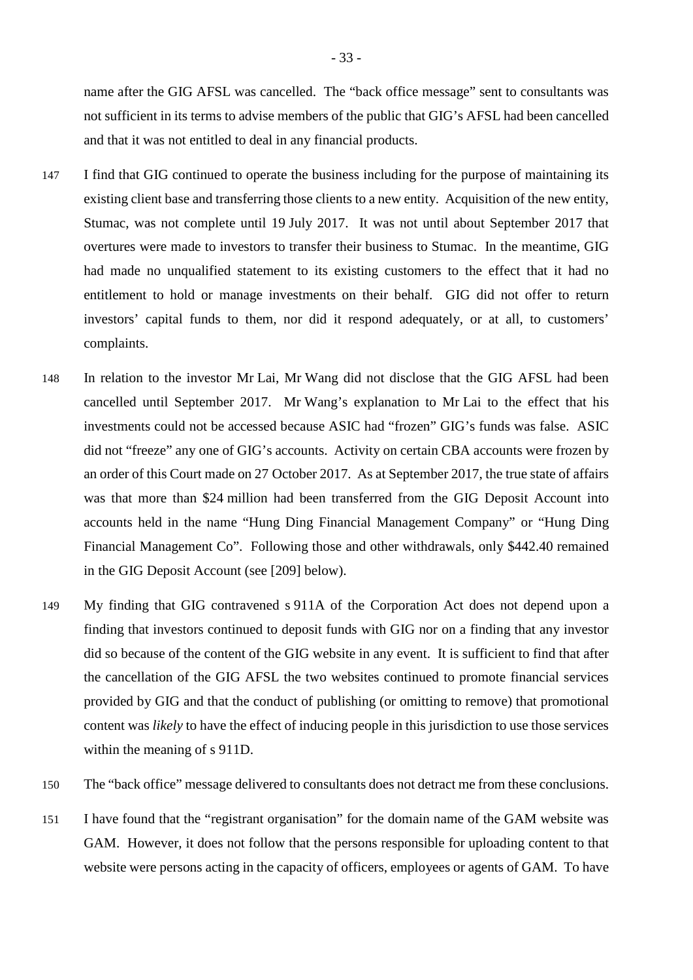name after the GIG AFSL was cancelled. The "back office message" sent to consultants was not sufficient in its terms to advise members of the public that GIG's AFSL had been cancelled and that it was not entitled to deal in any financial products.

- 147 I find that GIG continued to operate the business including for the purpose of maintaining its existing client base and transferring those clients to a new entity. Acquisition of the new entity, Stumac, was not complete until 19 July 2017. It was not until about September 2017 that overtures were made to investors to transfer their business to Stumac. In the meantime, GIG had made no unqualified statement to its existing customers to the effect that it had no entitlement to hold or manage investments on their behalf. GIG did not offer to return investors' capital funds to them, nor did it respond adequately, or at all, to customers' complaints.
- 148 In relation to the investor Mr Lai, Mr Wang did not disclose that the GIG AFSL had been cancelled until September 2017. Mr Wang's explanation to Mr Lai to the effect that his investments could not be accessed because ASIC had "frozen" GIG's funds was false. ASIC did not "freeze" any one of GIG's accounts. Activity on certain CBA accounts were frozen by an order of this Court made on 27 October 2017. As at September 2017, the true state of affairs was that more than \$24 million had been transferred from the GIG Deposit Account into accounts held in the name "Hung Ding Financial Management Company" or "Hung Ding Financial Management Co". Following those and other withdrawals, only \$442.40 remained in the GIG Deposit Account (see [209] below).
- 149 My finding that GIG contravened s 911A of the Corporation Act does not depend upon a finding that investors continued to deposit funds with GIG nor on a finding that any investor did so because of the content of the GIG website in any event. It is sufficient to find that after the cancellation of the GIG AFSL the two websites continued to promote financial services provided by GIG and that the conduct of publishing (or omitting to remove) that promotional content was *likely* to have the effect of inducing people in this jurisdiction to use those services within the meaning of s 911D.
- 150 The "back office" message delivered to consultants does not detract me from these conclusions.
- 151 I have found that the "registrant organisation" for the domain name of the GAM website was GAM. However, it does not follow that the persons responsible for uploading content to that website were persons acting in the capacity of officers, employees or agents of GAM. To have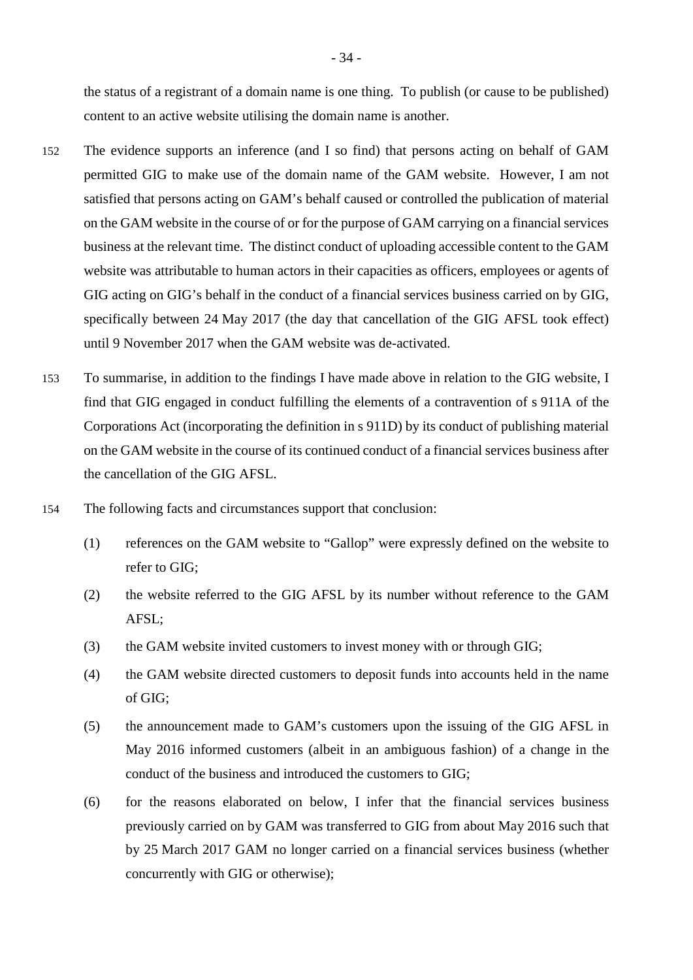the status of a registrant of a domain name is one thing. To publish (or cause to be published) content to an active website utilising the domain name is another.

- 152 The evidence supports an inference (and I so find) that persons acting on behalf of GAM permitted GIG to make use of the domain name of the GAM website. However, I am not satisfied that persons acting on GAM's behalf caused or controlled the publication of material on the GAM website in the course of or for the purpose of GAM carrying on a financial services business at the relevant time. The distinct conduct of uploading accessible content to the GAM website was attributable to human actors in their capacities as officers, employees or agents of GIG acting on GIG's behalf in the conduct of a financial services business carried on by GIG, specifically between 24 May 2017 (the day that cancellation of the GIG AFSL took effect) until 9 November 2017 when the GAM website was de-activated.
- 153 To summarise, in addition to the findings I have made above in relation to the GIG website, I find that GIG engaged in conduct fulfilling the elements of a contravention of s 911A of the Corporations Act (incorporating the definition in s 911D) by its conduct of publishing material on the GAM website in the course of its continued conduct of a financial services business after the cancellation of the GIG AFSL.
- 154 The following facts and circumstances support that conclusion:
	- (1) references on the GAM website to "Gallop" were expressly defined on the website to refer to GIG;
	- (2) the website referred to the GIG AFSL by its number without reference to the GAM AFSL;
	- (3) the GAM website invited customers to invest money with or through GIG;
	- (4) the GAM website directed customers to deposit funds into accounts held in the name of GIG;
	- (5) the announcement made to GAM's customers upon the issuing of the GIG AFSL in May 2016 informed customers (albeit in an ambiguous fashion) of a change in the conduct of the business and introduced the customers to GIG;
	- (6) for the reasons elaborated on below, I infer that the financial services business previously carried on by GAM was transferred to GIG from about May 2016 such that by 25 March 2017 GAM no longer carried on a financial services business (whether concurrently with GIG or otherwise);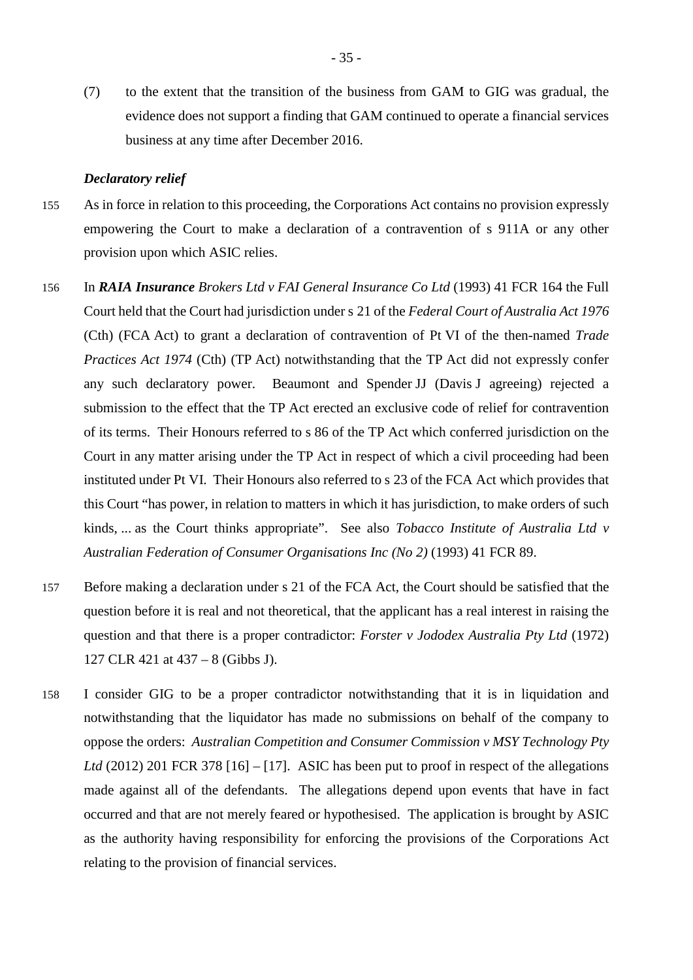(7) to the extent that the transition of the business from GAM to GIG was gradual, the evidence does not support a finding that GAM continued to operate a financial services business at any time after December 2016.

### *Declaratory relief*

- 155 As in force in relation to this proceeding, the Corporations Act contains no provision expressly empowering the Court to make a declaration of a contravention of s 911A or any other provision upon which ASIC relies.
- 156 In *RAIA Insurance Brokers Ltd v FAI General Insurance Co Ltd* (1993) 41 FCR 164 the Full Court held that the Court had jurisdiction under s 21 of the *Federal Court of Australia Act 1976* (Cth) (FCA Act) to grant a declaration of contravention of Pt VI of the then-named *Trade Practices Act 1974* (Cth) (TP Act) notwithstanding that the TP Act did not expressly confer any such declaratory power. Beaumont and Spender JJ (Davis J agreeing) rejected a submission to the effect that the TP Act erected an exclusive code of relief for contravention of its terms. Their Honours referred to s 86 of the TP Act which conferred jurisdiction on the Court in any matter arising under the TP Act in respect of which a civil proceeding had been instituted under Pt VI. Their Honours also referred to s 23 of the FCA Act which provides that this Court "has power, in relation to matters in which it has jurisdiction, to make orders of such kinds, ... as the Court thinks appropriate". See also *Tobacco Institute of Australia Ltd v Australian Federation of Consumer Organisations Inc (No 2)* (1993) 41 FCR 89.
- 157 Before making a declaration under s 21 of the FCA Act, the Court should be satisfied that the question before it is real and not theoretical, that the applicant has a real interest in raising the question and that there is a proper contradictor: *Forster v Jododex Australia Pty Ltd* (1972) 127 CLR 421 at 437 – 8 (Gibbs J).
- 158 I consider GIG to be a proper contradictor notwithstanding that it is in liquidation and notwithstanding that the liquidator has made no submissions on behalf of the company to oppose the orders: *Australian Competition and Consumer Commission v MSY Technology Pty Ltd* (2012) 201 FCR 378 [16] – [17]. ASIC has been put to proof in respect of the allegations made against all of the defendants. The allegations depend upon events that have in fact occurred and that are not merely feared or hypothesised. The application is brought by ASIC as the authority having responsibility for enforcing the provisions of the Corporations Act relating to the provision of financial services.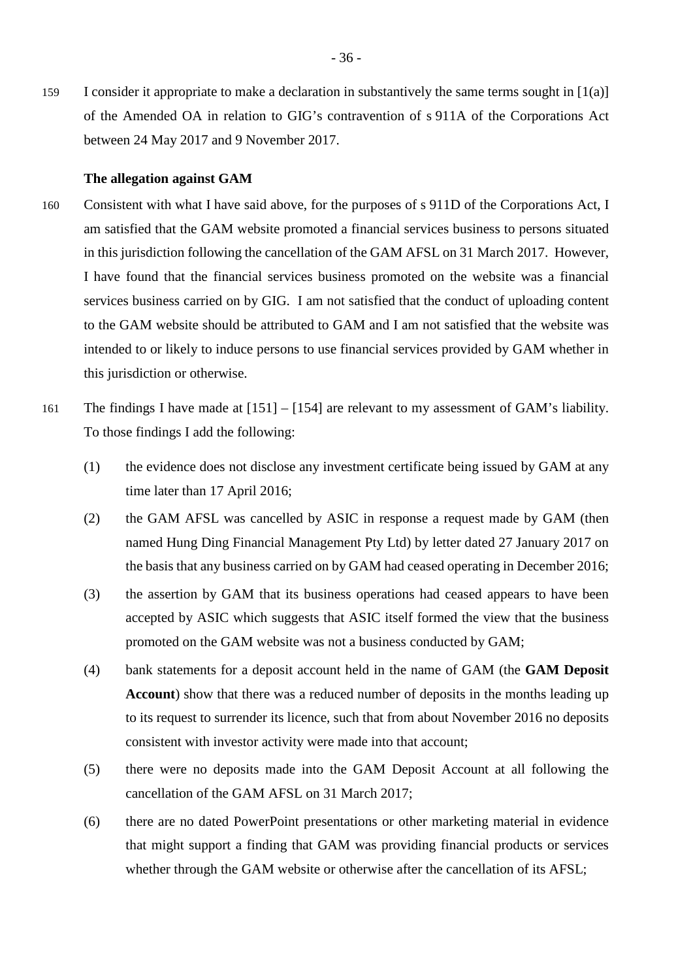159 I consider it appropriate to make a declaration in substantively the same terms sought in [1(a)] of the Amended OA in relation to GIG's contravention of s 911A of the Corporations Act between 24 May 2017 and 9 November 2017.

### **The allegation against GAM**

- 160 Consistent with what I have said above, for the purposes of s 911D of the Corporations Act, I am satisfied that the GAM website promoted a financial services business to persons situated in this jurisdiction following the cancellation of the GAM AFSL on 31 March 2017. However, I have found that the financial services business promoted on the website was a financial services business carried on by GIG. I am not satisfied that the conduct of uploading content to the GAM website should be attributed to GAM and I am not satisfied that the website was intended to or likely to induce persons to use financial services provided by GAM whether in this jurisdiction or otherwise.
- 161 The findings I have made at [151] [154] are relevant to my assessment of GAM's liability. To those findings I add the following:
	- (1) the evidence does not disclose any investment certificate being issued by GAM at any time later than 17 April 2016;
	- (2) the GAM AFSL was cancelled by ASIC in response a request made by GAM (then named Hung Ding Financial Management Pty Ltd) by letter dated 27 January 2017 on the basis that any business carried on by GAM had ceased operating in December 2016;
	- (3) the assertion by GAM that its business operations had ceased appears to have been accepted by ASIC which suggests that ASIC itself formed the view that the business promoted on the GAM website was not a business conducted by GAM;
	- (4) bank statements for a deposit account held in the name of GAM (the **GAM Deposit Account**) show that there was a reduced number of deposits in the months leading up to its request to surrender its licence, such that from about November 2016 no deposits consistent with investor activity were made into that account;
	- (5) there were no deposits made into the GAM Deposit Account at all following the cancellation of the GAM AFSL on 31 March 2017;
	- (6) there are no dated PowerPoint presentations or other marketing material in evidence that might support a finding that GAM was providing financial products or services whether through the GAM website or otherwise after the cancellation of its AFSL;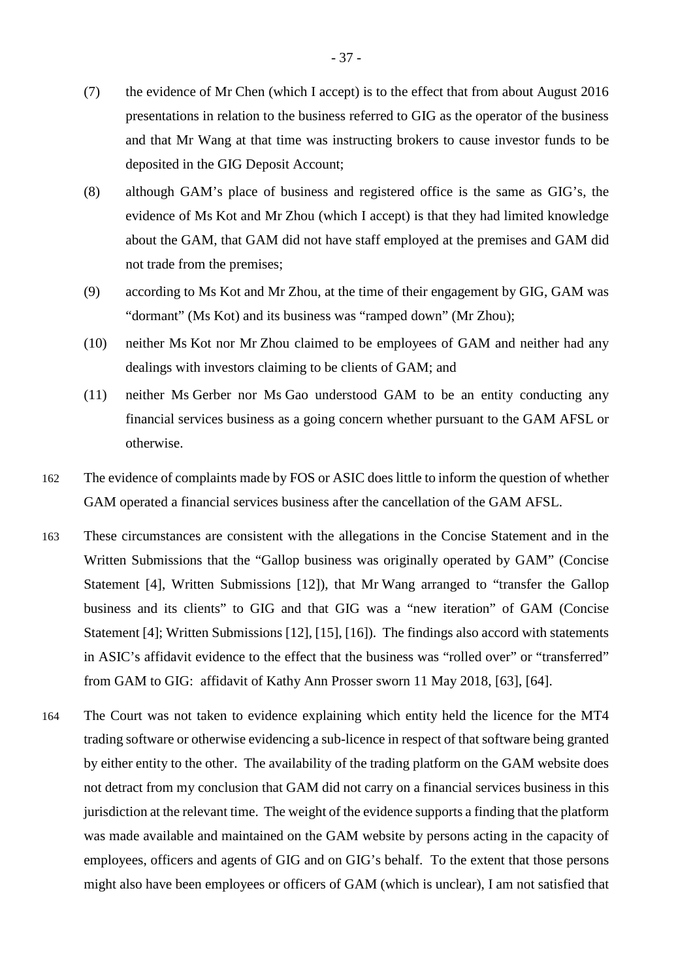- (7) the evidence of Mr Chen (which I accept) is to the effect that from about August 2016 presentations in relation to the business referred to GIG as the operator of the business and that Mr Wang at that time was instructing brokers to cause investor funds to be deposited in the GIG Deposit Account;
- (8) although GAM's place of business and registered office is the same as GIG's, the evidence of Ms Kot and Mr Zhou (which I accept) is that they had limited knowledge about the GAM, that GAM did not have staff employed at the premises and GAM did not trade from the premises;
- (9) according to Ms Kot and Mr Zhou, at the time of their engagement by GIG, GAM was "dormant" (Ms Kot) and its business was "ramped down" (Mr Zhou);
- (10) neither Ms Kot nor Mr Zhou claimed to be employees of GAM and neither had any dealings with investors claiming to be clients of GAM; and
- (11) neither Ms Gerber nor Ms Gao understood GAM to be an entity conducting any financial services business as a going concern whether pursuant to the GAM AFSL or otherwise.
- 162 The evidence of complaints made by FOS or ASIC does little to inform the question of whether GAM operated a financial services business after the cancellation of the GAM AFSL.
- 163 These circumstances are consistent with the allegations in the Concise Statement and in the Written Submissions that the "Gallop business was originally operated by GAM" (Concise Statement [4], Written Submissions [12]), that Mr Wang arranged to "transfer the Gallop business and its clients" to GIG and that GIG was a "new iteration" of GAM (Concise Statement [4]; Written Submissions [12], [15], [16]). The findings also accord with statements in ASIC's affidavit evidence to the effect that the business was "rolled over" or "transferred" from GAM to GIG: affidavit of Kathy Ann Prosser sworn 11 May 2018, [63], [64].
- 164 The Court was not taken to evidence explaining which entity held the licence for the MT4 trading software or otherwise evidencing a sub-licence in respect of that software being granted by either entity to the other. The availability of the trading platform on the GAM website does not detract from my conclusion that GAM did not carry on a financial services business in this jurisdiction at the relevant time. The weight of the evidence supports a finding that the platform was made available and maintained on the GAM website by persons acting in the capacity of employees, officers and agents of GIG and on GIG's behalf. To the extent that those persons might also have been employees or officers of GAM (which is unclear), I am not satisfied that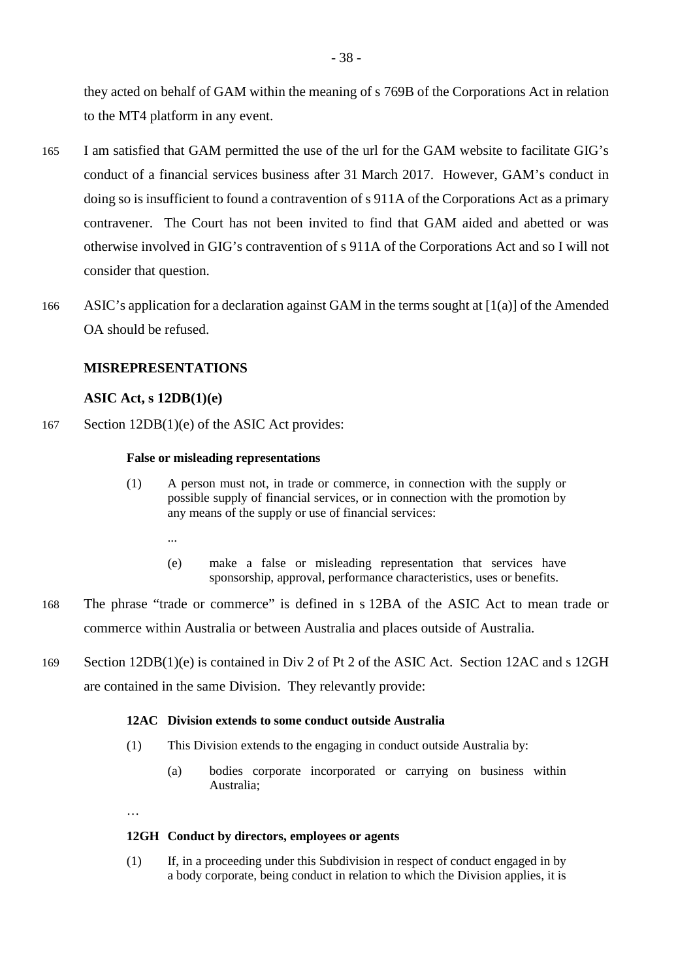they acted on behalf of GAM within the meaning of s 769B of the Corporations Act in relation to the MT4 platform in any event.

- 165 I am satisfied that GAM permitted the use of the url for the GAM website to facilitate GIG's conduct of a financial services business after 31 March 2017. However, GAM's conduct in doing so is insufficient to found a contravention of s 911A of the Corporations Act as a primary contravener. The Court has not been invited to find that GAM aided and abetted or was otherwise involved in GIG's contravention of s 911A of the Corporations Act and so I will not consider that question.
- 166 ASIC's application for a declaration against GAM in the terms sought at [1(a)] of the Amended OA should be refused.

# **MISREPRESENTATIONS**

# **ASIC Act, s 12DB(1)(e)**

167 Section 12DB(1)(e) of the ASIC Act provides:

### **False or misleading representations**

- (1) A person must not, in trade or commerce, in connection with the supply or possible supply of financial services, or in connection with the promotion by any means of the supply or use of financial services:
	- ...
	- (e) make a false or misleading representation that services have sponsorship, approval, performance characteristics, uses or benefits.
- 168 The phrase "trade or commerce" is defined in s 12BA of the ASIC Act to mean trade or commerce within Australia or between Australia and places outside of Australia.
- 169 Section 12DB(1)(e) is contained in Div 2 of Pt 2 of the ASIC Act. Section 12AC and s 12GH are contained in the same Division. They relevantly provide:

### **12AC Division extends to some conduct outside Australia**

- (1) This Division extends to the engaging in conduct outside Australia by:
	- (a) bodies corporate incorporated or carrying on business within Australia;

…

## **12GH Conduct by directors, employees or agents**

(1) If, in a proceeding under this Subdivision in respect of conduct engaged in by a body corporate, being conduct in relation to which the Division applies, it is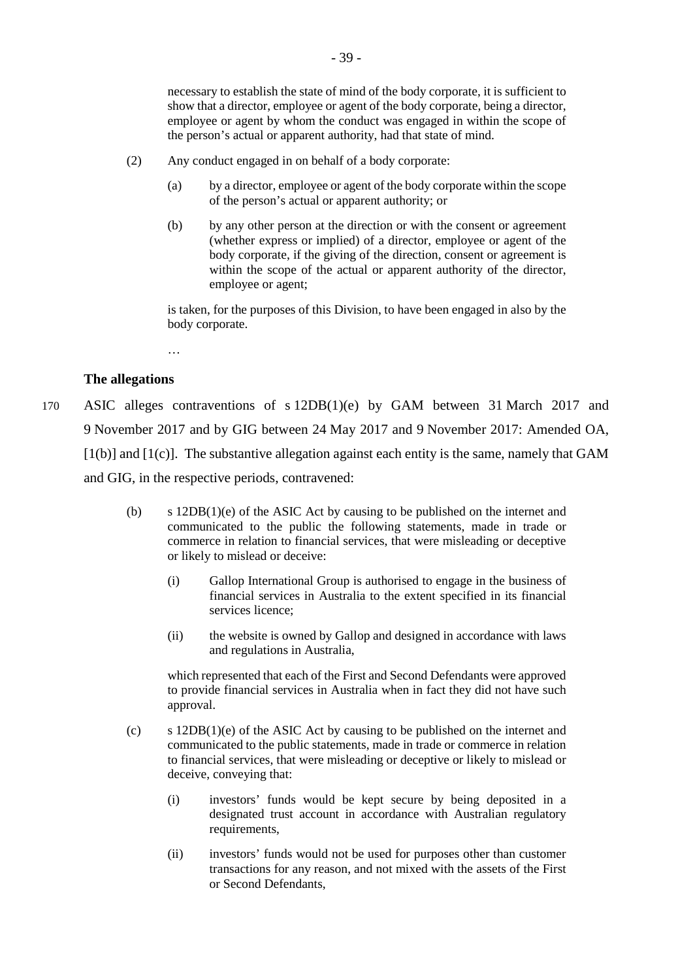necessary to establish the state of mind of the body corporate, it is sufficient to show that a director, employee or agent of the body corporate, being a director, employee or agent by whom the conduct was engaged in within the scope of the person's actual or apparent authority, had that state of mind.

- (2) Any conduct engaged in on behalf of a body corporate:
	- (a) by a director, employee or agent of the body corporate within the scope of the person's actual or apparent authority; or
	- (b) by any other person at the direction or with the consent or agreement (whether express or implied) of a director, employee or agent of the body corporate, if the giving of the direction, consent or agreement is within the scope of the actual or apparent authority of the director, employee or agent;

is taken, for the purposes of this Division, to have been engaged in also by the body corporate.

…

## **The allegations**

170 ASIC alleges contraventions of s 12DB(1)(e) by GAM between 31 March 2017 and 9 November 2017 and by GIG between 24 May 2017 and 9 November 2017: Amended OA,  $[1(b)]$  and  $[1(c)]$ . The substantive allegation against each entity is the same, namely that GAM and GIG, in the respective periods, contravened:

- (b) s 12DB(1)(e) of the ASIC Act by causing to be published on the internet and communicated to the public the following statements, made in trade or commerce in relation to financial services, that were misleading or deceptive or likely to mislead or deceive:
	- (i) Gallop International Group is authorised to engage in the business of financial services in Australia to the extent specified in its financial services licence;
	- (ii) the website is owned by Gallop and designed in accordance with laws and regulations in Australia,

which represented that each of the First and Second Defendants were approved to provide financial services in Australia when in fact they did not have such approval.

- (c) s 12DB(1)(e) of the ASIC Act by causing to be published on the internet and communicated to the public statements, made in trade or commerce in relation to financial services, that were misleading or deceptive or likely to mislead or deceive, conveying that:
	- (i) investors' funds would be kept secure by being deposited in a designated trust account in accordance with Australian regulatory requirements,
	- (ii) investors' funds would not be used for purposes other than customer transactions for any reason, and not mixed with the assets of the First or Second Defendants,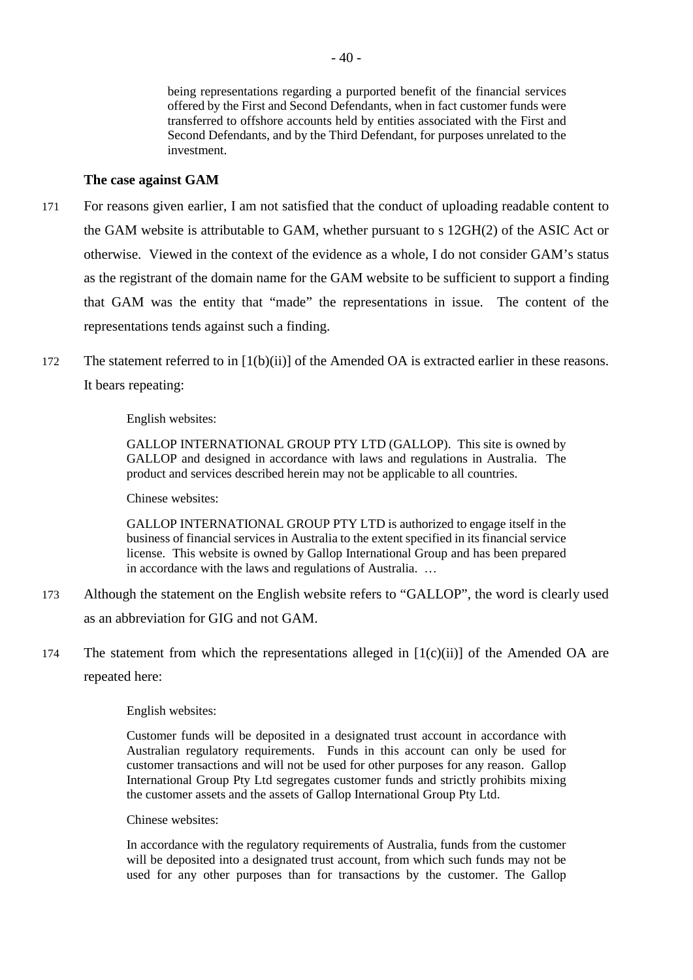being representations regarding a purported benefit of the financial services offered by the First and Second Defendants, when in fact customer funds were transferred to offshore accounts held by entities associated with the First and Second Defendants, and by the Third Defendant, for purposes unrelated to the investment.

# **The case against GAM**

- 171 For reasons given earlier, I am not satisfied that the conduct of uploading readable content to the GAM website is attributable to GAM, whether pursuant to s 12GH(2) of the ASIC Act or otherwise. Viewed in the context of the evidence as a whole, I do not consider GAM's status as the registrant of the domain name for the GAM website to be sufficient to support a finding that GAM was the entity that "made" the representations in issue. The content of the representations tends against such a finding.
- 172 The statement referred to in [1(b)(ii)] of the Amended OA is extracted earlier in these reasons. It bears repeating:

English websites:

GALLOP INTERNATIONAL GROUP PTY LTD (GALLOP). This site is owned by GALLOP and designed in accordance with laws and regulations in Australia. The product and services described herein may not be applicable to all countries.

Chinese websites:

GALLOP INTERNATIONAL GROUP PTY LTD is authorized to engage itself in the business of financial services in Australia to the extent specified in its financial service license. This website is owned by Gallop International Group and has been prepared in accordance with the laws and regulations of Australia. …

- 173 Although the statement on the English website refers to "GALLOP", the word is clearly used as an abbreviation for GIG and not GAM.
- 174 The statement from which the representations alleged in  $[1(c)(ii)]$  of the Amended OA are repeated here:

English websites:

Customer funds will be deposited in a designated trust account in accordance with Australian regulatory requirements. Funds in this account can only be used for customer transactions and will not be used for other purposes for any reason. Gallop International Group Pty Ltd segregates customer funds and strictly prohibits mixing the customer assets and the assets of Gallop International Group Pty Ltd.

Chinese websites:

In accordance with the regulatory requirements of Australia, funds from the customer will be deposited into a designated trust account, from which such funds may not be used for any other purposes than for transactions by the customer. The Gallop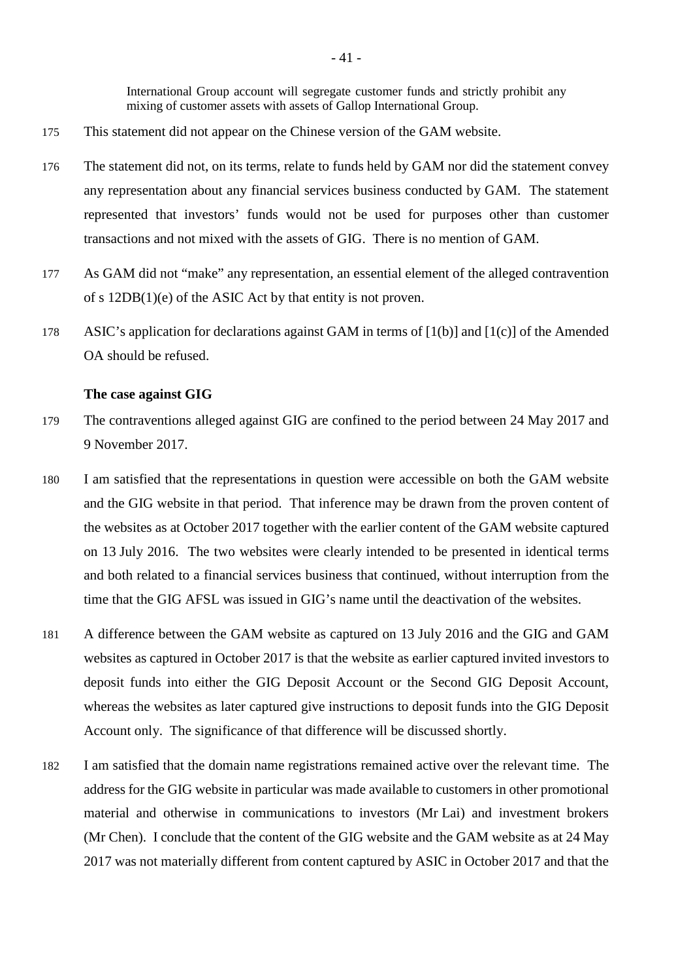International Group account will segregate customer funds and strictly prohibit any mixing of customer assets with assets of Gallop International Group.

- 175 This statement did not appear on the Chinese version of the GAM website.
- 176 The statement did not, on its terms, relate to funds held by GAM nor did the statement convey any representation about any financial services business conducted by GAM. The statement represented that investors' funds would not be used for purposes other than customer transactions and not mixed with the assets of GIG. There is no mention of GAM.
- 177 As GAM did not "make" any representation, an essential element of the alleged contravention of s 12DB(1)(e) of the ASIC Act by that entity is not proven.
- 178 ASIC's application for declarations against GAM in terms of [1(b)] and [1(c)] of the Amended OA should be refused.

## **The case against GIG**

- 179 The contraventions alleged against GIG are confined to the period between 24 May 2017 and 9 November 2017.
- 180 I am satisfied that the representations in question were accessible on both the GAM website and the GIG website in that period. That inference may be drawn from the proven content of the websites as at October 2017 together with the earlier content of the GAM website captured on 13 July 2016. The two websites were clearly intended to be presented in identical terms and both related to a financial services business that continued, without interruption from the time that the GIG AFSL was issued in GIG's name until the deactivation of the websites.
- 181 A difference between the GAM website as captured on 13 July 2016 and the GIG and GAM websites as captured in October 2017 is that the website as earlier captured invited investors to deposit funds into either the GIG Deposit Account or the Second GIG Deposit Account, whereas the websites as later captured give instructions to deposit funds into the GIG Deposit Account only. The significance of that difference will be discussed shortly.
- 182 I am satisfied that the domain name registrations remained active over the relevant time. The address for the GIG website in particular was made available to customers in other promotional material and otherwise in communications to investors (Mr Lai) and investment brokers (Mr Chen). I conclude that the content of the GIG website and the GAM website as at 24 May 2017 was not materially different from content captured by ASIC in October 2017 and that the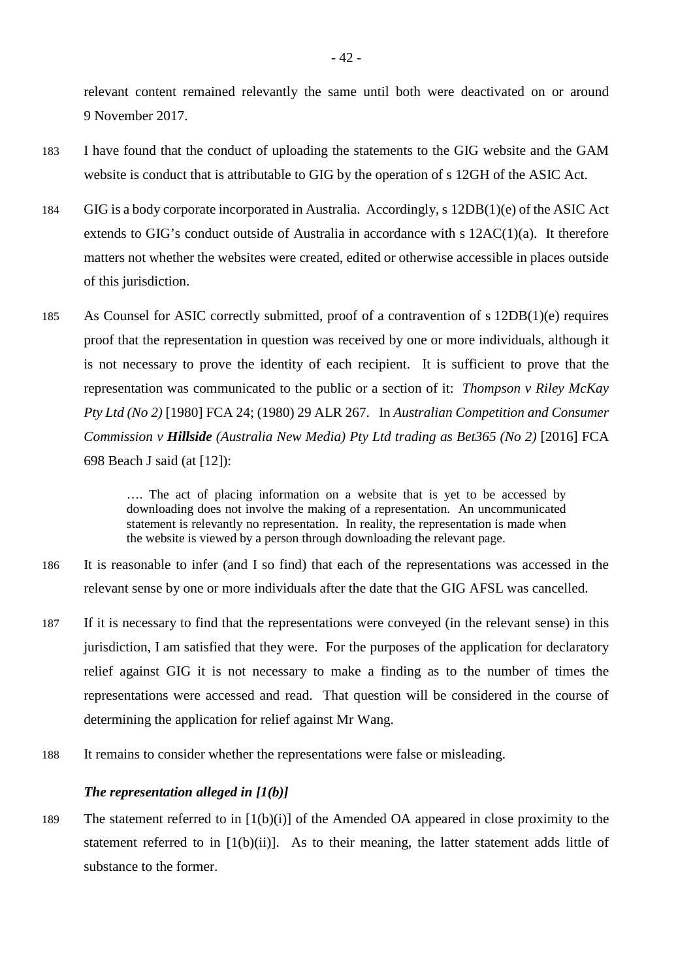relevant content remained relevantly the same until both were deactivated on or around 9 November 2017.

- 183 I have found that the conduct of uploading the statements to the GIG website and the GAM website is conduct that is attributable to GIG by the operation of s 12GH of the ASIC Act.
- 184 GIG is a body corporate incorporated in Australia. Accordingly, s 12DB(1)(e) of the ASIC Act extends to GIG's conduct outside of Australia in accordance with  $s$  12AC(1)(a). It therefore matters not whether the websites were created, edited or otherwise accessible in places outside of this jurisdiction.
- 185 As Counsel for ASIC correctly submitted, proof of a contravention of s 12DB(1)(e) requires proof that the representation in question was received by one or more individuals, although it is not necessary to prove the identity of each recipient. It is sufficient to prove that the representation was communicated to the public or a section of it: *Thompson v Riley McKay Pty Ltd (No 2)* [1980] FCA 24; (1980) 29 ALR 267. In *Australian Competition and Consumer Commission v Hillside (Australia New Media) Pty Ltd trading as Bet365 (No 2)* [2016] FCA 698 Beach J said (at [12]):

…. The act of placing information on a website that is yet to be accessed by downloading does not involve the making of a representation. An uncommunicated statement is relevantly no representation. In reality, the representation is made when the website is viewed by a person through downloading the relevant page.

- 186 It is reasonable to infer (and I so find) that each of the representations was accessed in the relevant sense by one or more individuals after the date that the GIG AFSL was cancelled.
- 187 If it is necessary to find that the representations were conveyed (in the relevant sense) in this jurisdiction, I am satisfied that they were. For the purposes of the application for declaratory relief against GIG it is not necessary to make a finding as to the number of times the representations were accessed and read. That question will be considered in the course of determining the application for relief against Mr Wang.
- 188 It remains to consider whether the representations were false or misleading.

# *The representation alleged in [1(b)]*

189 The statement referred to in [1(b)(i)] of the Amended OA appeared in close proximity to the statement referred to in  $[1(b)(ii)]$ . As to their meaning, the latter statement adds little of substance to the former.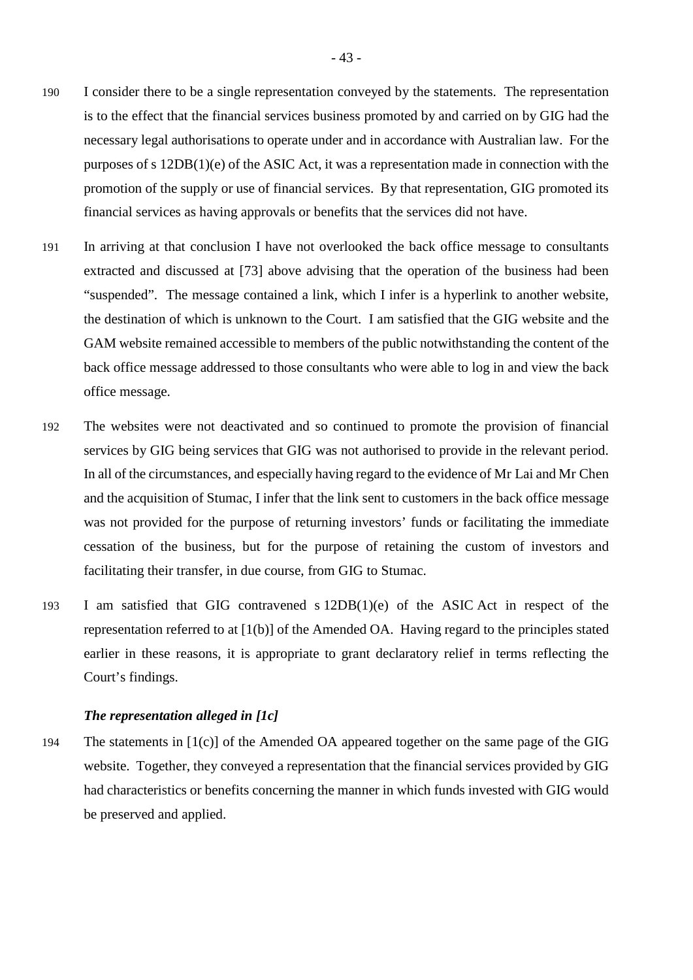- 190 I consider there to be a single representation conveyed by the statements. The representation is to the effect that the financial services business promoted by and carried on by GIG had the necessary legal authorisations to operate under and in accordance with Australian law. For the purposes of s 12DB(1)(e) of the ASIC Act, it was a representation made in connection with the promotion of the supply or use of financial services. By that representation, GIG promoted its financial services as having approvals or benefits that the services did not have.
- 191 In arriving at that conclusion I have not overlooked the back office message to consultants extracted and discussed at [73] above advising that the operation of the business had been "suspended". The message contained a link, which I infer is a hyperlink to another website, the destination of which is unknown to the Court. I am satisfied that the GIG website and the GAM website remained accessible to members of the public notwithstanding the content of the back office message addressed to those consultants who were able to log in and view the back office message.
- 192 The websites were not deactivated and so continued to promote the provision of financial services by GIG being services that GIG was not authorised to provide in the relevant period. In all of the circumstances, and especially having regard to the evidence of Mr Lai and Mr Chen and the acquisition of Stumac, I infer that the link sent to customers in the back office message was not provided for the purpose of returning investors' funds or facilitating the immediate cessation of the business, but for the purpose of retaining the custom of investors and facilitating their transfer, in due course, from GIG to Stumac.
- 193 I am satisfied that GIG contravened s 12DB(1)(e) of the ASIC Act in respect of the representation referred to at [1(b)] of the Amended OA. Having regard to the principles stated earlier in these reasons, it is appropriate to grant declaratory relief in terms reflecting the Court's findings.

## *The representation alleged in [1c]*

194 The statements in [1(c)] of the Amended OA appeared together on the same page of the GIG website. Together, they conveyed a representation that the financial services provided by GIG had characteristics or benefits concerning the manner in which funds invested with GIG would be preserved and applied.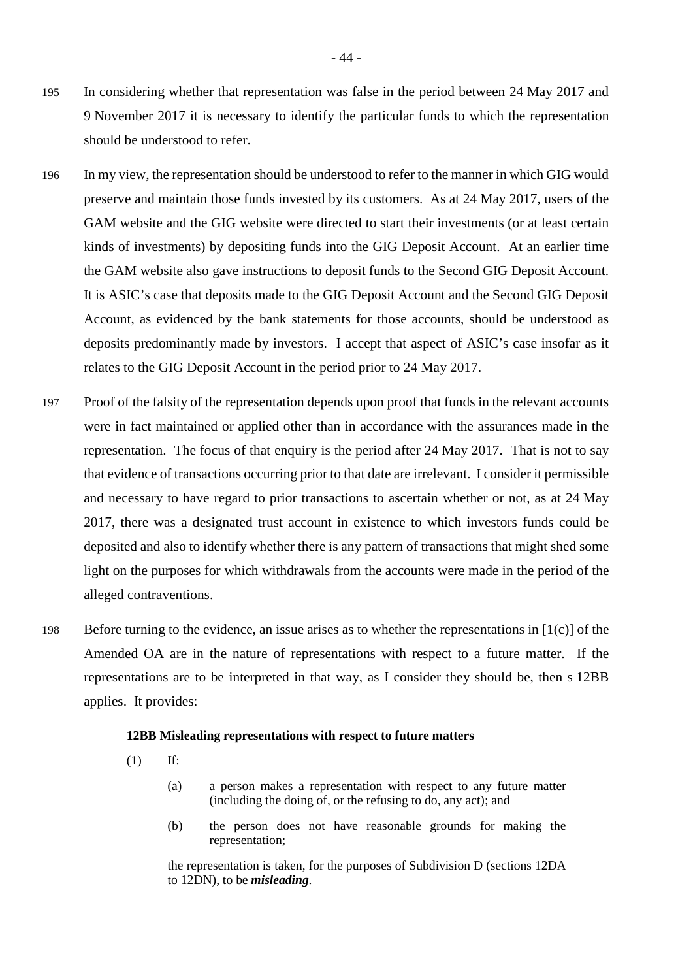- 195 In considering whether that representation was false in the period between 24 May 2017 and 9 November 2017 it is necessary to identify the particular funds to which the representation should be understood to refer.
- 196 In my view, the representation should be understood to refer to the manner in which GIG would preserve and maintain those funds invested by its customers. As at 24 May 2017, users of the GAM website and the GIG website were directed to start their investments (or at least certain kinds of investments) by depositing funds into the GIG Deposit Account. At an earlier time the GAM website also gave instructions to deposit funds to the Second GIG Deposit Account. It is ASIC's case that deposits made to the GIG Deposit Account and the Second GIG Deposit Account, as evidenced by the bank statements for those accounts, should be understood as deposits predominantly made by investors. I accept that aspect of ASIC's case insofar as it relates to the GIG Deposit Account in the period prior to 24 May 2017.
- 197 Proof of the falsity of the representation depends upon proof that funds in the relevant accounts were in fact maintained or applied other than in accordance with the assurances made in the representation. The focus of that enquiry is the period after 24 May 2017. That is not to say that evidence of transactions occurring prior to that date are irrelevant. I consider it permissible and necessary to have regard to prior transactions to ascertain whether or not, as at 24 May 2017, there was a designated trust account in existence to which investors funds could be deposited and also to identify whether there is any pattern of transactions that might shed some light on the purposes for which withdrawals from the accounts were made in the period of the alleged contraventions.
- 198 Before turning to the evidence, an issue arises as to whether the representations in [1(c)] of the Amended OA are in the nature of representations with respect to a future matter. If the representations are to be interpreted in that way, as I consider they should be, then s 12BB applies. It provides:

### **12BB Misleading representations with respect to future matters**

- (1) If:
	- (a) a person makes a representation with respect to any future matter (including the doing of, or the refusing to do, any act); and
	- (b) the person does not have reasonable grounds for making the representation;

the representation is taken, for the purposes of Subdivision D (sections 12DA to 12DN), to be *misleading*.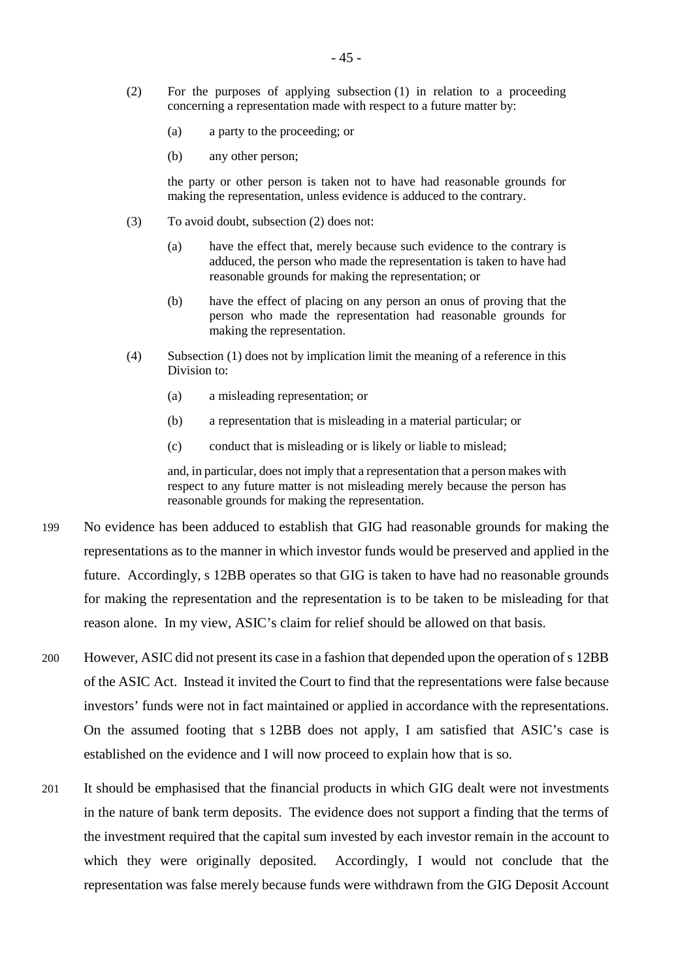- (2) For the purposes of applying subsection (1) in relation to a proceeding concerning a representation made with respect to a future matter by:
	- (a) a party to the proceeding; or
	- (b) any other person;

the party or other person is taken not to have had reasonable grounds for making the representation, unless evidence is adduced to the contrary.

- (3) To avoid doubt, subsection (2) does not:
	- (a) have the effect that, merely because such evidence to the contrary is adduced, the person who made the representation is taken to have had reasonable grounds for making the representation; or
	- (b) have the effect of placing on any person an onus of proving that the person who made the representation had reasonable grounds for making the representation.
- (4) Subsection (1) does not by implication limit the meaning of a reference in this Division to:
	- (a) a misleading representation; or
	- (b) a representation that is misleading in a material particular; or
	- (c) conduct that is misleading or is likely or liable to mislead;

and, in particular, does not imply that a representation that a person makes with respect to any future matter is not misleading merely because the person has reasonable grounds for making the representation.

- 199 No evidence has been adduced to establish that GIG had reasonable grounds for making the representations as to the manner in which investor funds would be preserved and applied in the future. Accordingly, s 12BB operates so that GIG is taken to have had no reasonable grounds for making the representation and the representation is to be taken to be misleading for that reason alone. In my view, ASIC's claim for relief should be allowed on that basis.
- 200 However, ASIC did not present its case in a fashion that depended upon the operation of s 12BB of the ASIC Act. Instead it invited the Court to find that the representations were false because investors' funds were not in fact maintained or applied in accordance with the representations. On the assumed footing that s 12BB does not apply, I am satisfied that ASIC's case is established on the evidence and I will now proceed to explain how that is so.
- 201 It should be emphasised that the financial products in which GIG dealt were not investments in the nature of bank term deposits. The evidence does not support a finding that the terms of the investment required that the capital sum invested by each investor remain in the account to which they were originally deposited. Accordingly, I would not conclude that the representation was false merely because funds were withdrawn from the GIG Deposit Account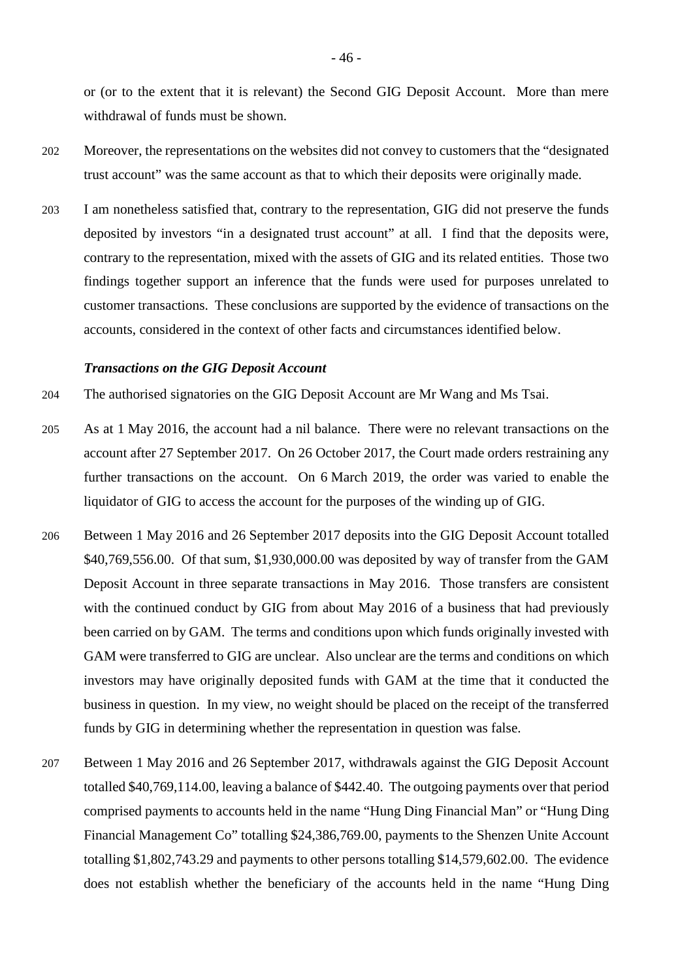or (or to the extent that it is relevant) the Second GIG Deposit Account. More than mere withdrawal of funds must be shown.

- 202 Moreover, the representations on the websites did not convey to customers that the "designated trust account" was the same account as that to which their deposits were originally made.
- 203 I am nonetheless satisfied that, contrary to the representation, GIG did not preserve the funds deposited by investors "in a designated trust account" at all. I find that the deposits were, contrary to the representation, mixed with the assets of GIG and its related entities. Those two findings together support an inference that the funds were used for purposes unrelated to customer transactions. These conclusions are supported by the evidence of transactions on the accounts, considered in the context of other facts and circumstances identified below.

#### *Transactions on the GIG Deposit Account*

- 204 The authorised signatories on the GIG Deposit Account are Mr Wang and Ms Tsai.
- 205 As at 1 May 2016, the account had a nil balance. There were no relevant transactions on the account after 27 September 2017. On 26 October 2017, the Court made orders restraining any further transactions on the account. On 6 March 2019, the order was varied to enable the liquidator of GIG to access the account for the purposes of the winding up of GIG.
- 206 Between 1 May 2016 and 26 September 2017 deposits into the GIG Deposit Account totalled \$40,769,556.00. Of that sum, \$1,930,000.00 was deposited by way of transfer from the GAM Deposit Account in three separate transactions in May 2016. Those transfers are consistent with the continued conduct by GIG from about May 2016 of a business that had previously been carried on by GAM. The terms and conditions upon which funds originally invested with GAM were transferred to GIG are unclear. Also unclear are the terms and conditions on which investors may have originally deposited funds with GAM at the time that it conducted the business in question. In my view, no weight should be placed on the receipt of the transferred funds by GIG in determining whether the representation in question was false.
- 207 Between 1 May 2016 and 26 September 2017, withdrawals against the GIG Deposit Account totalled \$40,769,114.00, leaving a balance of \$442.40. The outgoing payments over that period comprised payments to accounts held in the name "Hung Ding Financial Man" or "Hung Ding Financial Management Co" totalling \$24,386,769.00, payments to the Shenzen Unite Account totalling \$1,802,743.29 and payments to other persons totalling \$14,579,602.00. The evidence does not establish whether the beneficiary of the accounts held in the name "Hung Ding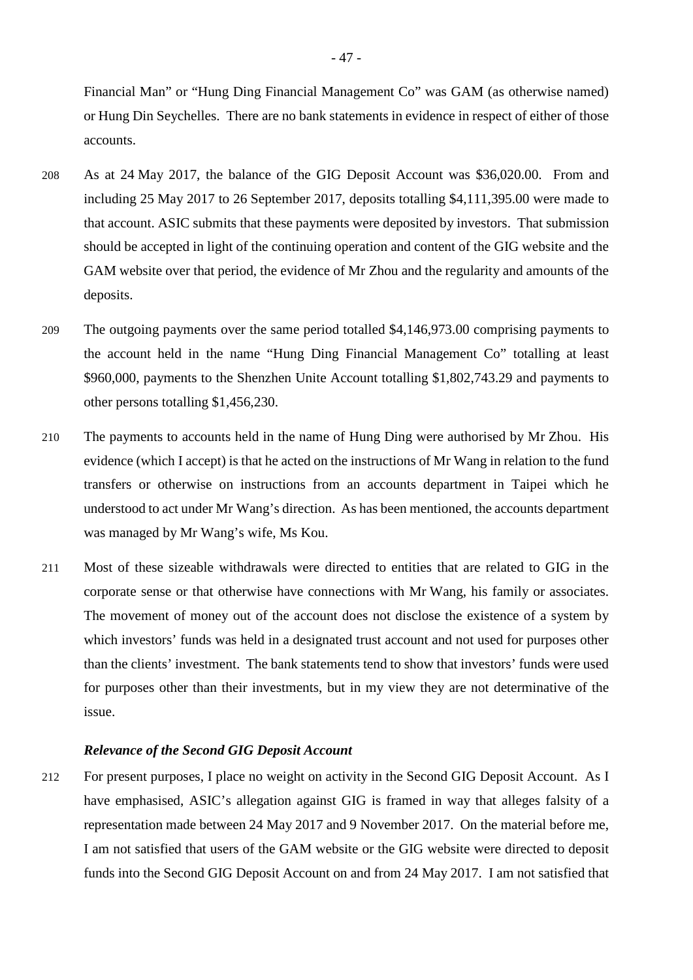Financial Man" or "Hung Ding Financial Management Co" was GAM (as otherwise named) or Hung Din Seychelles. There are no bank statements in evidence in respect of either of those accounts.

- 208 As at 24 May 2017, the balance of the GIG Deposit Account was \$36,020.00. From and including 25 May 2017 to 26 September 2017, deposits totalling \$4,111,395.00 were made to that account. ASIC submits that these payments were deposited by investors. That submission should be accepted in light of the continuing operation and content of the GIG website and the GAM website over that period, the evidence of Mr Zhou and the regularity and amounts of the deposits.
- 209 The outgoing payments over the same period totalled \$4,146,973.00 comprising payments to the account held in the name "Hung Ding Financial Management Co" totalling at least \$960,000, payments to the Shenzhen Unite Account totalling \$1,802,743.29 and payments to other persons totalling \$1,456,230.
- 210 The payments to accounts held in the name of Hung Ding were authorised by Mr Zhou. His evidence (which I accept) is that he acted on the instructions of Mr Wang in relation to the fund transfers or otherwise on instructions from an accounts department in Taipei which he understood to act under Mr Wang's direction. As has been mentioned, the accounts department was managed by Mr Wang's wife, Ms Kou.
- 211 Most of these sizeable withdrawals were directed to entities that are related to GIG in the corporate sense or that otherwise have connections with Mr Wang, his family or associates. The movement of money out of the account does not disclose the existence of a system by which investors' funds was held in a designated trust account and not used for purposes other than the clients' investment. The bank statements tend to show that investors' funds were used for purposes other than their investments, but in my view they are not determinative of the issue.

## *Relevance of the Second GIG Deposit Account*

212 For present purposes, I place no weight on activity in the Second GIG Deposit Account. As I have emphasised, ASIC's allegation against GIG is framed in way that alleges falsity of a representation made between 24 May 2017 and 9 November 2017. On the material before me, I am not satisfied that users of the GAM website or the GIG website were directed to deposit funds into the Second GIG Deposit Account on and from 24 May 2017. I am not satisfied that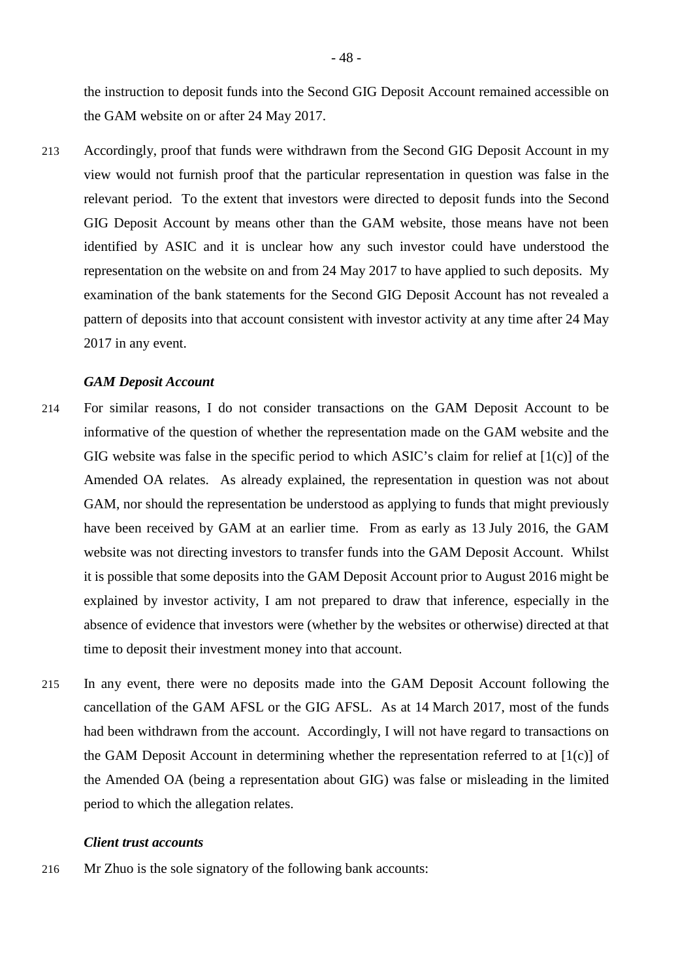the instruction to deposit funds into the Second GIG Deposit Account remained accessible on the GAM website on or after 24 May 2017.

213 Accordingly, proof that funds were withdrawn from the Second GIG Deposit Account in my view would not furnish proof that the particular representation in question was false in the relevant period. To the extent that investors were directed to deposit funds into the Second GIG Deposit Account by means other than the GAM website, those means have not been identified by ASIC and it is unclear how any such investor could have understood the representation on the website on and from 24 May 2017 to have applied to such deposits. My examination of the bank statements for the Second GIG Deposit Account has not revealed a pattern of deposits into that account consistent with investor activity at any time after 24 May 2017 in any event.

### *GAM Deposit Account*

- 214 For similar reasons, I do not consider transactions on the GAM Deposit Account to be informative of the question of whether the representation made on the GAM website and the GIG website was false in the specific period to which ASIC's claim for relief at  $[1(c)]$  of the Amended OA relates. As already explained, the representation in question was not about GAM, nor should the representation be understood as applying to funds that might previously have been received by GAM at an earlier time. From as early as 13 July 2016, the GAM website was not directing investors to transfer funds into the GAM Deposit Account. Whilst it is possible that some deposits into the GAM Deposit Account prior to August 2016 might be explained by investor activity, I am not prepared to draw that inference, especially in the absence of evidence that investors were (whether by the websites or otherwise) directed at that time to deposit their investment money into that account.
- 215 In any event, there were no deposits made into the GAM Deposit Account following the cancellation of the GAM AFSL or the GIG AFSL. As at 14 March 2017, most of the funds had been withdrawn from the account. Accordingly, I will not have regard to transactions on the GAM Deposit Account in determining whether the representation referred to at  $[1(c)]$  of the Amended OA (being a representation about GIG) was false or misleading in the limited period to which the allegation relates.

### *Client trust accounts*

216 Mr Zhuo is the sole signatory of the following bank accounts: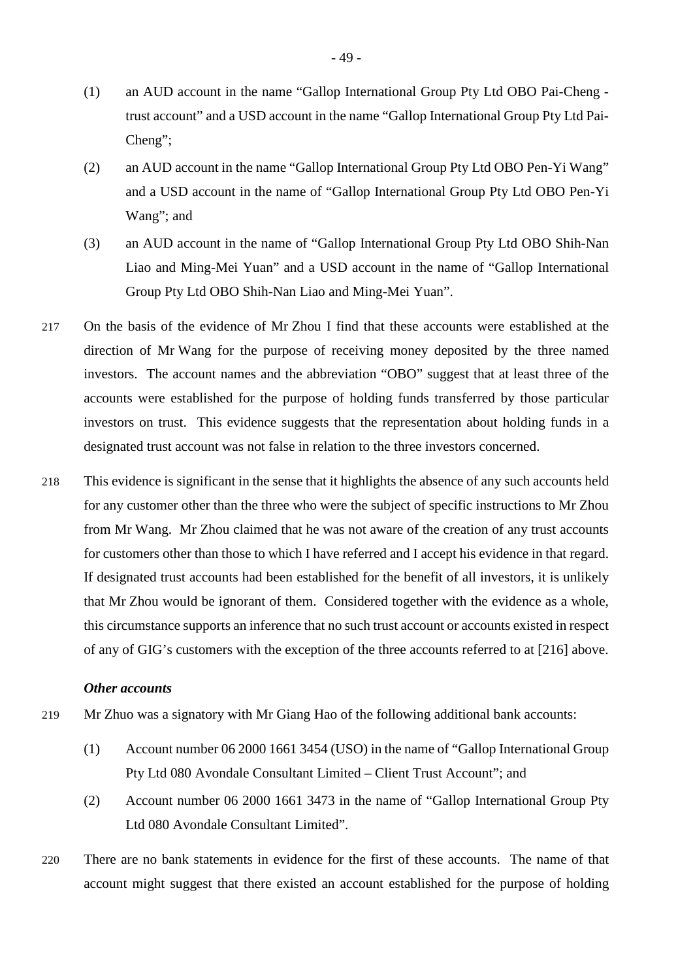- (1) an AUD account in the name "Gallop International Group Pty Ltd OBO Pai-Cheng trust account" and a USD account in the name "Gallop International Group Pty Ltd Pai-Cheng";
- (2) an AUD account in the name "Gallop International Group Pty Ltd OBO Pen-Yi Wang" and a USD account in the name of "Gallop International Group Pty Ltd OBO Pen-Yi Wang"; and
- (3) an AUD account in the name of "Gallop International Group Pty Ltd OBO Shih-Nan Liao and Ming-Mei Yuan" and a USD account in the name of "Gallop International Group Pty Ltd OBO Shih-Nan Liao and Ming-Mei Yuan".
- 217 On the basis of the evidence of Mr Zhou I find that these accounts were established at the direction of Mr Wang for the purpose of receiving money deposited by the three named investors. The account names and the abbreviation "OBO" suggest that at least three of the accounts were established for the purpose of holding funds transferred by those particular investors on trust. This evidence suggests that the representation about holding funds in a designated trust account was not false in relation to the three investors concerned.
- 218 This evidence is significant in the sense that it highlights the absence of any such accounts held for any customer other than the three who were the subject of specific instructions to Mr Zhou from Mr Wang. Mr Zhou claimed that he was not aware of the creation of any trust accounts for customers other than those to which I have referred and I accept his evidence in that regard. If designated trust accounts had been established for the benefit of all investors, it is unlikely that Mr Zhou would be ignorant of them. Considered together with the evidence as a whole, this circumstance supports an inference that no such trust account or accounts existed in respect of any of GIG's customers with the exception of the three accounts referred to at [216] above.

### *Other accounts*

- 219 Mr Zhuo was a signatory with Mr Giang Hao of the following additional bank accounts:
	- (1) Account number 06 2000 1661 3454 (USO) in the name of "Gallop International Group Pty Ltd 080 Avondale Consultant Limited – Client Trust Account"; and
	- (2) Account number 06 2000 1661 3473 in the name of "Gallop International Group Pty Ltd 080 Avondale Consultant Limited".
- 220 There are no bank statements in evidence for the first of these accounts. The name of that account might suggest that there existed an account established for the purpose of holding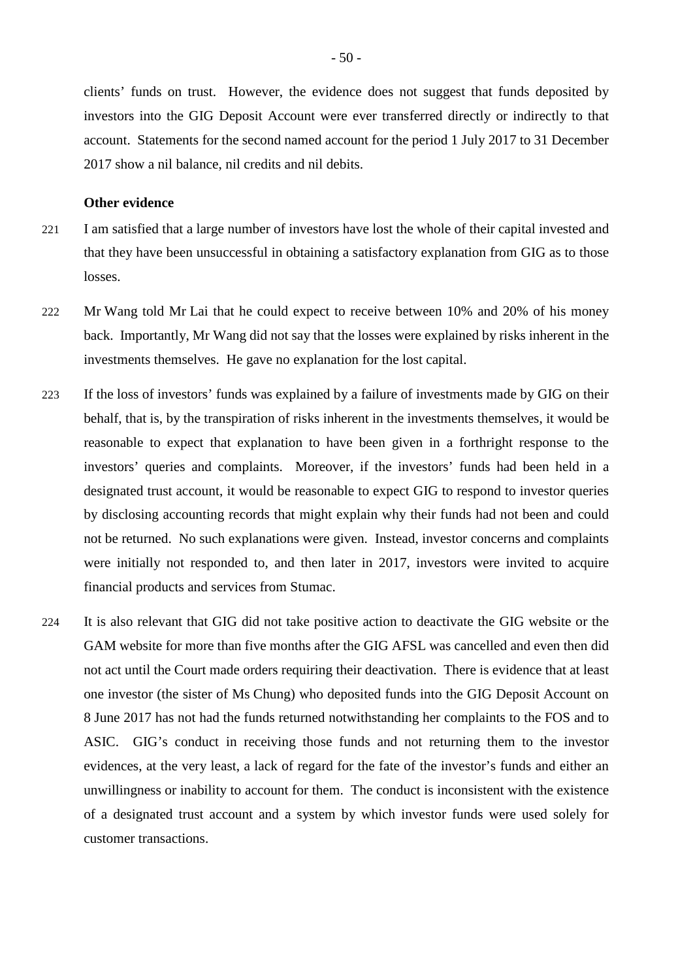clients' funds on trust. However, the evidence does not suggest that funds deposited by investors into the GIG Deposit Account were ever transferred directly or indirectly to that account. Statements for the second named account for the period 1 July 2017 to 31 December 2017 show a nil balance, nil credits and nil debits.

# **Other evidence**

- 221 I am satisfied that a large number of investors have lost the whole of their capital invested and that they have been unsuccessful in obtaining a satisfactory explanation from GIG as to those losses.
- 222 Mr Wang told Mr Lai that he could expect to receive between 10% and 20% of his money back. Importantly, Mr Wang did not say that the losses were explained by risks inherent in the investments themselves. He gave no explanation for the lost capital.
- 223 If the loss of investors' funds was explained by a failure of investments made by GIG on their behalf, that is, by the transpiration of risks inherent in the investments themselves, it would be reasonable to expect that explanation to have been given in a forthright response to the investors' queries and complaints. Moreover, if the investors' funds had been held in a designated trust account, it would be reasonable to expect GIG to respond to investor queries by disclosing accounting records that might explain why their funds had not been and could not be returned. No such explanations were given. Instead, investor concerns and complaints were initially not responded to, and then later in 2017, investors were invited to acquire financial products and services from Stumac.
- 224 It is also relevant that GIG did not take positive action to deactivate the GIG website or the GAM website for more than five months after the GIG AFSL was cancelled and even then did not act until the Court made orders requiring their deactivation. There is evidence that at least one investor (the sister of Ms Chung) who deposited funds into the GIG Deposit Account on 8 June 2017 has not had the funds returned notwithstanding her complaints to the FOS and to ASIC. GIG's conduct in receiving those funds and not returning them to the investor evidences, at the very least, a lack of regard for the fate of the investor's funds and either an unwillingness or inability to account for them. The conduct is inconsistent with the existence of a designated trust account and a system by which investor funds were used solely for customer transactions.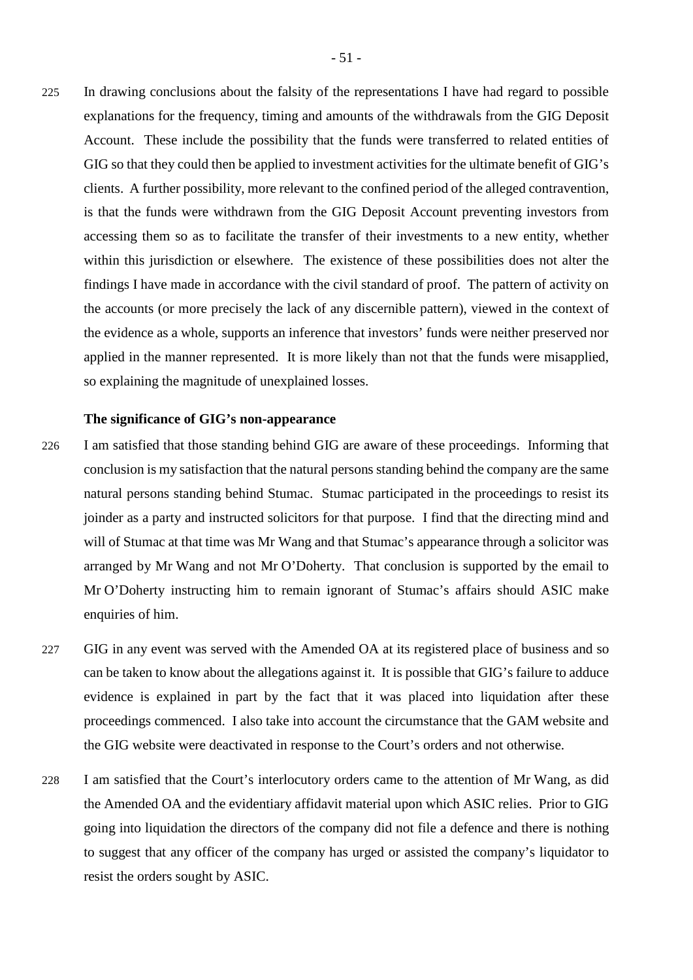225 In drawing conclusions about the falsity of the representations I have had regard to possible explanations for the frequency, timing and amounts of the withdrawals from the GIG Deposit Account. These include the possibility that the funds were transferred to related entities of GIG so that they could then be applied to investment activities for the ultimate benefit of GIG's clients. A further possibility, more relevant to the confined period of the alleged contravention, is that the funds were withdrawn from the GIG Deposit Account preventing investors from accessing them so as to facilitate the transfer of their investments to a new entity, whether within this jurisdiction or elsewhere. The existence of these possibilities does not alter the findings I have made in accordance with the civil standard of proof. The pattern of activity on the accounts (or more precisely the lack of any discernible pattern), viewed in the context of the evidence as a whole, supports an inference that investors' funds were neither preserved nor applied in the manner represented. It is more likely than not that the funds were misapplied, so explaining the magnitude of unexplained losses.

### **The significance of GIG's non-appearance**

- 226 I am satisfied that those standing behind GIG are aware of these proceedings. Informing that conclusion is my satisfaction that the natural persons standing behind the company are the same natural persons standing behind Stumac. Stumac participated in the proceedings to resist its joinder as a party and instructed solicitors for that purpose. I find that the directing mind and will of Stumac at that time was Mr Wang and that Stumac's appearance through a solicitor was arranged by Mr Wang and not Mr O'Doherty. That conclusion is supported by the email to Mr O'Doherty instructing him to remain ignorant of Stumac's affairs should ASIC make enquiries of him.
- 227 GIG in any event was served with the Amended OA at its registered place of business and so can be taken to know about the allegations against it. It is possible that GIG's failure to adduce evidence is explained in part by the fact that it was placed into liquidation after these proceedings commenced. I also take into account the circumstance that the GAM website and the GIG website were deactivated in response to the Court's orders and not otherwise.
- 228 I am satisfied that the Court's interlocutory orders came to the attention of Mr Wang, as did the Amended OA and the evidentiary affidavit material upon which ASIC relies. Prior to GIG going into liquidation the directors of the company did not file a defence and there is nothing to suggest that any officer of the company has urged or assisted the company's liquidator to resist the orders sought by ASIC.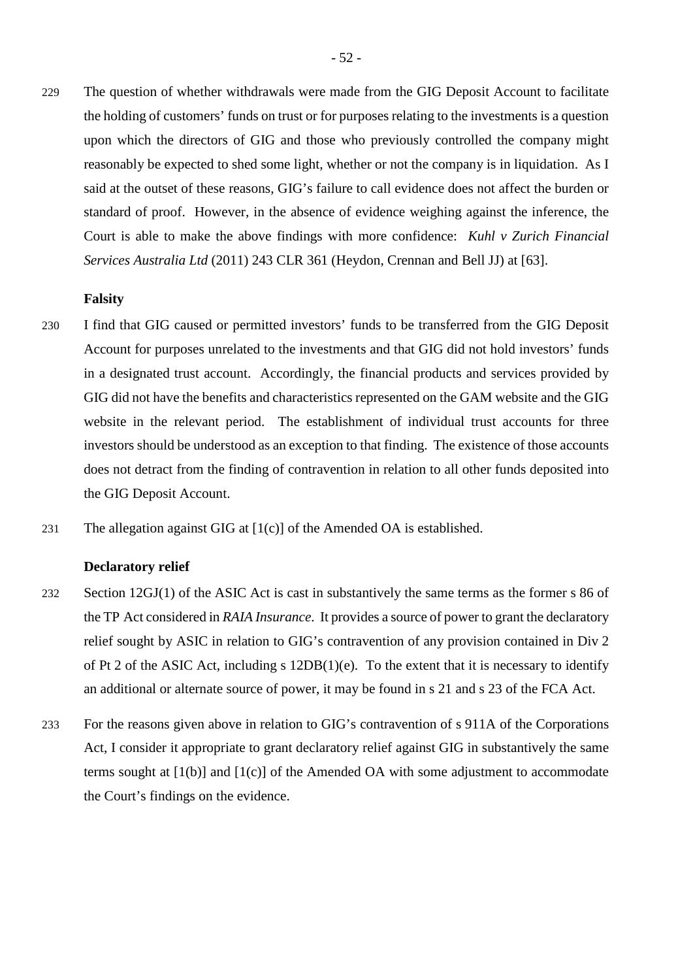229 The question of whether withdrawals were made from the GIG Deposit Account to facilitate the holding of customers' funds on trust or for purposes relating to the investments is a question upon which the directors of GIG and those who previously controlled the company might reasonably be expected to shed some light, whether or not the company is in liquidation. As I said at the outset of these reasons, GIG's failure to call evidence does not affect the burden or standard of proof. However, in the absence of evidence weighing against the inference, the Court is able to make the above findings with more confidence: *Kuhl v Zurich Financial Services Australia Ltd* (2011) 243 CLR 361 (Heydon, Crennan and Bell JJ) at [63].

# **Falsity**

- 230 I find that GIG caused or permitted investors' funds to be transferred from the GIG Deposit Account for purposes unrelated to the investments and that GIG did not hold investors' funds in a designated trust account. Accordingly, the financial products and services provided by GIG did not have the benefits and characteristics represented on the GAM website and the GIG website in the relevant period. The establishment of individual trust accounts for three investors should be understood as an exception to that finding. The existence of those accounts does not detract from the finding of contravention in relation to all other funds deposited into the GIG Deposit Account.
- 231 The allegation against GIG at [1(c)] of the Amended OA is established.

# **Declaratory relief**

- 232 Section 12GJ(1) of the ASIC Act is cast in substantively the same terms as the former s 86 of the TP Act considered in *RAIA Insurance*. It provides a source of power to grant the declaratory relief sought by ASIC in relation to GIG's contravention of any provision contained in Div 2 of Pt 2 of the ASIC Act, including s 12DB(1)(e). To the extent that it is necessary to identify an additional or alternate source of power, it may be found in s 21 and s 23 of the FCA Act.
- 233 For the reasons given above in relation to GIG's contravention of s 911A of the Corporations Act, I consider it appropriate to grant declaratory relief against GIG in substantively the same terms sought at  $[1(b)]$  and  $[1(c)]$  of the Amended OA with some adjustment to accommodate the Court's findings on the evidence.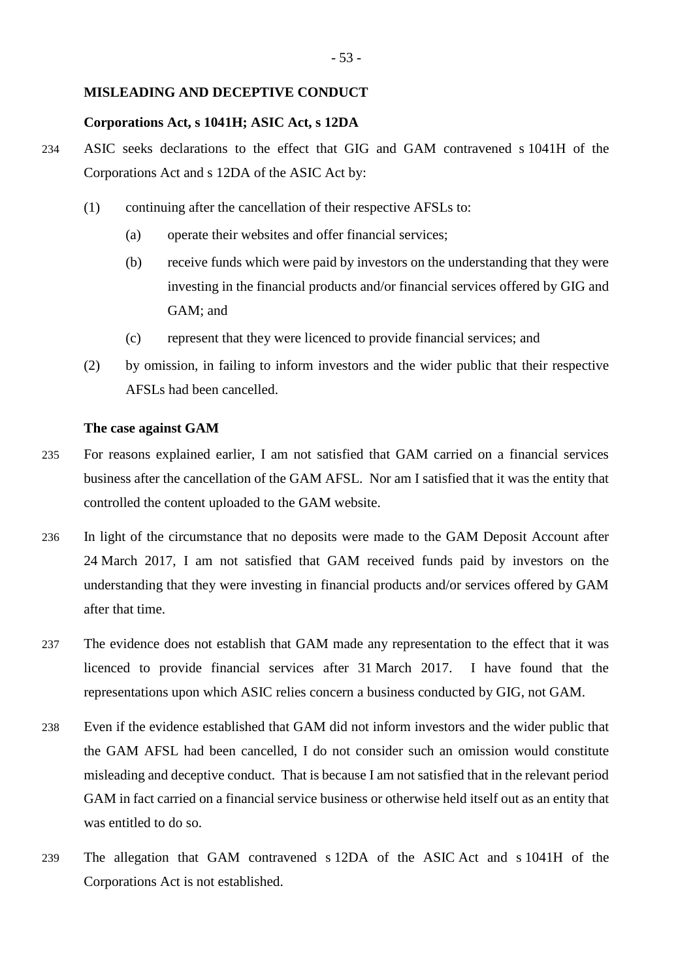## **MISLEADING AND DECEPTIVE CONDUCT**

# **Corporations Act, s 1041H; ASIC Act, s 12DA**

- 234 ASIC seeks declarations to the effect that GIG and GAM contravened s 1041H of the Corporations Act and s 12DA of the ASIC Act by:
	- (1) continuing after the cancellation of their respective AFSLs to:
		- (a) operate their websites and offer financial services;
		- (b) receive funds which were paid by investors on the understanding that they were investing in the financial products and/or financial services offered by GIG and GAM; and
		- (c) represent that they were licenced to provide financial services; and
	- (2) by omission, in failing to inform investors and the wider public that their respective AFSLs had been cancelled.

# **The case against GAM**

- 235 For reasons explained earlier, I am not satisfied that GAM carried on a financial services business after the cancellation of the GAM AFSL. Nor am I satisfied that it was the entity that controlled the content uploaded to the GAM website.
- 236 In light of the circumstance that no deposits were made to the GAM Deposit Account after 24 March 2017, I am not satisfied that GAM received funds paid by investors on the understanding that they were investing in financial products and/or services offered by GAM after that time.
- 237 The evidence does not establish that GAM made any representation to the effect that it was licenced to provide financial services after 31 March 2017. I have found that the representations upon which ASIC relies concern a business conducted by GIG, not GAM.
- 238 Even if the evidence established that GAM did not inform investors and the wider public that the GAM AFSL had been cancelled, I do not consider such an omission would constitute misleading and deceptive conduct. That is because I am not satisfied that in the relevant period GAM in fact carried on a financial service business or otherwise held itself out as an entity that was entitled to do so.
- 239 The allegation that GAM contravened s 12DA of the ASIC Act and s 1041H of the Corporations Act is not established.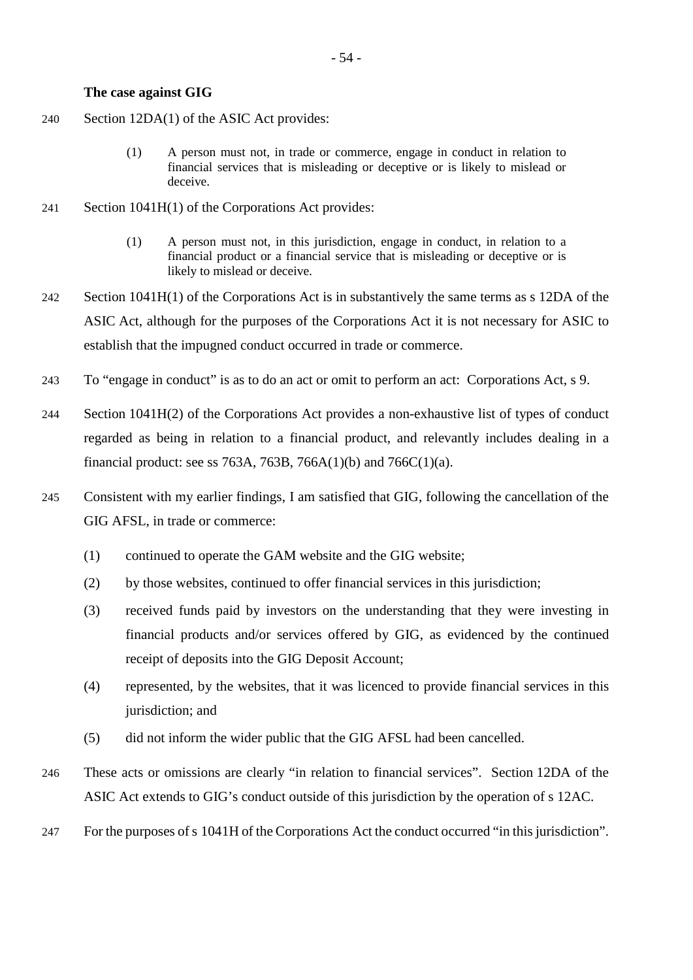### **The case against GIG**

- 240 Section 12DA(1) of the ASIC Act provides:
	- (1) A person must not, in trade or commerce, engage in conduct in relation to financial services that is misleading or deceptive or is likely to mislead or deceive.
- 241 Section 1041H(1) of the Corporations Act provides:
	- (1) A person must not, in this jurisdiction, engage in conduct, in relation to a financial product or a financial service that is misleading or deceptive or is likely to mislead or deceive.
- 242 Section 1041H(1) of the Corporations Act is in substantively the same terms as s 12DA of the ASIC Act, although for the purposes of the Corporations Act it is not necessary for ASIC to establish that the impugned conduct occurred in trade or commerce.
- 243 To "engage in conduct" is as to do an act or omit to perform an act: Corporations Act, s 9.
- 244 Section 1041H(2) of the Corporations Act provides a non-exhaustive list of types of conduct regarded as being in relation to a financial product, and relevantly includes dealing in a financial product: see ss 763A, 763B, 766A(1)(b) and 766C(1)(a).
- 245 Consistent with my earlier findings, I am satisfied that GIG, following the cancellation of the GIG AFSL, in trade or commerce:
	- (1) continued to operate the GAM website and the GIG website;
	- (2) by those websites, continued to offer financial services in this jurisdiction;
	- (3) received funds paid by investors on the understanding that they were investing in financial products and/or services offered by GIG, as evidenced by the continued receipt of deposits into the GIG Deposit Account;
	- (4) represented, by the websites, that it was licenced to provide financial services in this jurisdiction; and
	- (5) did not inform the wider public that the GIG AFSL had been cancelled.
- 246 These acts or omissions are clearly "in relation to financial services". Section 12DA of the ASIC Act extends to GIG's conduct outside of this jurisdiction by the operation of s 12AC.
- 247 For the purposes of s 1041H of the Corporations Act the conduct occurred "in this jurisdiction".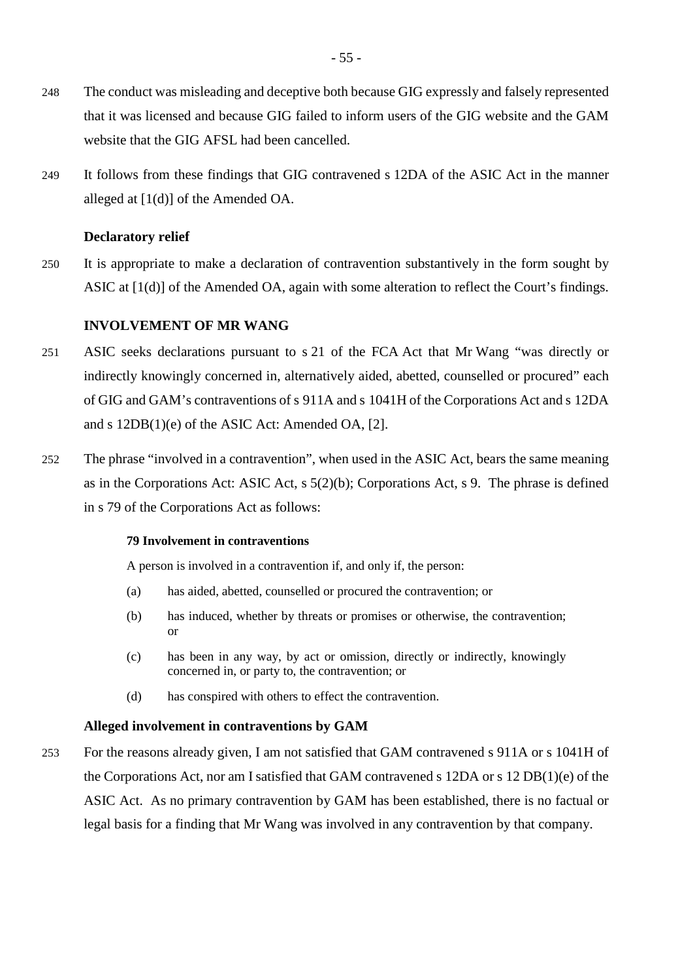- 248 The conduct was misleading and deceptive both because GIG expressly and falsely represented that it was licensed and because GIG failed to inform users of the GIG website and the GAM website that the GIG AFSL had been cancelled.
- 249 It follows from these findings that GIG contravened s 12DA of the ASIC Act in the manner alleged at [1(d)] of the Amended OA.

## **Declaratory relief**

250 It is appropriate to make a declaration of contravention substantively in the form sought by ASIC at [1(d)] of the Amended OA, again with some alteration to reflect the Court's findings.

# **INVOLVEMENT OF MR WANG**

- 251 ASIC seeks declarations pursuant to s 21 of the FCA Act that Mr Wang "was directly or indirectly knowingly concerned in, alternatively aided, abetted, counselled or procured" each of GIG and GAM's contraventions of s 911A and s 1041H of the Corporations Act and s 12DA and s 12DB(1)(e) of the ASIC Act: Amended OA, [2].
- 252 The phrase "involved in a contravention", when used in the ASIC Act, bears the same meaning as in the Corporations Act: ASIC Act, s 5(2)(b); Corporations Act, s 9. The phrase is defined in s 79 of the Corporations Act as follows:

### **79 Involvement in contraventions**

A person is involved in a contravention if, and only if, the person:

- (a) has aided, abetted, counselled or procured the contravention; or
- (b) has induced, whether by threats or promises or otherwise, the contravention; or
- (c) has been in any way, by act or omission, directly or indirectly, knowingly concerned in, or party to, the contravention; or
- (d) has conspired with others to effect the contravention.

### **Alleged involvement in contraventions by GAM**

253 For the reasons already given, I am not satisfied that GAM contravened s 911A or s 1041H of the Corporations Act, nor am I satisfied that GAM contravened s 12DA or s 12 DB(1)(e) of the ASIC Act. As no primary contravention by GAM has been established, there is no factual or legal basis for a finding that Mr Wang was involved in any contravention by that company.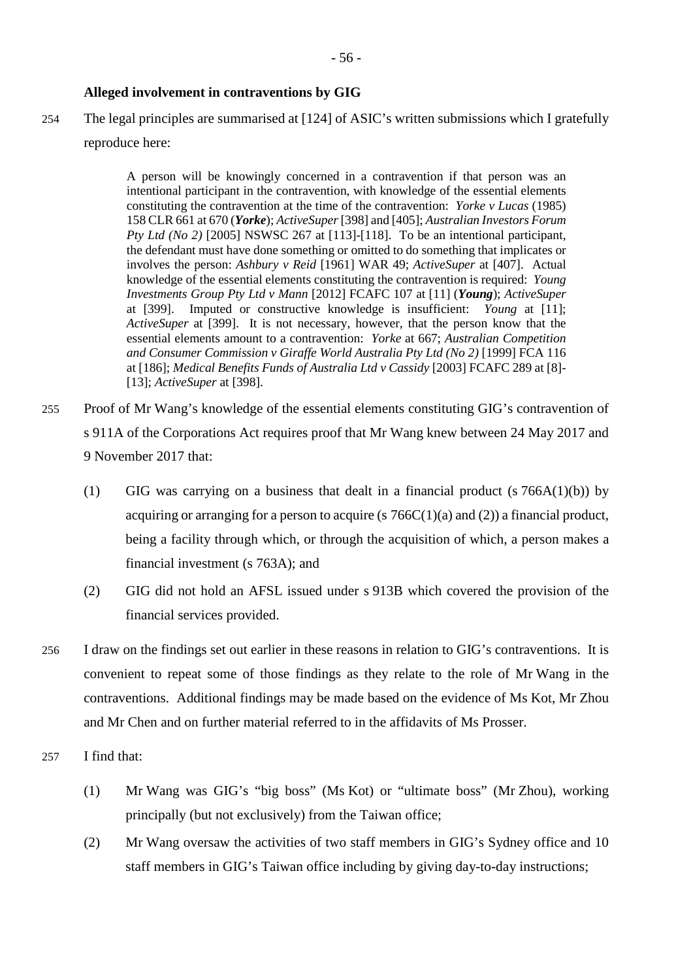# **Alleged involvement in contraventions by GIG**

254 The legal principles are summarised at [124] of ASIC's written submissions which I gratefully reproduce here:

> A person will be knowingly concerned in a contravention if that person was an intentional participant in the contravention, with knowledge of the essential elements constituting the contravention at the time of the contravention: *Yorke v Lucas* (1985) 158 CLR 661 at 670 (*Yorke*); *ActiveSuper* [398] and [405]; *Australian Investors Forum Pty Ltd (No 2)* [2005] NSWSC 267 at [113]-[118]. To be an intentional participant, the defendant must have done something or omitted to do something that implicates or involves the person: *Ashbury v Reid* [1961] WAR 49; *ActiveSuper* at [407]. Actual knowledge of the essential elements constituting the contravention is required: *Young Investments Group Pty Ltd v Mann* [2012] FCAFC 107 at [11] (*Young*); *ActiveSuper*  at [399]. Imputed or constructive knowledge is insufficient: *Young* at [11]; *ActiveSuper* at [399]. It is not necessary, however, that the person know that the essential elements amount to a contravention: *Yorke* at 667; *Australian Competition and Consumer Commission v Giraffe World Australia Pty Ltd (No 2)* [1999] FCA 116 at [186]; *Medical Benefits Funds of Australia Ltd v Cassidy* [2003] FCAFC 289 at [8]- [13]; *ActiveSuper* at [398].

- 255 Proof of Mr Wang's knowledge of the essential elements constituting GIG's contravention of s 911A of the Corporations Act requires proof that Mr Wang knew between 24 May 2017 and 9 November 2017 that:
	- (1) GIG was carrying on a business that dealt in a financial product  $(s \cdot 766A(1)(b))$  by acquiring or arranging for a person to acquire (s  $766C(1)(a)$  and (2)) a financial product, being a facility through which, or through the acquisition of which, a person makes a financial investment (s 763A); and
	- (2) GIG did not hold an AFSL issued under s 913B which covered the provision of the financial services provided.
- 256 I draw on the findings set out earlier in these reasons in relation to GIG's contraventions. It is convenient to repeat some of those findings as they relate to the role of Mr Wang in the contraventions. Additional findings may be made based on the evidence of Ms Kot, Mr Zhou and Mr Chen and on further material referred to in the affidavits of Ms Prosser.
- 257 I find that:
	- (1) Mr Wang was GIG's "big boss" (Ms Kot) or "ultimate boss" (Mr Zhou), working principally (but not exclusively) from the Taiwan office;
	- (2) Mr Wang oversaw the activities of two staff members in GIG's Sydney office and 10 staff members in GIG's Taiwan office including by giving day-to-day instructions;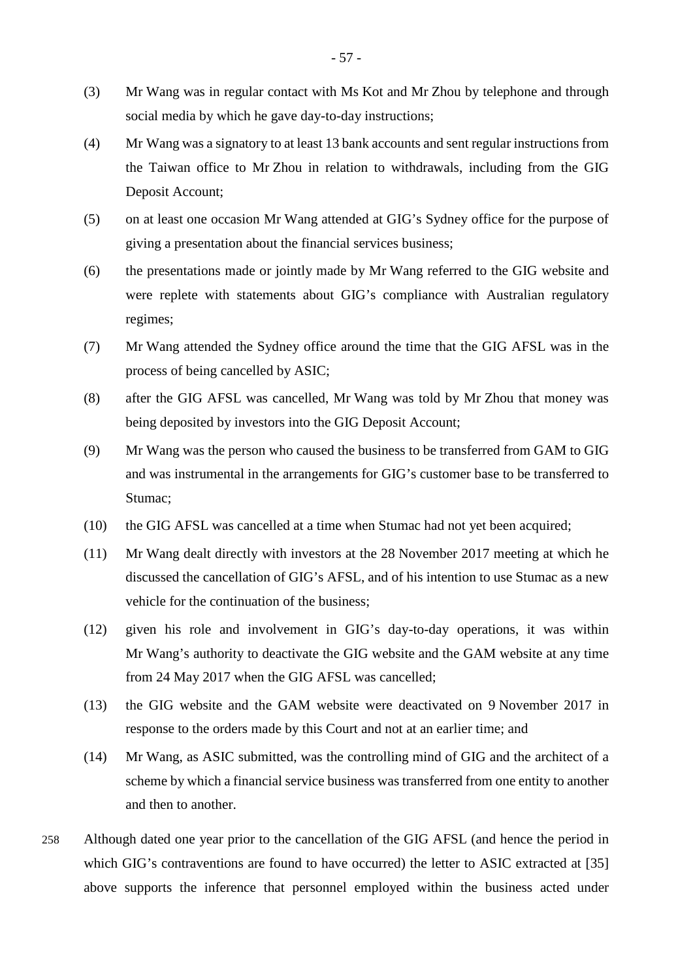- (3) Mr Wang was in regular contact with Ms Kot and Mr Zhou by telephone and through social media by which he gave day-to-day instructions;
- (4) Mr Wang was a signatory to at least 13 bank accounts and sent regular instructions from the Taiwan office to Mr Zhou in relation to withdrawals, including from the GIG Deposit Account;
- (5) on at least one occasion Mr Wang attended at GIG's Sydney office for the purpose of giving a presentation about the financial services business;
- (6) the presentations made or jointly made by Mr Wang referred to the GIG website and were replete with statements about GIG's compliance with Australian regulatory regimes;
- (7) Mr Wang attended the Sydney office around the time that the GIG AFSL was in the process of being cancelled by ASIC;
- (8) after the GIG AFSL was cancelled, Mr Wang was told by Mr Zhou that money was being deposited by investors into the GIG Deposit Account;
- (9) Mr Wang was the person who caused the business to be transferred from GAM to GIG and was instrumental in the arrangements for GIG's customer base to be transferred to Stumac;
- (10) the GIG AFSL was cancelled at a time when Stumac had not yet been acquired;
- (11) Mr Wang dealt directly with investors at the 28 November 2017 meeting at which he discussed the cancellation of GIG's AFSL, and of his intention to use Stumac as a new vehicle for the continuation of the business;
- (12) given his role and involvement in GIG's day-to-day operations, it was within Mr Wang's authority to deactivate the GIG website and the GAM website at any time from 24 May 2017 when the GIG AFSL was cancelled;
- (13) the GIG website and the GAM website were deactivated on 9 November 2017 in response to the orders made by this Court and not at an earlier time; and
- (14) Mr Wang, as ASIC submitted, was the controlling mind of GIG and the architect of a scheme by which a financial service business was transferred from one entity to another and then to another.
- 258 Although dated one year prior to the cancellation of the GIG AFSL (and hence the period in which GIG's contraventions are found to have occurred) the letter to ASIC extracted at [35] above supports the inference that personnel employed within the business acted under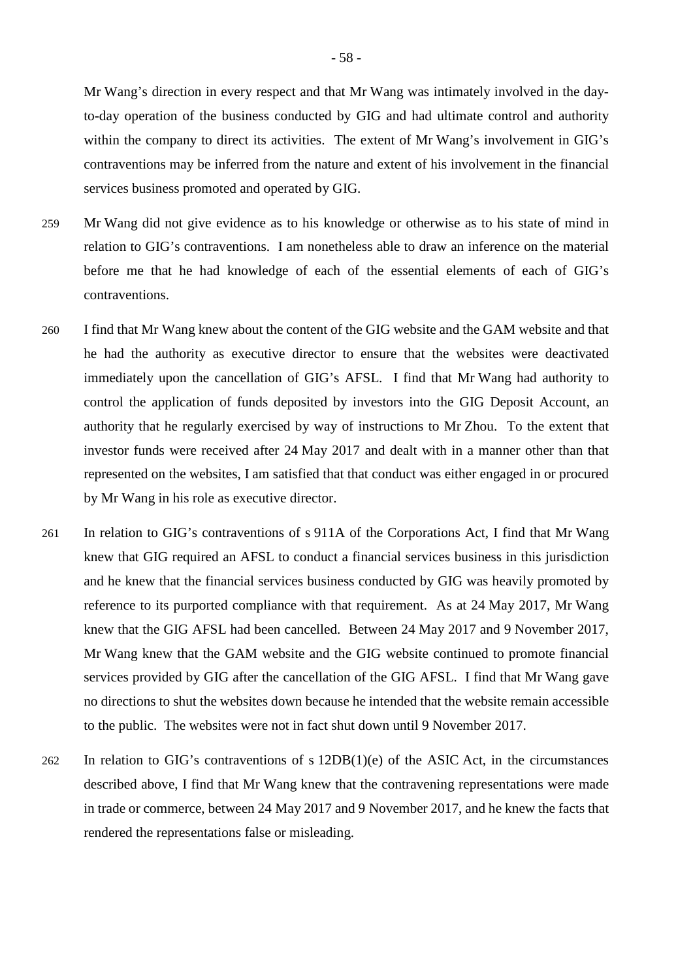Mr Wang's direction in every respect and that Mr Wang was intimately involved in the dayto-day operation of the business conducted by GIG and had ultimate control and authority within the company to direct its activities. The extent of Mr Wang's involvement in GIG's contraventions may be inferred from the nature and extent of his involvement in the financial services business promoted and operated by GIG.

- 259 Mr Wang did not give evidence as to his knowledge or otherwise as to his state of mind in relation to GIG's contraventions. I am nonetheless able to draw an inference on the material before me that he had knowledge of each of the essential elements of each of GIG's contraventions.
- 260 I find that Mr Wang knew about the content of the GIG website and the GAM website and that he had the authority as executive director to ensure that the websites were deactivated immediately upon the cancellation of GIG's AFSL. I find that Mr Wang had authority to control the application of funds deposited by investors into the GIG Deposit Account, an authority that he regularly exercised by way of instructions to Mr Zhou. To the extent that investor funds were received after 24 May 2017 and dealt with in a manner other than that represented on the websites, I am satisfied that that conduct was either engaged in or procured by Mr Wang in his role as executive director.
- 261 In relation to GIG's contraventions of s 911A of the Corporations Act, I find that Mr Wang knew that GIG required an AFSL to conduct a financial services business in this jurisdiction and he knew that the financial services business conducted by GIG was heavily promoted by reference to its purported compliance with that requirement. As at 24 May 2017, Mr Wang knew that the GIG AFSL had been cancelled. Between 24 May 2017 and 9 November 2017, Mr Wang knew that the GAM website and the GIG website continued to promote financial services provided by GIG after the cancellation of the GIG AFSL. I find that Mr Wang gave no directions to shut the websites down because he intended that the website remain accessible to the public. The websites were not in fact shut down until 9 November 2017.
- 262 In relation to GIG's contraventions of s 12DB(1)(e) of the ASIC Act, in the circumstances described above, I find that Mr Wang knew that the contravening representations were made in trade or commerce, between 24 May 2017 and 9 November 2017, and he knew the facts that rendered the representations false or misleading.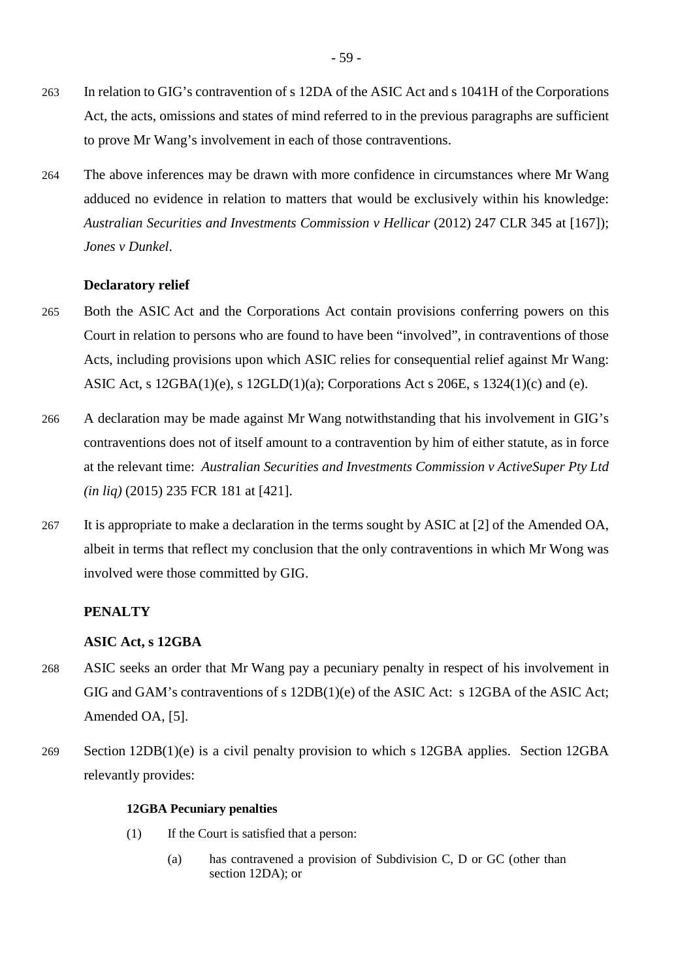- 263 In relation to GIG's contravention of s 12DA of the ASIC Act and s 1041H of the Corporations Act, the acts, omissions and states of mind referred to in the previous paragraphs are sufficient to prove Mr Wang's involvement in each of those contraventions.
- 264 The above inferences may be drawn with more confidence in circumstances where Mr Wang adduced no evidence in relation to matters that would be exclusively within his knowledge: *Australian Securities and Investments Commission v Hellicar* (2012) 247 CLR 345 at [167]); *Jones v Dunkel*.

# **Declaratory relief**

- 265 Both the ASIC Act and the Corporations Act contain provisions conferring powers on this Court in relation to persons who are found to have been "involved", in contraventions of those Acts, including provisions upon which ASIC relies for consequential relief against Mr Wang: ASIC Act, s 12GBA(1)(e), s 12GLD(1)(a); Corporations Act s 206E, s 1324(1)(c) and (e).
- 266 A declaration may be made against Mr Wang notwithstanding that his involvement in GIG's contraventions does not of itself amount to a contravention by him of either statute, as in force at the relevant time: *Australian Securities and Investments Commission v ActiveSuper Pty Ltd (in liq)* (2015) 235 FCR 181 at [421].
- 267 It is appropriate to make a declaration in the terms sought by ASIC at [2] of the Amended OA, albeit in terms that reflect my conclusion that the only contraventions in which Mr Wong was involved were those committed by GIG.

## **PENALTY**

## **ASIC Act, s 12GBA**

- 268 ASIC seeks an order that Mr Wang pay a pecuniary penalty in respect of his involvement in GIG and GAM's contraventions of s 12DB(1)(e) of the ASIC Act: s 12GBA of the ASIC Act; Amended OA, [5].
- 269 Section 12DB(1)(e) is a civil penalty provision to which s 12GBA applies. Section 12GBA relevantly provides:

## **12GBA Pecuniary penalties**

- (1) If the Court is satisfied that a person:
	- (a) has contravened a provision of Subdivision C, D or GC (other than section 12DA); or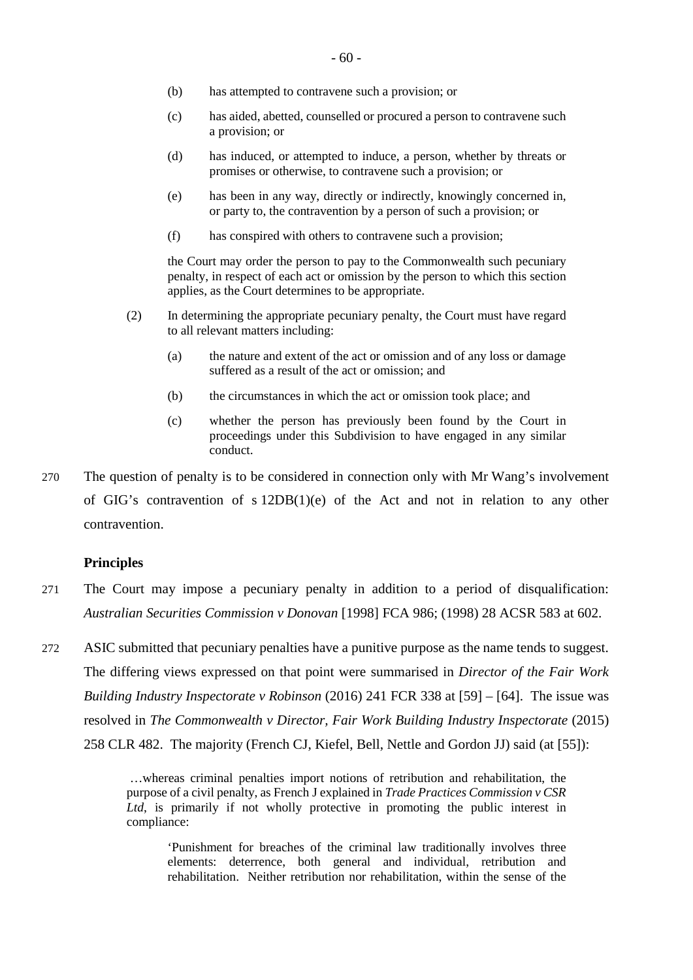- (b) has attempted to contravene such a provision; or
- (c) has aided, abetted, counselled or procured a person to contravene such a provision; or
- (d) has induced, or attempted to induce, a person, whether by threats or promises or otherwise, to contravene such a provision; or
- (e) has been in any way, directly or indirectly, knowingly concerned in, or party to, the contravention by a person of such a provision; or
- (f) has conspired with others to contravene such a provision;

the Court may order the person to pay to the Commonwealth such pecuniary penalty, in respect of each act or omission by the person to which this section applies, as the Court determines to be appropriate.

- (2) In determining the appropriate pecuniary penalty, the Court must have regard to all relevant matters including:
	- (a) the nature and extent of the act or omission and of any loss or damage suffered as a result of the act or omission; and
	- (b) the circumstances in which the act or omission took place; and
	- (c) whether the person has previously been found by the Court in proceedings under this Subdivision to have engaged in any similar conduct.
- 270 The question of penalty is to be considered in connection only with Mr Wang's involvement of GIG's contravention of s 12DB(1)(e) of the Act and not in relation to any other contravention.

## **Principles**

- 271 The Court may impose a pecuniary penalty in addition to a period of disqualification: *Australian Securities Commission v Donovan* [1998] FCA 986; (1998) 28 ACSR 583 at 602.
- 272 ASIC submitted that pecuniary penalties have a punitive purpose as the name tends to suggest. The differing views expressed on that point were summarised in *Director of the Fair Work Building Industry Inspectorate v Robinson* (2016) 241 FCR 338 at [59] – [64]. The issue was resolved in *The Commonwealth v Director, Fair Work Building Industry Inspectorate* (2015) 258 CLR 482. The majority (French CJ, Kiefel, Bell, Nettle and Gordon JJ) said (at [55]):

…whereas criminal penalties import notions of retribution and rehabilitation, the purpose of a civil penalty, as French J explained in *Trade Practices Commission v CSR*  Ltd, is primarily if not wholly protective in promoting the public interest in compliance:

'Punishment for breaches of the criminal law traditionally involves three elements: deterrence, both general and individual, retribution and rehabilitation. Neither retribution nor rehabilitation, within the sense of the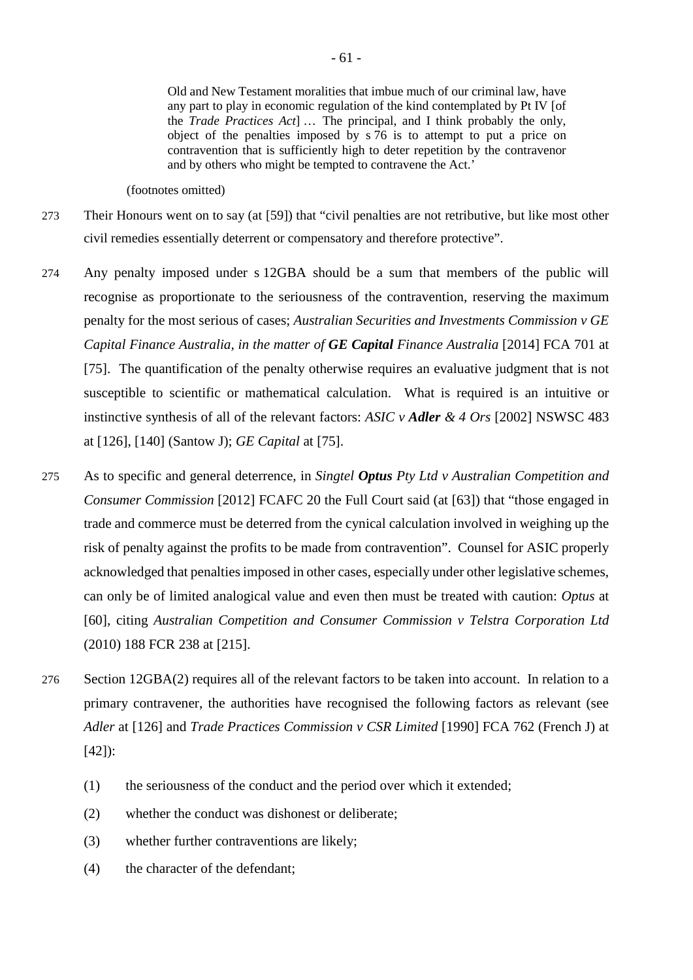Old and New Testament moralities that imbue much of our criminal law, have any part to play in economic regulation of the kind contemplated by Pt IV [of the *Trade Practices Act*] … The principal, and I think probably the only, object of the penalties imposed by s 76 is to attempt to put a price on contravention that is sufficiently high to deter repetition by the contravenor and by others who might be tempted to contravene the Act.'

(footnotes omitted)

- 273 Their Honours went on to say (at [59]) that "civil penalties are not retributive, but like most other civil remedies essentially deterrent or compensatory and therefore protective".
- 274 Any penalty imposed under s 12GBA should be a sum that members of the public will recognise as proportionate to the seriousness of the contravention, reserving the maximum penalty for the most serious of cases; *Australian Securities and Investments Commission v GE Capital Finance Australia, in the matter of GE Capital Finance Australia* [2014] FCA 701 at [75]. The quantification of the penalty otherwise requires an evaluative judgment that is not susceptible to scientific or mathematical calculation. What is required is an intuitive or instinctive synthesis of all of the relevant factors: *ASIC v Adler & 4 Ors* [2002] NSWSC 483 at [126], [140] (Santow J); *GE Capital* at [75].
- 275 As to specific and general deterrence, in *Singtel Optus Pty Ltd v Australian Competition and Consumer Commission* [2012] FCAFC 20 the Full Court said (at [63]) that "those engaged in trade and commerce must be deterred from the cynical calculation involved in weighing up the risk of penalty against the profits to be made from contravention". Counsel for ASIC properly acknowledged that penalties imposed in other cases, especially under other legislative schemes, can only be of limited analogical value and even then must be treated with caution: *Optus* at [60], citing *Australian Competition and Consumer Commission v Telstra Corporation Ltd*  (2010) 188 FCR 238 at [215].
- 276 Section 12GBA(2) requires all of the relevant factors to be taken into account. In relation to a primary contravener, the authorities have recognised the following factors as relevant (see *Adler* at [126] and *Trade Practices Commission v CSR Limited* [1990] FCA 762 (French J) at [42]):
	- (1) the seriousness of the conduct and the period over which it extended;
	- (2) whether the conduct was dishonest or deliberate;
	- (3) whether further contraventions are likely;
	- (4) the character of the defendant;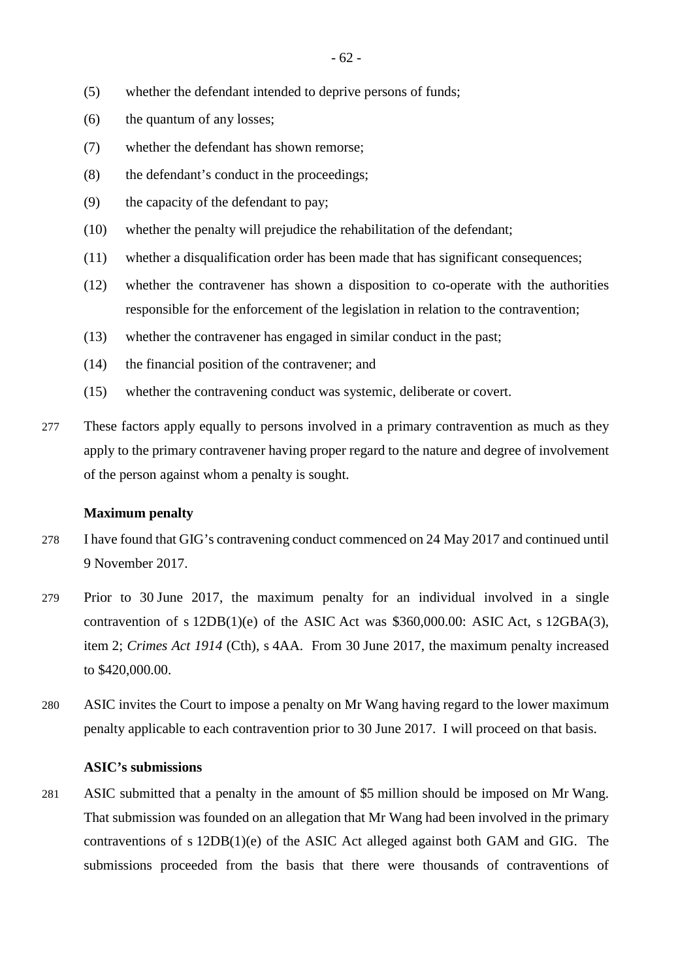- (5) whether the defendant intended to deprive persons of funds;
- (6) the quantum of any losses;
- (7) whether the defendant has shown remorse;
- (8) the defendant's conduct in the proceedings;
- (9) the capacity of the defendant to pay;
- (10) whether the penalty will prejudice the rehabilitation of the defendant;
- (11) whether a disqualification order has been made that has significant consequences;
- (12) whether the contravener has shown a disposition to co-operate with the authorities responsible for the enforcement of the legislation in relation to the contravention;
- (13) whether the contravener has engaged in similar conduct in the past;
- (14) the financial position of the contravener; and
- (15) whether the contravening conduct was systemic, deliberate or covert.
- 277 These factors apply equally to persons involved in a primary contravention as much as they apply to the primary contravener having proper regard to the nature and degree of involvement of the person against whom a penalty is sought.

#### **Maximum penalty**

- 278 I have found that GIG's contravening conduct commenced on 24 May 2017 and continued until 9 November 2017.
- 279 Prior to 30 June 2017, the maximum penalty for an individual involved in a single contravention of s  $12DB(1)(e)$  of the ASIC Act was \$360,000.00: ASIC Act, s  $12GBA(3)$ , item 2; *Crimes Act 1914* (Cth), s 4AA. From 30 June 2017, the maximum penalty increased to \$420,000.00.
- 280 ASIC invites the Court to impose a penalty on Mr Wang having regard to the lower maximum penalty applicable to each contravention prior to 30 June 2017. I will proceed on that basis.

# **ASIC's submissions**

281 ASIC submitted that a penalty in the amount of \$5 million should be imposed on Mr Wang. That submission was founded on an allegation that Mr Wang had been involved in the primary contraventions of s 12DB(1)(e) of the ASIC Act alleged against both GAM and GIG. The submissions proceeded from the basis that there were thousands of contraventions of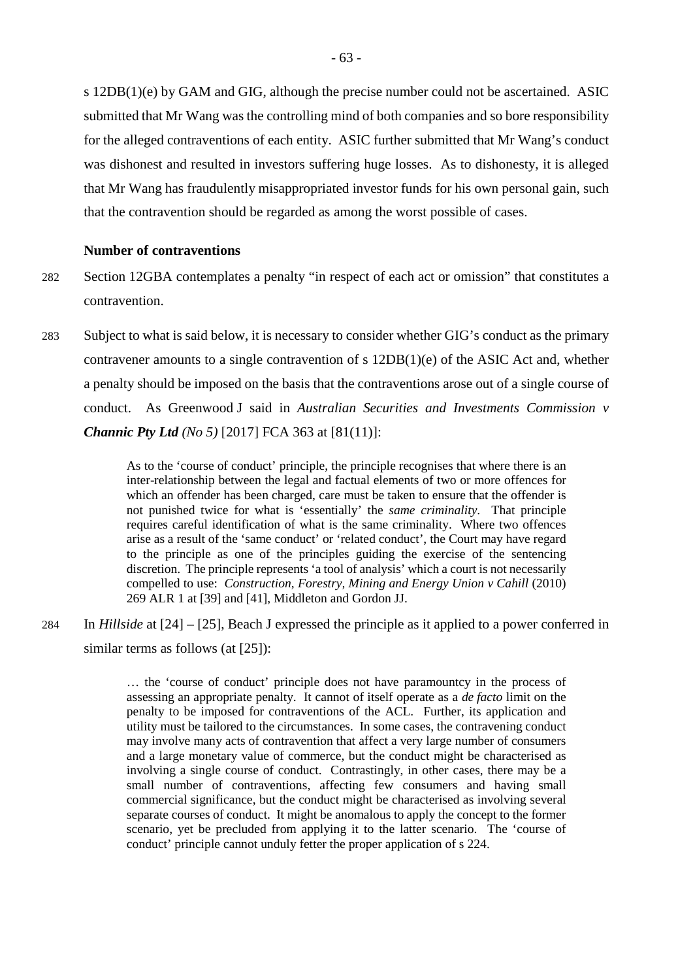s 12DB(1)(e) by GAM and GIG, although the precise number could not be ascertained. ASIC submitted that Mr Wang was the controlling mind of both companies and so bore responsibility for the alleged contraventions of each entity. ASIC further submitted that Mr Wang's conduct was dishonest and resulted in investors suffering huge losses. As to dishonesty, it is alleged that Mr Wang has fraudulently misappropriated investor funds for his own personal gain, such that the contravention should be regarded as among the worst possible of cases.

# **Number of contraventions**

- 282 Section 12GBA contemplates a penalty "in respect of each act or omission" that constitutes a contravention.
- 283 Subject to what is said below, it is necessary to consider whether GIG's conduct as the primary contravener amounts to a single contravention of s 12DB(1)(e) of the ASIC Act and, whether a penalty should be imposed on the basis that the contraventions arose out of a single course of conduct. As Greenwood J said in *Australian Securities and Investments Commission v Channic Pty Ltd (No 5)* [2017] FCA 363 at [81(11)]:

As to the 'course of conduct' principle, the principle recognises that where there is an inter-relationship between the legal and factual elements of two or more offences for which an offender has been charged, care must be taken to ensure that the offender is not punished twice for what is 'essentially' the *same criminality*. That principle requires careful identification of what is the same criminality. Where two offences arise as a result of the 'same conduct' or 'related conduct', the Court may have regard to the principle as one of the principles guiding the exercise of the sentencing discretion. The principle represents 'a tool of analysis' which a court is not necessarily compelled to use: *Construction, Forestry, Mining and Energy Union v Cahill* (2010) 269 ALR 1 at [39] and [41], Middleton and Gordon JJ.

284 In *Hillside* at [24] – [25], Beach J expressed the principle as it applied to a power conferred in similar terms as follows (at [25]):

> … the 'course of conduct' principle does not have paramountcy in the process of assessing an appropriate penalty. It cannot of itself operate as a *de facto* limit on the penalty to be imposed for contraventions of the ACL. Further, its application and utility must be tailored to the circumstances. In some cases, the contravening conduct may involve many acts of contravention that affect a very large number of consumers and a large monetary value of commerce, but the conduct might be characterised as involving a single course of conduct. Contrastingly, in other cases, there may be a small number of contraventions, affecting few consumers and having small commercial significance, but the conduct might be characterised as involving several separate courses of conduct. It might be anomalous to apply the concept to the former scenario, yet be precluded from applying it to the latter scenario. The 'course of conduct' principle cannot unduly fetter the proper application of s 224.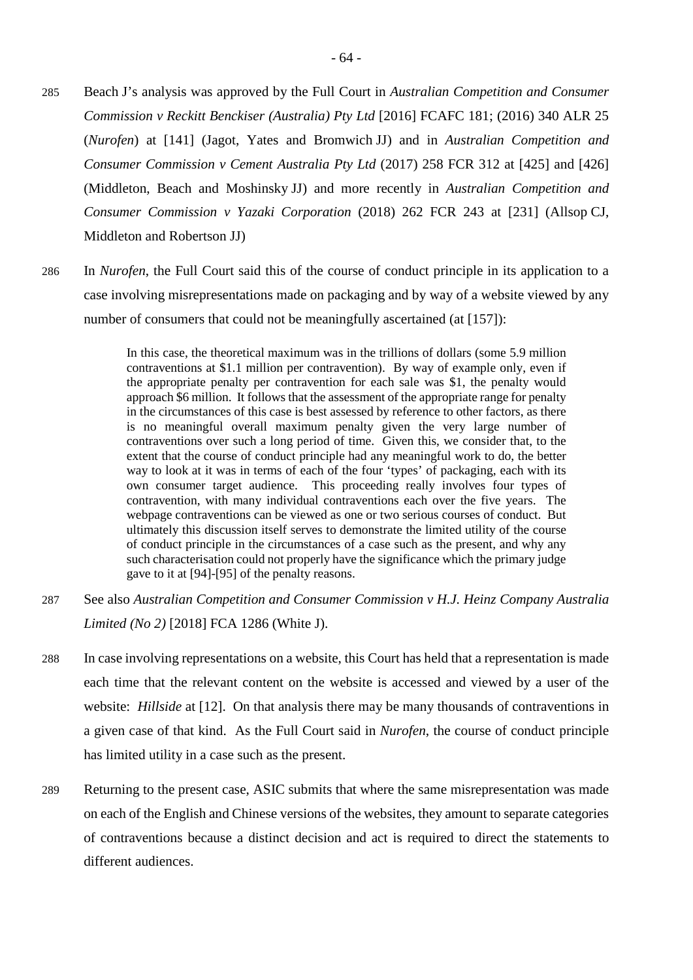- 285 Beach J's analysis was approved by the Full Court in *Australian Competition and Consumer Commission v Reckitt Benckiser (Australia) Pty Ltd* [2016] FCAFC 181; (2016) 340 ALR 25 (*Nurofen*) at [141] (Jagot, Yates and Bromwich JJ) and in *Australian Competition and Consumer Commission v Cement Australia Pty Ltd* (2017) 258 FCR 312 at [425] and [426] (Middleton, Beach and Moshinsky JJ) and more recently in *Australian Competition and Consumer Commission v Yazaki Corporation* (2018) 262 FCR 243 at [231] (Allsop CJ, Middleton and Robertson JJ)
- 286 In *Nurofen*, the Full Court said this of the course of conduct principle in its application to a case involving misrepresentations made on packaging and by way of a website viewed by any number of consumers that could not be meaningfully ascertained (at [157]):

In this case, the theoretical maximum was in the trillions of dollars (some 5.9 million contraventions at \$1.1 million per contravention). By way of example only, even if the appropriate penalty per contravention for each sale was \$1, the penalty would approach \$6 million. It follows that the assessment of the appropriate range for penalty in the circumstances of this case is best assessed by reference to other factors, as there is no meaningful overall maximum penalty given the very large number of contraventions over such a long period of time. Given this, we consider that, to the extent that the course of conduct principle had any meaningful work to do, the better way to look at it was in terms of each of the four 'types' of packaging, each with its own consumer target audience. This proceeding really involves four types of contravention, with many individual contraventions each over the five years. The webpage contraventions can be viewed as one or two serious courses of conduct. But ultimately this discussion itself serves to demonstrate the limited utility of the course of conduct principle in the circumstances of a case such as the present, and why any such characterisation could not properly have the significance which the primary judge gave to it at [94]-[95] of the penalty reasons.

- 287 See also *Australian Competition and Consumer Commission v H.J. Heinz Company Australia Limited (No 2)* [2018] FCA 1286 (White J).
- 288 In case involving representations on a website, this Court has held that a representation is made each time that the relevant content on the website is accessed and viewed by a user of the website: *Hillside* at [12].On that analysis there may be many thousands of contraventions in a given case of that kind. As the Full Court said in *Nurofen*, the course of conduct principle has limited utility in a case such as the present.
- 289 Returning to the present case, ASIC submits that where the same misrepresentation was made on each of the English and Chinese versions of the websites, they amount to separate categories of contraventions because a distinct decision and act is required to direct the statements to different audiences.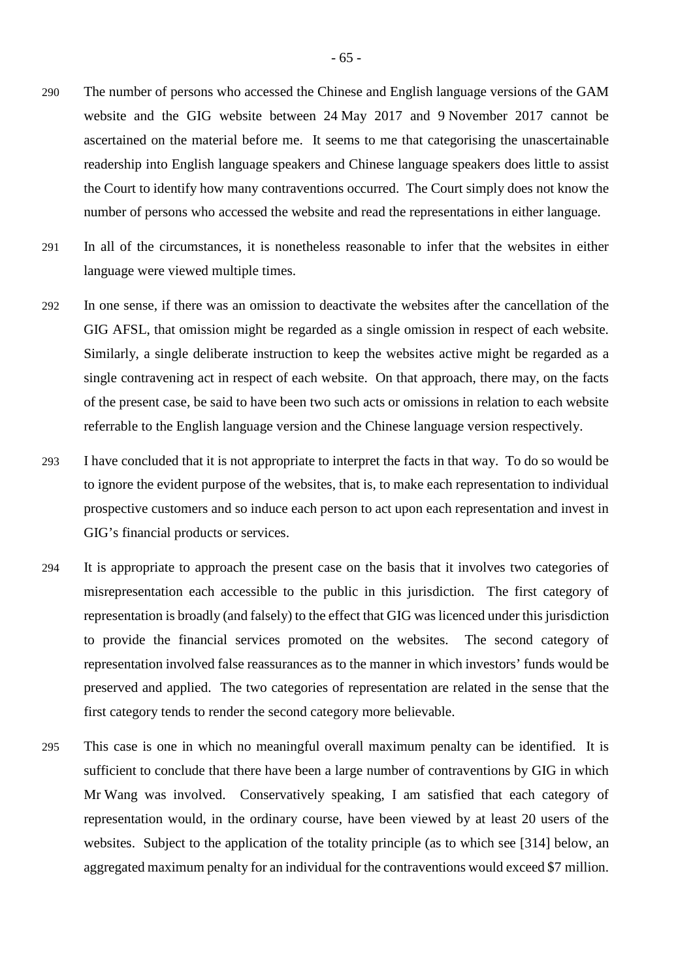- 290 The number of persons who accessed the Chinese and English language versions of the GAM website and the GIG website between 24 May 2017 and 9 November 2017 cannot be ascertained on the material before me. It seems to me that categorising the unascertainable readership into English language speakers and Chinese language speakers does little to assist the Court to identify how many contraventions occurred. The Court simply does not know the number of persons who accessed the website and read the representations in either language.
- 291 In all of the circumstances, it is nonetheless reasonable to infer that the websites in either language were viewed multiple times.
- 292 In one sense, if there was an omission to deactivate the websites after the cancellation of the GIG AFSL, that omission might be regarded as a single omission in respect of each website. Similarly, a single deliberate instruction to keep the websites active might be regarded as a single contravening act in respect of each website. On that approach, there may, on the facts of the present case, be said to have been two such acts or omissions in relation to each website referrable to the English language version and the Chinese language version respectively.
- 293 I have concluded that it is not appropriate to interpret the facts in that way. To do so would be to ignore the evident purpose of the websites, that is, to make each representation to individual prospective customers and so induce each person to act upon each representation and invest in GIG's financial products or services.
- 294 It is appropriate to approach the present case on the basis that it involves two categories of misrepresentation each accessible to the public in this jurisdiction. The first category of representation is broadly (and falsely) to the effect that GIG was licenced under this jurisdiction to provide the financial services promoted on the websites. The second category of representation involved false reassurances as to the manner in which investors' funds would be preserved and applied. The two categories of representation are related in the sense that the first category tends to render the second category more believable.
- 295 This case is one in which no meaningful overall maximum penalty can be identified. It is sufficient to conclude that there have been a large number of contraventions by GIG in which Mr Wang was involved. Conservatively speaking, I am satisfied that each category of representation would, in the ordinary course, have been viewed by at least 20 users of the websites. Subject to the application of the totality principle (as to which see [314] below, an aggregated maximum penalty for an individual for the contraventions would exceed \$7 million.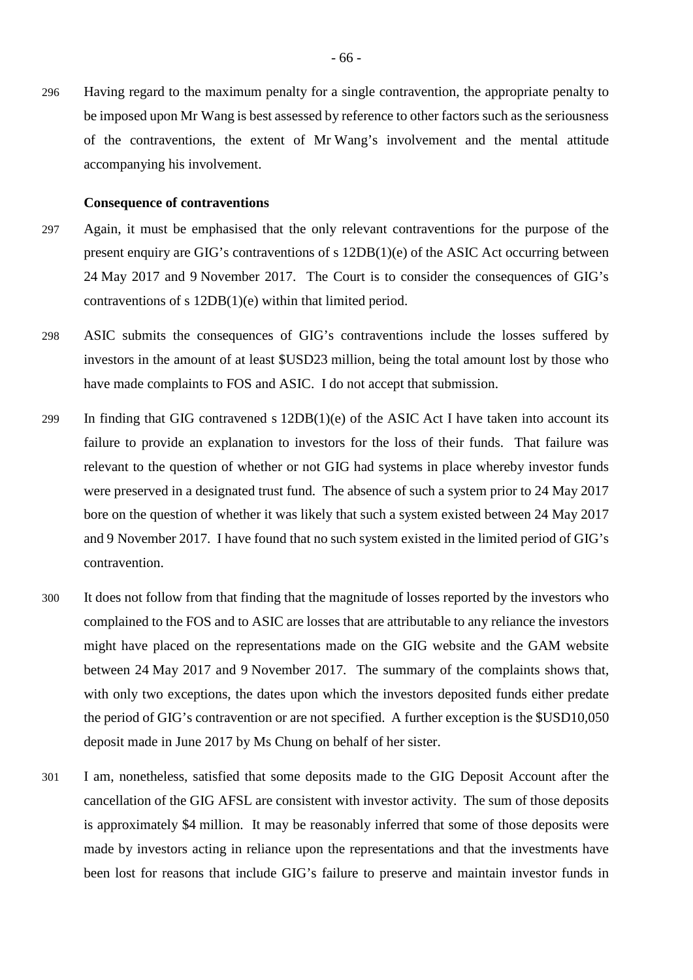296 Having regard to the maximum penalty for a single contravention, the appropriate penalty to be imposed upon Mr Wang is best assessed by reference to other factors such as the seriousness of the contraventions, the extent of Mr Wang's involvement and the mental attitude accompanying his involvement.

#### **Consequence of contraventions**

- 297 Again, it must be emphasised that the only relevant contraventions for the purpose of the present enquiry are GIG's contraventions of s 12DB(1)(e) of the ASIC Act occurring between 24 May 2017 and 9 November 2017. The Court is to consider the consequences of GIG's contraventions of s 12DB(1)(e) within that limited period.
- 298 ASIC submits the consequences of GIG's contraventions include the losses suffered by investors in the amount of at least \$USD23 million, being the total amount lost by those who have made complaints to FOS and ASIC. I do not accept that submission.
- 299 In finding that GIG contravened s  $12DB(1)(e)$  of the ASIC Act I have taken into account its failure to provide an explanation to investors for the loss of their funds. That failure was relevant to the question of whether or not GIG had systems in place whereby investor funds were preserved in a designated trust fund. The absence of such a system prior to 24 May 2017 bore on the question of whether it was likely that such a system existed between 24 May 2017 and 9 November 2017. I have found that no such system existed in the limited period of GIG's contravention.
- 300 It does not follow from that finding that the magnitude of losses reported by the investors who complained to the FOS and to ASIC are losses that are attributable to any reliance the investors might have placed on the representations made on the GIG website and the GAM website between 24 May 2017 and 9 November 2017. The summary of the complaints shows that, with only two exceptions, the dates upon which the investors deposited funds either predate the period of GIG's contravention or are not specified. A further exception is the \$USD10,050 deposit made in June 2017 by Ms Chung on behalf of her sister.
- 301 I am, nonetheless, satisfied that some deposits made to the GIG Deposit Account after the cancellation of the GIG AFSL are consistent with investor activity. The sum of those deposits is approximately \$4 million. It may be reasonably inferred that some of those deposits were made by investors acting in reliance upon the representations and that the investments have been lost for reasons that include GIG's failure to preserve and maintain investor funds in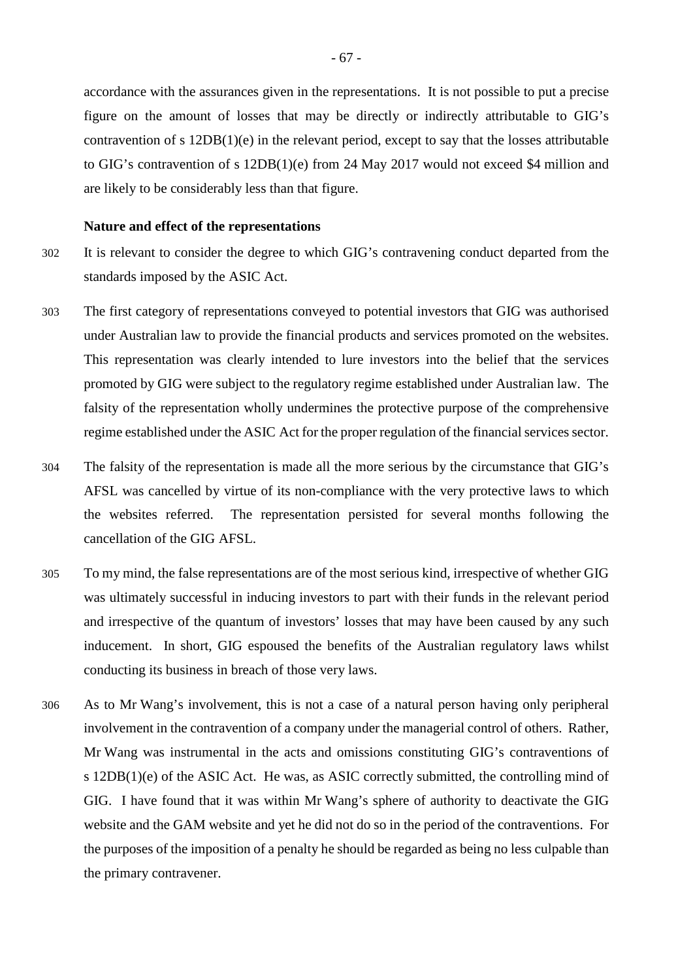accordance with the assurances given in the representations. It is not possible to put a precise figure on the amount of losses that may be directly or indirectly attributable to GIG's contravention of s  $12DB(1)(e)$  in the relevant period, except to say that the losses attributable to GIG's contravention of s 12DB(1)(e) from 24 May 2017 would not exceed \$4 million and are likely to be considerably less than that figure.

## **Nature and effect of the representations**

- 302 It is relevant to consider the degree to which GIG's contravening conduct departed from the standards imposed by the ASIC Act.
- 303 The first category of representations conveyed to potential investors that GIG was authorised under Australian law to provide the financial products and services promoted on the websites. This representation was clearly intended to lure investors into the belief that the services promoted by GIG were subject to the regulatory regime established under Australian law. The falsity of the representation wholly undermines the protective purpose of the comprehensive regime established under the ASIC Act for the proper regulation of the financial services sector.
- 304 The falsity of the representation is made all the more serious by the circumstance that GIG's AFSL was cancelled by virtue of its non-compliance with the very protective laws to which the websites referred. The representation persisted for several months following the cancellation of the GIG AFSL.
- 305 To my mind, the false representations are of the most serious kind, irrespective of whether GIG was ultimately successful in inducing investors to part with their funds in the relevant period and irrespective of the quantum of investors' losses that may have been caused by any such inducement. In short, GIG espoused the benefits of the Australian regulatory laws whilst conducting its business in breach of those very laws.
- 306 As to Mr Wang's involvement, this is not a case of a natural person having only peripheral involvement in the contravention of a company under the managerial control of others. Rather, Mr Wang was instrumental in the acts and omissions constituting GIG's contraventions of s 12DB(1)(e) of the ASIC Act. He was, as ASIC correctly submitted, the controlling mind of GIG. I have found that it was within Mr Wang's sphere of authority to deactivate the GIG website and the GAM website and yet he did not do so in the period of the contraventions. For the purposes of the imposition of a penalty he should be regarded as being no less culpable than the primary contravener.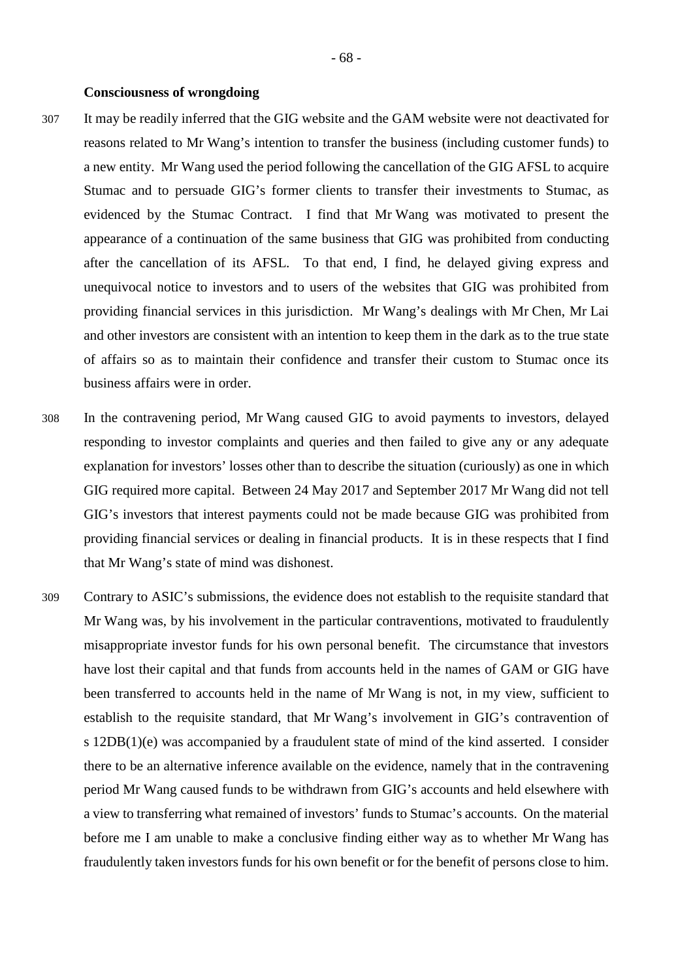# **Consciousness of wrongdoing**

- 307 It may be readily inferred that the GIG website and the GAM website were not deactivated for reasons related to Mr Wang's intention to transfer the business (including customer funds) to a new entity. Mr Wang used the period following the cancellation of the GIG AFSL to acquire Stumac and to persuade GIG's former clients to transfer their investments to Stumac, as evidenced by the Stumac Contract. I find that Mr Wang was motivated to present the appearance of a continuation of the same business that GIG was prohibited from conducting after the cancellation of its AFSL. To that end, I find, he delayed giving express and unequivocal notice to investors and to users of the websites that GIG was prohibited from providing financial services in this jurisdiction. Mr Wang's dealings with Mr Chen, Mr Lai and other investors are consistent with an intention to keep them in the dark as to the true state of affairs so as to maintain their confidence and transfer their custom to Stumac once its business affairs were in order.
- 308 In the contravening period, Mr Wang caused GIG to avoid payments to investors, delayed responding to investor complaints and queries and then failed to give any or any adequate explanation for investors' losses other than to describe the situation (curiously) as one in which GIG required more capital. Between 24 May 2017 and September 2017 Mr Wang did not tell GIG's investors that interest payments could not be made because GIG was prohibited from providing financial services or dealing in financial products. It is in these respects that I find that Mr Wang's state of mind was dishonest.
- 309 Contrary to ASIC's submissions, the evidence does not establish to the requisite standard that Mr Wang was, by his involvement in the particular contraventions, motivated to fraudulently misappropriate investor funds for his own personal benefit. The circumstance that investors have lost their capital and that funds from accounts held in the names of GAM or GIG have been transferred to accounts held in the name of Mr Wang is not, in my view, sufficient to establish to the requisite standard, that Mr Wang's involvement in GIG's contravention of s 12DB(1)(e) was accompanied by a fraudulent state of mind of the kind asserted. I consider there to be an alternative inference available on the evidence, namely that in the contravening period Mr Wang caused funds to be withdrawn from GIG's accounts and held elsewhere with a view to transferring what remained of investors' funds to Stumac's accounts. On the material before me I am unable to make a conclusive finding either way as to whether Mr Wang has fraudulently taken investors funds for his own benefit or for the benefit of persons close to him.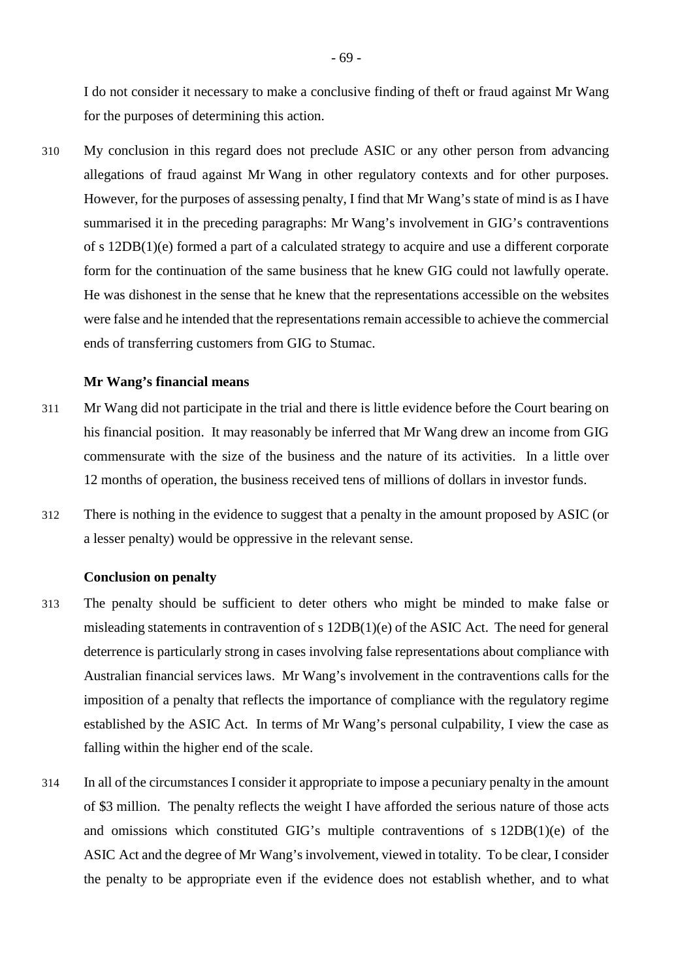I do not consider it necessary to make a conclusive finding of theft or fraud against Mr Wang for the purposes of determining this action.

310 My conclusion in this regard does not preclude ASIC or any other person from advancing allegations of fraud against Mr Wang in other regulatory contexts and for other purposes. However, for the purposes of assessing penalty, I find that Mr Wang's state of mind is as I have summarised it in the preceding paragraphs: Mr Wang's involvement in GIG's contraventions of s 12DB(1)(e) formed a part of a calculated strategy to acquire and use a different corporate form for the continuation of the same business that he knew GIG could not lawfully operate. He was dishonest in the sense that he knew that the representations accessible on the websites were false and he intended that the representations remain accessible to achieve the commercial ends of transferring customers from GIG to Stumac.

# **Mr Wang's financial means**

- 311 Mr Wang did not participate in the trial and there is little evidence before the Court bearing on his financial position. It may reasonably be inferred that Mr Wang drew an income from GIG commensurate with the size of the business and the nature of its activities. In a little over 12 months of operation, the business received tens of millions of dollars in investor funds.
- 312 There is nothing in the evidence to suggest that a penalty in the amount proposed by ASIC (or a lesser penalty) would be oppressive in the relevant sense.

#### **Conclusion on penalty**

- 313 The penalty should be sufficient to deter others who might be minded to make false or misleading statements in contravention of s 12DB(1)(e) of the ASIC Act. The need for general deterrence is particularly strong in cases involving false representations about compliance with Australian financial services laws. Mr Wang's involvement in the contraventions calls for the imposition of a penalty that reflects the importance of compliance with the regulatory regime established by the ASIC Act. In terms of Mr Wang's personal culpability, I view the case as falling within the higher end of the scale.
- 314 In all of the circumstances I consider it appropriate to impose a pecuniary penalty in the amount of \$3 million. The penalty reflects the weight I have afforded the serious nature of those acts and omissions which constituted GIG's multiple contraventions of s 12DB(1)(e) of the ASIC Act and the degree of Mr Wang's involvement, viewed in totality. To be clear, I consider the penalty to be appropriate even if the evidence does not establish whether, and to what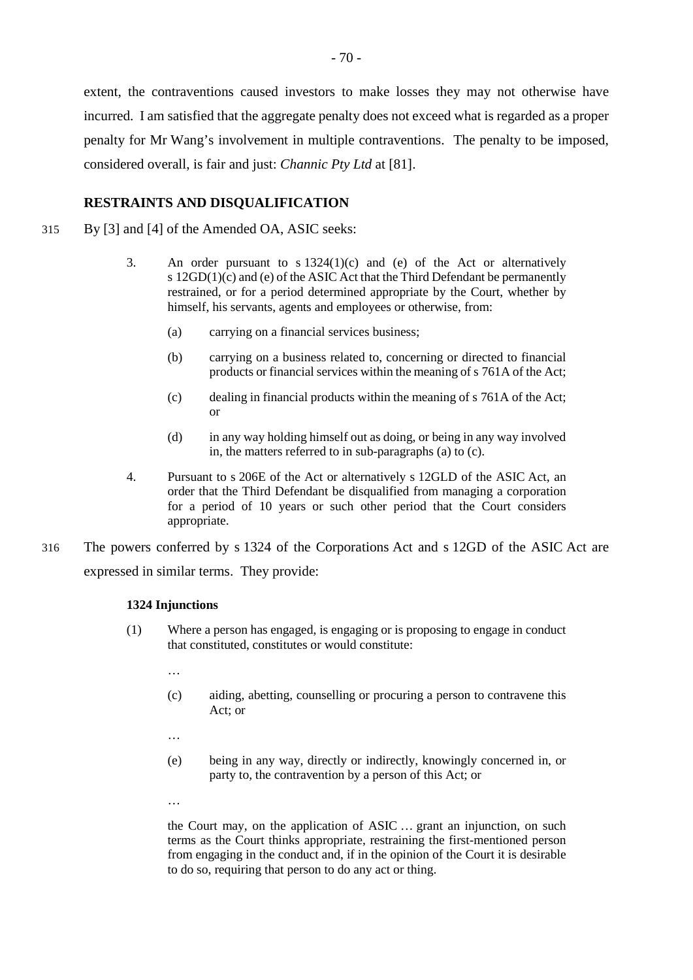extent, the contraventions caused investors to make losses they may not otherwise have incurred. I am satisfied that the aggregate penalty does not exceed what is regarded as a proper penalty for Mr Wang's involvement in multiple contraventions. The penalty to be imposed, considered overall, is fair and just: *Channic Pty Ltd* at [81].

# **RESTRAINTS AND DISQUALIFICATION**

- 315 By [3] and [4] of the Amended OA, ASIC seeks:
	- 3. An order pursuant to s 1324(1)(c) and (e) of the Act or alternatively s  $12GD(1)(c)$  and (e) of the ASIC Act that the Third Defendant be permanently restrained, or for a period determined appropriate by the Court, whether by himself, his servants, agents and employees or otherwise, from:
		- (a) carrying on a financial services business;
		- (b) carrying on a business related to, concerning or directed to financial products or financial services within the meaning of s 761A of the Act;
		- (c) dealing in financial products within the meaning of s 761A of the Act; or
		- (d) in any way holding himself out as doing, or being in any way involved in, the matters referred to in sub-paragraphs (a) to (c).
	- 4. Pursuant to s 206E of the Act or alternatively s 12GLD of the ASIC Act, an order that the Third Defendant be disqualified from managing a corporation for a period of 10 years or such other period that the Court considers appropriate.
- 316 The powers conferred by s 1324 of the Corporations Act and s 12GD of the ASIC Act are expressed in similar terms. They provide:

# **1324 Injunctions**

- (1) Where a person has engaged, is engaging or is proposing to engage in conduct that constituted, constitutes or would constitute:
	- …
	- (c) aiding, abetting, counselling or procuring a person to contravene this Act; or
	- …
	- (e) being in any way, directly or indirectly, knowingly concerned in, or party to, the contravention by a person of this Act; or
	- …

the Court may, on the application of ASIC … grant an injunction, on such terms as the Court thinks appropriate, restraining the first-mentioned person from engaging in the conduct and, if in the opinion of the Court it is desirable to do so, requiring that person to do any act or thing.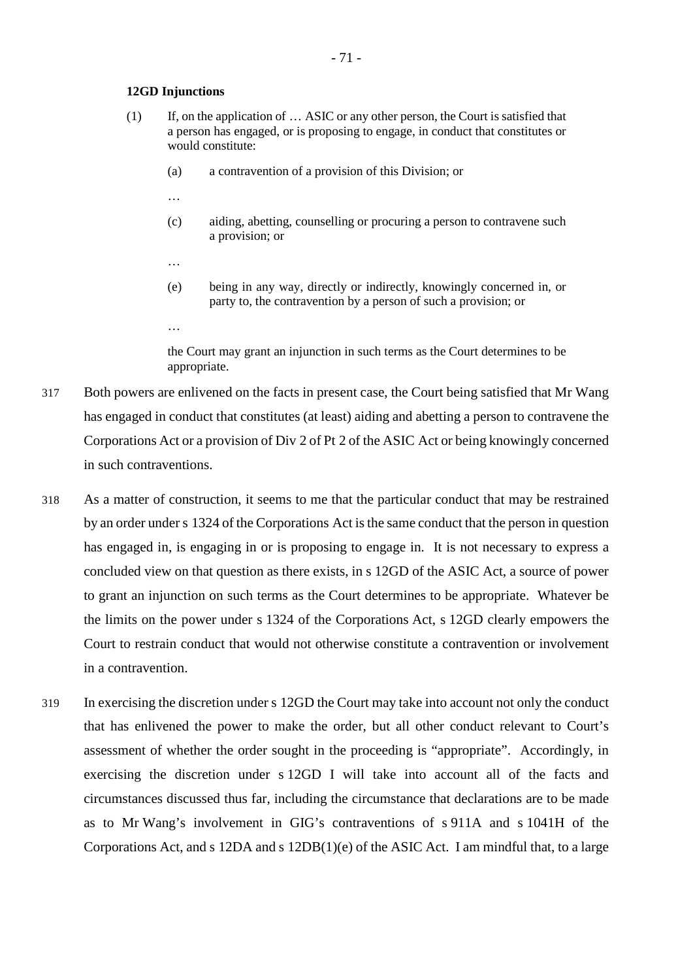#### **12GD Injunctions**

- (1) If, on the application of … ASIC or any other person, the Court is satisfied that a person has engaged, or is proposing to engage, in conduct that constitutes or would constitute:
	- (a) a contravention of a provision of this Division; or
	- …

…

…

- (c) aiding, abetting, counselling or procuring a person to contravene such a provision; or
- (e) being in any way, directly or indirectly, knowingly concerned in, or party to, the contravention by a person of such a provision; or
- the Court may grant an injunction in such terms as the Court determines to be appropriate.
- 317 Both powers are enlivened on the facts in present case, the Court being satisfied that Mr Wang has engaged in conduct that constitutes (at least) aiding and abetting a person to contravene the Corporations Act or a provision of Div 2 of Pt 2 of the ASIC Act or being knowingly concerned in such contraventions.
- 318 As a matter of construction, it seems to me that the particular conduct that may be restrained by an order under s 1324 of the Corporations Act is the same conduct that the person in question has engaged in, is engaging in or is proposing to engage in. It is not necessary to express a concluded view on that question as there exists, in s 12GD of the ASIC Act, a source of power to grant an injunction on such terms as the Court determines to be appropriate. Whatever be the limits on the power under s 1324 of the Corporations Act, s 12GD clearly empowers the Court to restrain conduct that would not otherwise constitute a contravention or involvement in a contravention.
- 319 In exercising the discretion under s 12GD the Court may take into account not only the conduct that has enlivened the power to make the order, but all other conduct relevant to Court's assessment of whether the order sought in the proceeding is "appropriate". Accordingly, in exercising the discretion under s 12GD I will take into account all of the facts and circumstances discussed thus far, including the circumstance that declarations are to be made as to Mr Wang's involvement in GIG's contraventions of s 911A and s 1041H of the Corporations Act, and s 12DA and s 12DB(1)(e) of the ASIC Act. I am mindful that, to a large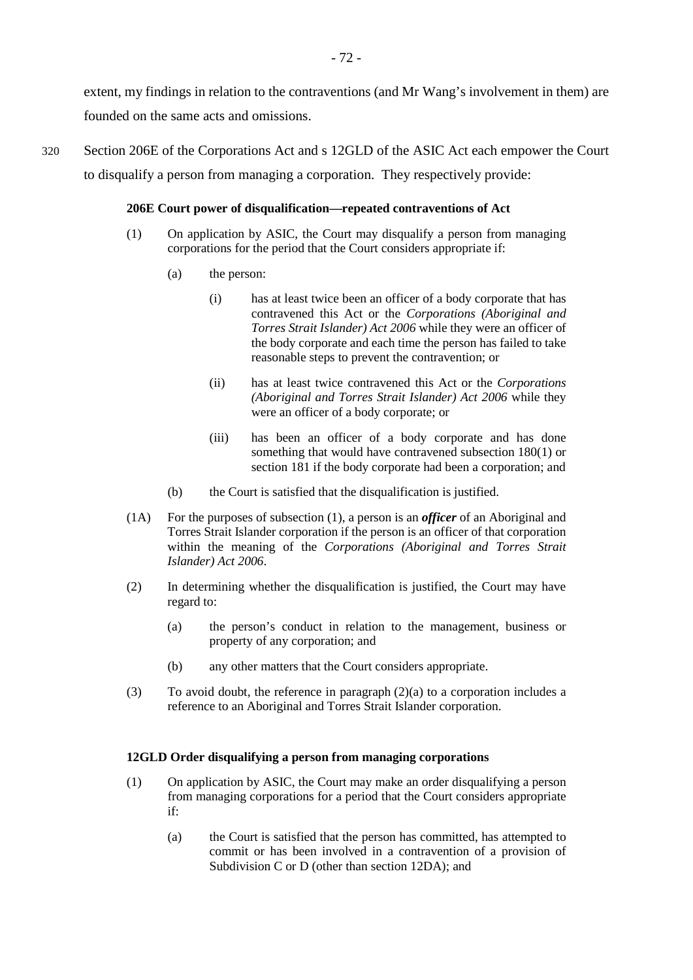extent, my findings in relation to the contraventions (and Mr Wang's involvement in them) are founded on the same acts and omissions.

320 Section 206E of the Corporations Act and s 12GLD of the ASIC Act each empower the Court to disqualify a person from managing a corporation. They respectively provide:

#### **206E Court power of disqualification—repeated contraventions of Act**

- (1) On application by ASIC, the Court may disqualify a person from managing corporations for the period that the Court considers appropriate if:
	- (a) the person:
		- (i) has at least twice been an officer of a body corporate that has contravened this Act or the *Corporations (Aboriginal and Torres Strait Islander) Act 2006* while they were an officer of the body corporate and each time the person has failed to take reasonable steps to prevent the contravention; or
		- (ii) has at least twice contravened this Act or the *Corporations (Aboriginal and Torres Strait Islander) Act 2006* while they were an officer of a body corporate; or
		- (iii) has been an officer of a body corporate and has done something that would have contravened subsection 180(1) or section 181 if the body corporate had been a corporation; and
	- (b) the Court is satisfied that the disqualification is justified.
- (1A) For the purposes of subsection (1), a person is an *officer* of an Aboriginal and Torres Strait Islander corporation if the person is an officer of that corporation within the meaning of the *Corporations (Aboriginal and Torres Strait Islander) Act 2006*.
- (2) In determining whether the disqualification is justified, the Court may have regard to:
	- (a) the person's conduct in relation to the management, business or property of any corporation; and
	- (b) any other matters that the Court considers appropriate.
- (3) To avoid doubt, the reference in paragraph  $(2)(a)$  to a corporation includes a reference to an Aboriginal and Torres Strait Islander corporation.

## **12GLD Order disqualifying a person from managing corporations**

- (1) On application by ASIC, the Court may make an order disqualifying a person from managing corporations for a period that the Court considers appropriate if:
	- (a) the Court is satisfied that the person has committed, has attempted to commit or has been involved in a contravention of a provision of Subdivision C or D (other than section 12DA); and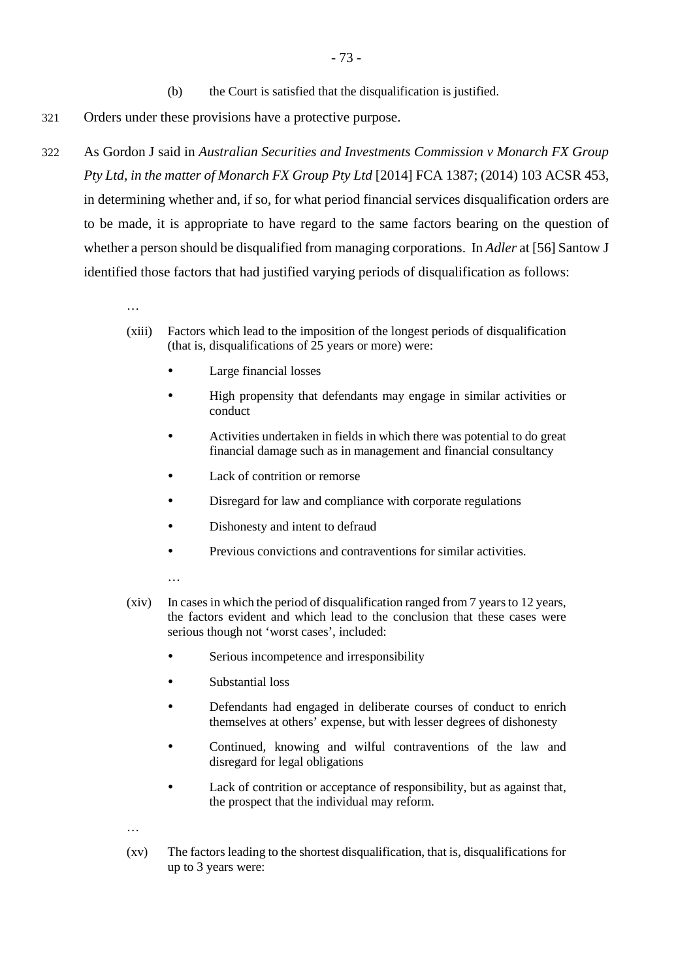- 321 Orders under these provisions have a protective purpose.
- 322 As Gordon J said in *Australian Securities and Investments Commission v Monarch FX Group Pty Ltd, in the matter of Monarch FX Group Pty Ltd* [2014] FCA 1387; (2014) 103 ACSR 453, in determining whether and, if so, for what period financial services disqualification orders are to be made, it is appropriate to have regard to the same factors bearing on the question of whether a person should be disqualified from managing corporations. In *Adler* at [56] Santow J identified those factors that had justified varying periods of disqualification as follows:

…

- (xiii) Factors which lead to the imposition of the longest periods of disqualification (that is, disqualifications of 25 years or more) were:
	- Large financial losses
	- High propensity that defendants may engage in similar activities or conduct
	- Activities undertaken in fields in which there was potential to do great financial damage such as in management and financial consultancy
	- Lack of contrition or remorse
	- Disregard for law and compliance with corporate regulations
	- Dishonesty and intent to defraud
	- Previous convictions and contraventions for similar activities.
	- …
- (xiv) In cases in which the period of disqualification ranged from 7 years to 12 years, the factors evident and which lead to the conclusion that these cases were serious though not 'worst cases', included:
	- Serious incompetence and irresponsibility
	- Substantial loss
	- Defendants had engaged in deliberate courses of conduct to enrich themselves at others' expense, but with lesser degrees of dishonesty
	- Continued, knowing and wilful contraventions of the law and disregard for legal obligations
	- Lack of contrition or acceptance of responsibility, but as against that, the prospect that the individual may reform.
- …
- (xv) The factors leading to the shortest disqualification, that is, disqualifications for up to 3 years were: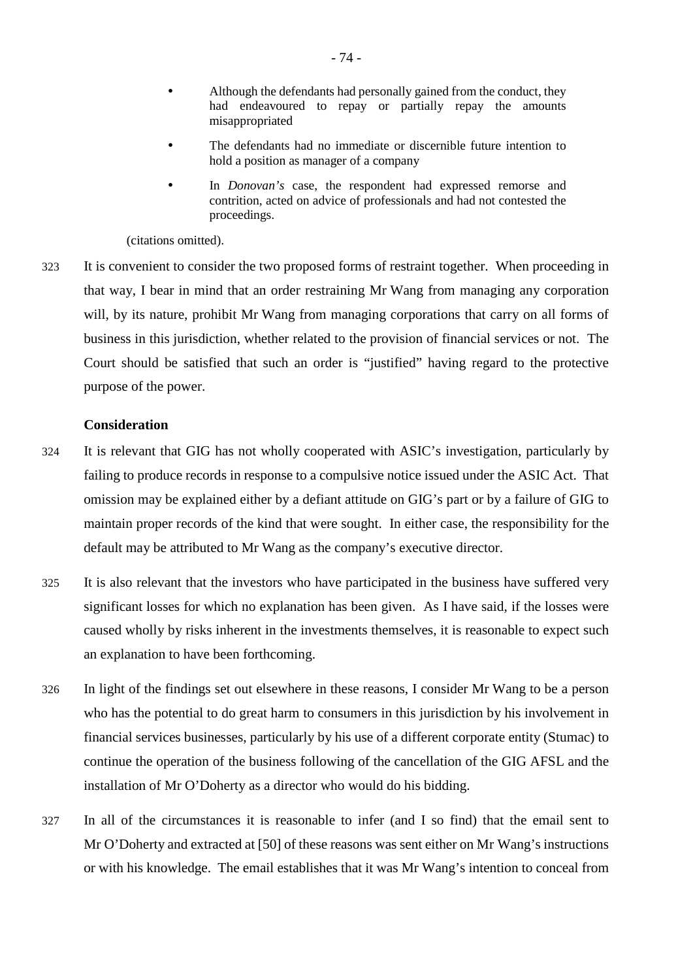- Although the defendants had personally gained from the conduct, they had endeavoured to repay or partially repay the amounts misappropriated
- The defendants had no immediate or discernible future intention to hold a position as manager of a company
- In *Donovan's* case, the respondent had expressed remorse and contrition, acted on advice of professionals and had not contested the proceedings.

(citations omitted).

323 It is convenient to consider the two proposed forms of restraint together. When proceeding in that way, I bear in mind that an order restraining Mr Wang from managing any corporation will, by its nature, prohibit Mr Wang from managing corporations that carry on all forms of business in this jurisdiction, whether related to the provision of financial services or not. The Court should be satisfied that such an order is "justified" having regard to the protective purpose of the power.

#### **Consideration**

- 324 It is relevant that GIG has not wholly cooperated with ASIC's investigation, particularly by failing to produce records in response to a compulsive notice issued under the ASIC Act. That omission may be explained either by a defiant attitude on GIG's part or by a failure of GIG to maintain proper records of the kind that were sought. In either case, the responsibility for the default may be attributed to Mr Wang as the company's executive director.
- 325 It is also relevant that the investors who have participated in the business have suffered very significant losses for which no explanation has been given. As I have said, if the losses were caused wholly by risks inherent in the investments themselves, it is reasonable to expect such an explanation to have been forthcoming.
- 326 In light of the findings set out elsewhere in these reasons, I consider Mr Wang to be a person who has the potential to do great harm to consumers in this jurisdiction by his involvement in financial services businesses, particularly by his use of a different corporate entity (Stumac) to continue the operation of the business following of the cancellation of the GIG AFSL and the installation of Mr O'Doherty as a director who would do his bidding.
- 327 In all of the circumstances it is reasonable to infer (and I so find) that the email sent to Mr O'Doherty and extracted at [50] of these reasons was sent either on Mr Wang's instructions or with his knowledge. The email establishes that it was Mr Wang's intention to conceal from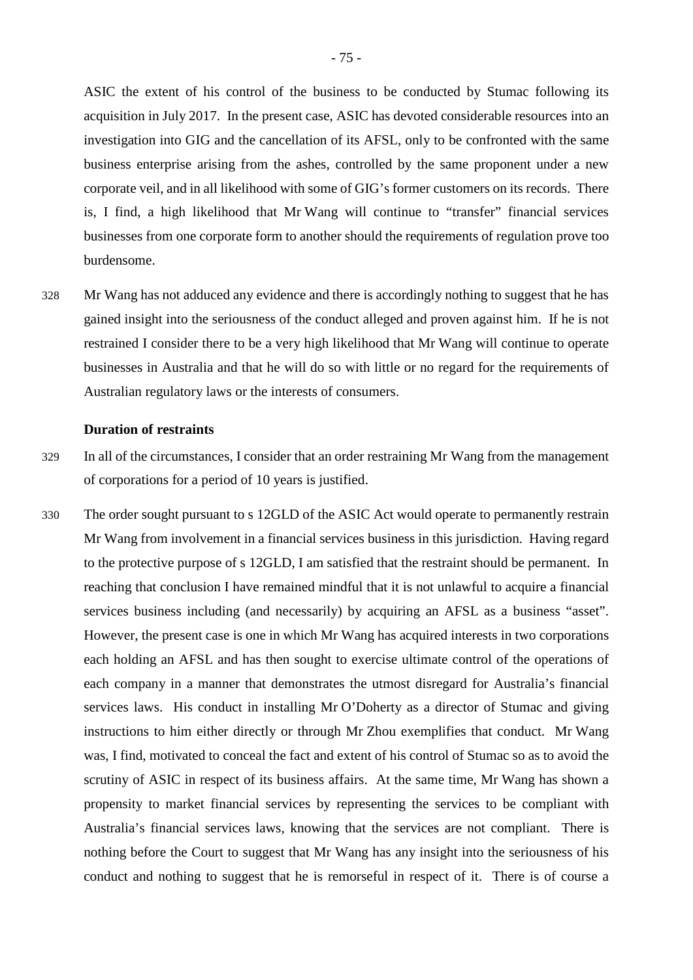ASIC the extent of his control of the business to be conducted by Stumac following its acquisition in July 2017. In the present case, ASIC has devoted considerable resources into an investigation into GIG and the cancellation of its AFSL, only to be confronted with the same business enterprise arising from the ashes, controlled by the same proponent under a new corporate veil, and in all likelihood with some of GIG's former customers on its records. There is, I find, a high likelihood that Mr Wang will continue to "transfer" financial services businesses from one corporate form to another should the requirements of regulation prove too burdensome.

328 Mr Wang has not adduced any evidence and there is accordingly nothing to suggest that he has gained insight into the seriousness of the conduct alleged and proven against him. If he is not restrained I consider there to be a very high likelihood that Mr Wang will continue to operate businesses in Australia and that he will do so with little or no regard for the requirements of Australian regulatory laws or the interests of consumers.

# **Duration of restraints**

- 329 In all of the circumstances, I consider that an order restraining Mr Wang from the management of corporations for a period of 10 years is justified.
- 330 The order sought pursuant to s 12GLD of the ASIC Act would operate to permanently restrain Mr Wang from involvement in a financial services business in this jurisdiction. Having regard to the protective purpose of s 12GLD, I am satisfied that the restraint should be permanent. In reaching that conclusion I have remained mindful that it is not unlawful to acquire a financial services business including (and necessarily) by acquiring an AFSL as a business "asset". However, the present case is one in which Mr Wang has acquired interests in two corporations each holding an AFSL and has then sought to exercise ultimate control of the operations of each company in a manner that demonstrates the utmost disregard for Australia's financial services laws. His conduct in installing Mr O'Doherty as a director of Stumac and giving instructions to him either directly or through Mr Zhou exemplifies that conduct. Mr Wang was, I find, motivated to conceal the fact and extent of his control of Stumac so as to avoid the scrutiny of ASIC in respect of its business affairs. At the same time, Mr Wang has shown a propensity to market financial services by representing the services to be compliant with Australia's financial services laws, knowing that the services are not compliant. There is nothing before the Court to suggest that Mr Wang has any insight into the seriousness of his conduct and nothing to suggest that he is remorseful in respect of it. There is of course a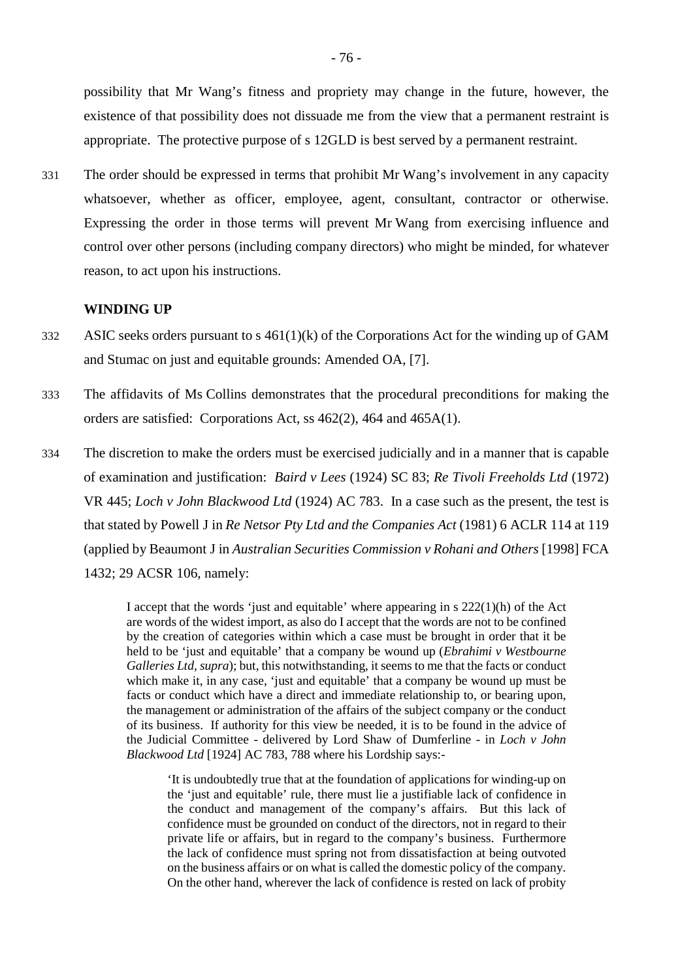possibility that Mr Wang's fitness and propriety may change in the future, however, the existence of that possibility does not dissuade me from the view that a permanent restraint is appropriate. The protective purpose of s 12GLD is best served by a permanent restraint.

331 The order should be expressed in terms that prohibit Mr Wang's involvement in any capacity whatsoever, whether as officer, employee, agent, consultant, contractor or otherwise. Expressing the order in those terms will prevent Mr Wang from exercising influence and control over other persons (including company directors) who might be minded, for whatever reason, to act upon his instructions.

#### **WINDING UP**

- 332 ASIC seeks orders pursuant to s 461(1)(k) of the Corporations Act for the winding up of GAM and Stumac on just and equitable grounds: Amended OA, [7].
- 333 The affidavits of Ms Collins demonstrates that the procedural preconditions for making the orders are satisfied: Corporations Act, ss 462(2), 464 and 465A(1).
- 334 The discretion to make the orders must be exercised judicially and in a manner that is capable of examination and justification: *Baird v Lees* (1924) SC 83; *Re Tivoli Freeholds Ltd* (1972) VR 445; *Loch v John Blackwood Ltd* (1924) AC 783. In a case such as the present, the test is that stated by Powell J in *Re Netsor Pty Ltd and the Companies Act* (1981) 6 ACLR 114 at 119 (applied by Beaumont J in *Australian Securities Commission v Rohani and Others* [1998] FCA 1432; 29 ACSR 106, namely:

I accept that the words 'just and equitable' where appearing in  $s$  222(1)(h) of the Act are words of the widest import, as also do I accept that the words are not to be confined by the creation of categories within which a case must be brought in order that it be held to be 'just and equitable' that a company be wound up (*Ebrahimi v Westbourne Galleries Ltd, supra*); but, this notwithstanding, it seems to me that the facts or conduct which make it, in any case, 'just and equitable' that a company be wound up must be facts or conduct which have a direct and immediate relationship to, or bearing upon, the management or administration of the affairs of the subject company or the conduct of its business. If authority for this view be needed, it is to be found in the advice of the Judicial Committee - delivered by Lord Shaw of Dumferline - in *Loch v John Blackwood Ltd* [1924] AC 783, 788 where his Lordship says:-

'It is undoubtedly true that at the foundation of applications for winding-up on the 'just and equitable' rule, there must lie a justifiable lack of confidence in the conduct and management of the company's affairs. But this lack of confidence must be grounded on conduct of the directors, not in regard to their private life or affairs, but in regard to the company's business. Furthermore the lack of confidence must spring not from dissatisfaction at being outvoted on the business affairs or on what is called the domestic policy of the company. On the other hand, wherever the lack of confidence is rested on lack of probity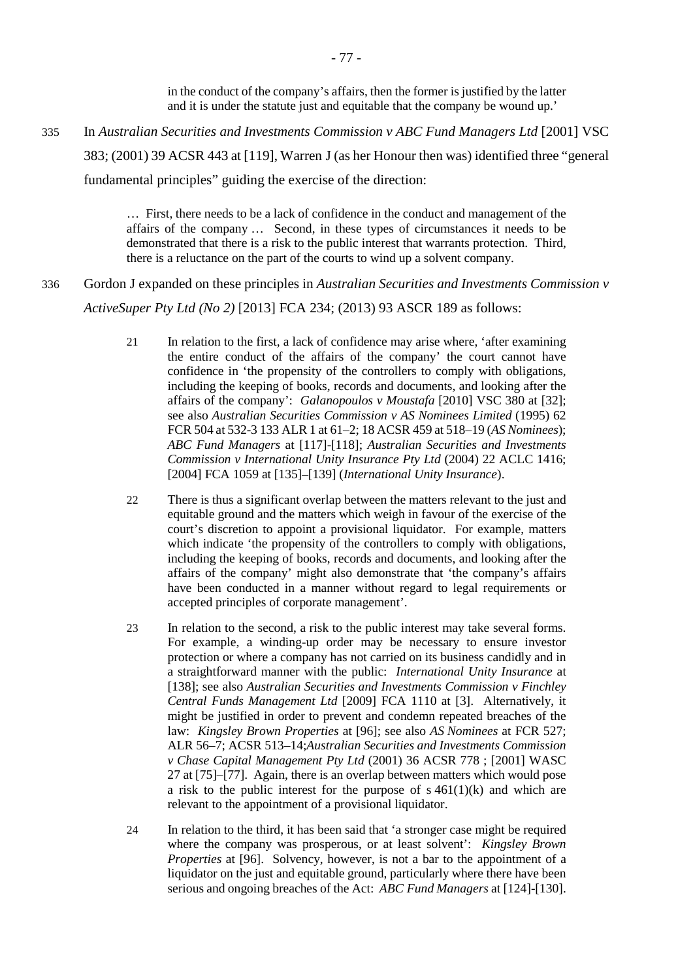in the conduct of the company's affairs, then the former is justified by the latter and it is under the statute just and equitable that the company be wound up.'

335 In *Australian Securities and Investments Commission v ABC Fund Managers Ltd* [2001] VSC

383; (2001) 39 ACSR 443 at [119], Warren J (as her Honour then was) identified three "general

fundamental principles" guiding the exercise of the direction:

… First, there needs to be a lack of confidence in the conduct and management of the affairs of the company … Second, in these types of circumstances it needs to be demonstrated that there is a risk to the public interest that warrants protection. Third, there is a reluctance on the part of the courts to wind up a solvent company.

336 Gordon J expanded on these principles in *Australian Securities and Investments Commission v ActiveSuper Pty Ltd (No 2)* [2013] FCA 234; (2013) 93 ASCR 189 as follows:

- 21 In relation to the first, a lack of confidence may arise where, 'after examining the entire conduct of the affairs of the company' the court cannot have confidence in 'the propensity of the controllers to comply with obligations, including the keeping of books, records and documents, and looking after the affairs of the company': *Galanopoulos v Moustafa* [2010] VSC 380 at [32]; see also *Australian Securities Commission v AS Nominees Limited* (1995) 62 FCR 504 at 532-3 133 ALR 1 at 61–2; 18 ACSR 459 at 518–19 (*AS Nominees*); *ABC Fund Managers* at [117]-[118]; *Australian Securities and Investments Commission v International Unity Insurance Pty Ltd* (2004) 22 ACLC 1416; [2004] FCA 1059 at [135]–[139] (*International Unity Insurance*).
- 22 There is thus a significant overlap between the matters relevant to the just and equitable ground and the matters which weigh in favour of the exercise of the court's discretion to appoint a provisional liquidator. For example, matters which indicate 'the propensity of the controllers to comply with obligations, including the keeping of books, records and documents, and looking after the affairs of the company' might also demonstrate that 'the company's affairs have been conducted in a manner without regard to legal requirements or accepted principles of corporate management'.
- 23 In relation to the second, a risk to the public interest may take several forms. For example, a winding-up order may be necessary to ensure investor protection or where a company has not carried on its business candidly and in a straightforward manner with the public: *International Unity Insurance* at [138]; see also *Australian Securities and Investments Commission v Finchley Central Funds Management Ltd* [2009] FCA 1110 at [3]. Alternatively, it might be justified in order to prevent and condemn repeated breaches of the law: *Kingsley Brown Properties* at [96]; see also *AS Nominees* at FCR 527; ALR 56–7; ACSR 513–14;*Australian Securities and Investments Commission v Chase Capital Management Pty Ltd* (2001) 36 ACSR 778 ; [2001] WASC 27 at [75]–[77]. Again, there is an overlap between matters which would pose a risk to the public interest for the purpose of  $s\,461(1)(k)$  and which are relevant to the appointment of a provisional liquidator.
- 24 In relation to the third, it has been said that 'a stronger case might be required where the company was prosperous, or at least solvent': *Kingsley Brown Properties* at [96]. Solvency, however, is not a bar to the appointment of a liquidator on the just and equitable ground, particularly where there have been serious and ongoing breaches of the Act: *ABC Fund Managers* at [124]-[130].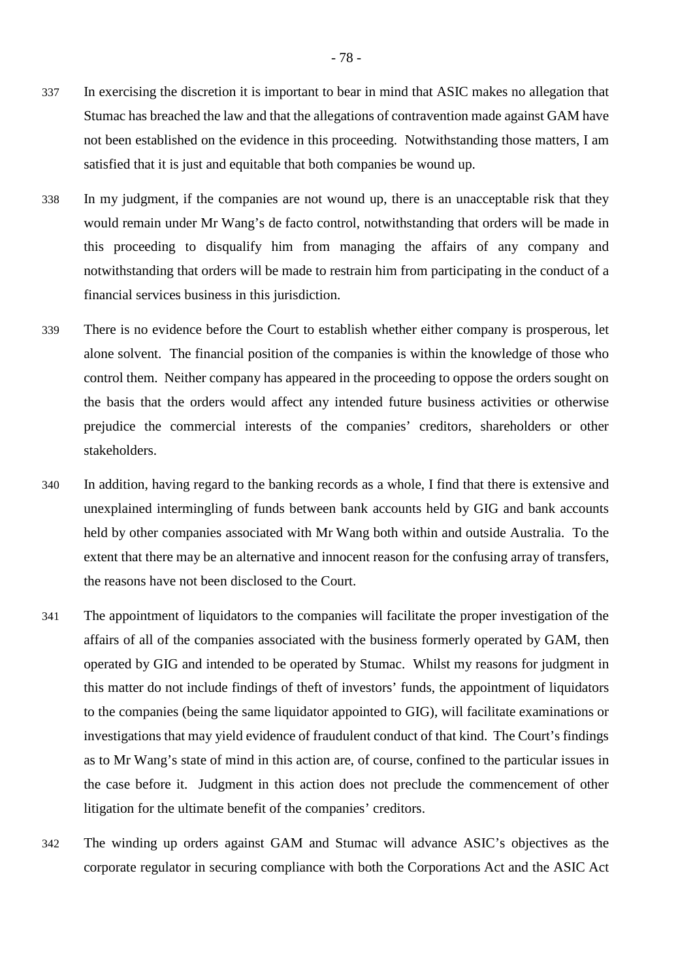- 337 In exercising the discretion it is important to bear in mind that ASIC makes no allegation that Stumac has breached the law and that the allegations of contravention made against GAM have not been established on the evidence in this proceeding. Notwithstanding those matters, I am satisfied that it is just and equitable that both companies be wound up.
- 338 In my judgment, if the companies are not wound up, there is an unacceptable risk that they would remain under Mr Wang's de facto control, notwithstanding that orders will be made in this proceeding to disqualify him from managing the affairs of any company and notwithstanding that orders will be made to restrain him from participating in the conduct of a financial services business in this jurisdiction.
- 339 There is no evidence before the Court to establish whether either company is prosperous, let alone solvent. The financial position of the companies is within the knowledge of those who control them. Neither company has appeared in the proceeding to oppose the orders sought on the basis that the orders would affect any intended future business activities or otherwise prejudice the commercial interests of the companies' creditors, shareholders or other stakeholders.
- 340 In addition, having regard to the banking records as a whole, I find that there is extensive and unexplained intermingling of funds between bank accounts held by GIG and bank accounts held by other companies associated with Mr Wang both within and outside Australia. To the extent that there may be an alternative and innocent reason for the confusing array of transfers, the reasons have not been disclosed to the Court.
- 341 The appointment of liquidators to the companies will facilitate the proper investigation of the affairs of all of the companies associated with the business formerly operated by GAM, then operated by GIG and intended to be operated by Stumac. Whilst my reasons for judgment in this matter do not include findings of theft of investors' funds, the appointment of liquidators to the companies (being the same liquidator appointed to GIG), will facilitate examinations or investigations that may yield evidence of fraudulent conduct of that kind. The Court's findings as to Mr Wang's state of mind in this action are, of course, confined to the particular issues in the case before it. Judgment in this action does not preclude the commencement of other litigation for the ultimate benefit of the companies' creditors.
- 342 The winding up orders against GAM and Stumac will advance ASIC's objectives as the corporate regulator in securing compliance with both the Corporations Act and the ASIC Act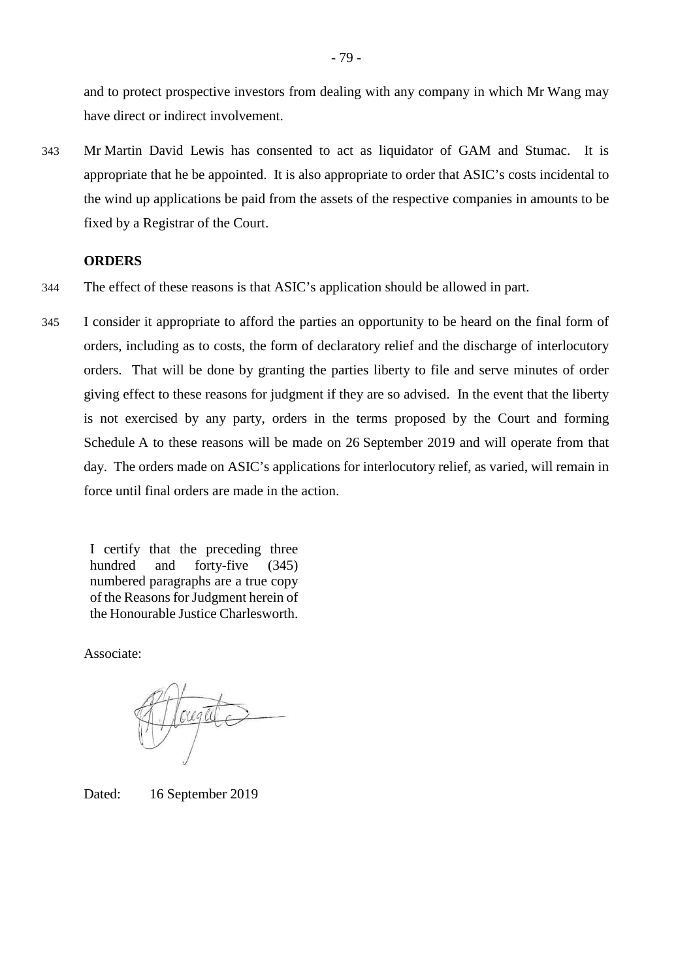and to protect prospective investors from dealing with any company in which Mr Wang may have direct or indirect involvement.

343 Mr Martin David Lewis has consented to act as liquidator of GAM and Stumac. It is appropriate that he be appointed. It is also appropriate to order that ASIC's costs incidental to the wind up applications be paid from the assets of the respective companies in amounts to be fixed by a Registrar of the Court.

# **ORDERS**

- 344 The effect of these reasons is that ASIC's application should be allowed in part.
- 345 I consider it appropriate to afford the parties an opportunity to be heard on the final form of orders, including as to costs, the form of declaratory relief and the discharge of interlocutory orders. That will be done by granting the parties liberty to file and serve minutes of order giving effect to these reasons for judgment if they are so advised. In the event that the liberty is not exercised by any party, orders in the terms proposed by the Court and forming Schedule A to these reasons will be made on 26 September 2019 and will operate from that day. The orders made on ASIC's applications for interlocutory relief, as varied, will remain in force until final orders are made in the action.

I certify that the preceding three hundred and forty-five (345) numbered paragraphs are a true copy of the Reasons for Judgment herein of the Honourable Justice Charlesworth.

Associate:

Dated: 16 September 2019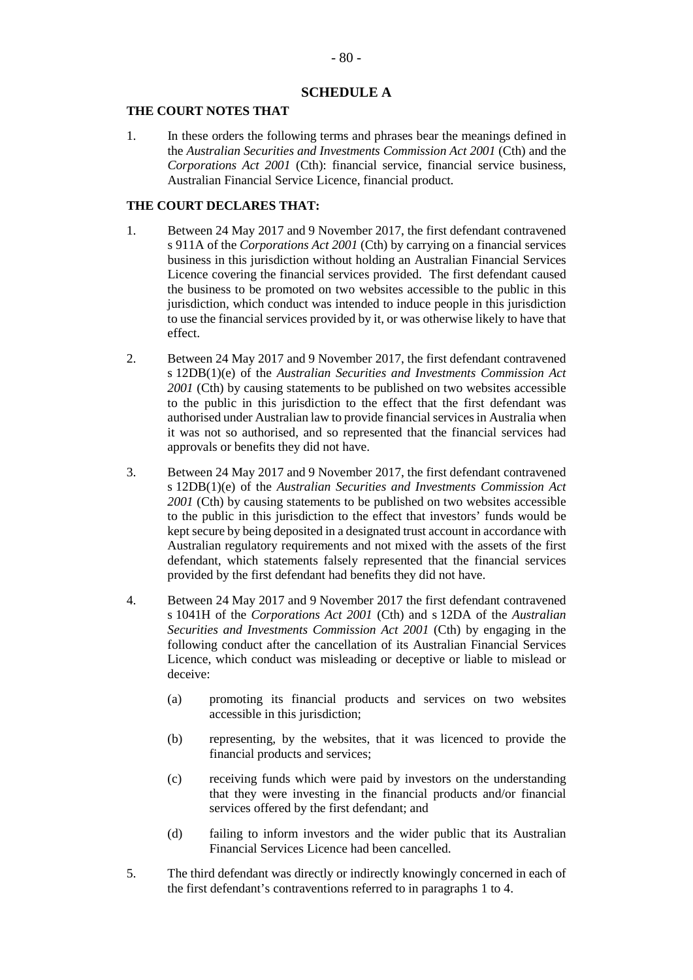# **SCHEDULE A**

#### **THE COURT NOTES THAT**

1. In these orders the following terms and phrases bear the meanings defined in the *Australian Securities and Investments Commission Act 2001* (Cth) and the *Corporations Act 2001* (Cth): financial service, financial service business, Australian Financial Service Licence, financial product.

# **THE COURT DECLARES THAT:**

- 1. Between 24 May 2017 and 9 November 2017, the first defendant contravened s 911A of the *Corporations Act 2001* (Cth) by carrying on a financial services business in this jurisdiction without holding an Australian Financial Services Licence covering the financial services provided. The first defendant caused the business to be promoted on two websites accessible to the public in this jurisdiction, which conduct was intended to induce people in this jurisdiction to use the financial services provided by it, or was otherwise likely to have that effect.
- 2. Between 24 May 2017 and 9 November 2017, the first defendant contravened s 12DB(1)(e) of the *Australian Securities and Investments Commission Act 2001* (Cth) by causing statements to be published on two websites accessible to the public in this jurisdiction to the effect that the first defendant was authorised under Australian law to provide financial services in Australia when it was not so authorised, and so represented that the financial services had approvals or benefits they did not have.
- 3. Between 24 May 2017 and 9 November 2017, the first defendant contravened s 12DB(1)(e) of the *Australian Securities and Investments Commission Act 2001* (Cth) by causing statements to be published on two websites accessible to the public in this jurisdiction to the effect that investors' funds would be kept secure by being deposited in a designated trust account in accordance with Australian regulatory requirements and not mixed with the assets of the first defendant, which statements falsely represented that the financial services provided by the first defendant had benefits they did not have.
- 4. Between 24 May 2017 and 9 November 2017 the first defendant contravened s 1041H of the *Corporations Act 2001* (Cth) and s 12DA of the *Australian Securities and Investments Commission Act 2001* (Cth) by engaging in the following conduct after the cancellation of its Australian Financial Services Licence, which conduct was misleading or deceptive or liable to mislead or deceive:
	- (a) promoting its financial products and services on two websites accessible in this jurisdiction;
	- (b) representing, by the websites, that it was licenced to provide the financial products and services;
	- (c) receiving funds which were paid by investors on the understanding that they were investing in the financial products and/or financial services offered by the first defendant; and
	- (d) failing to inform investors and the wider public that its Australian Financial Services Licence had been cancelled.
- 5. The third defendant was directly or indirectly knowingly concerned in each of the first defendant's contraventions referred to in paragraphs 1 to 4.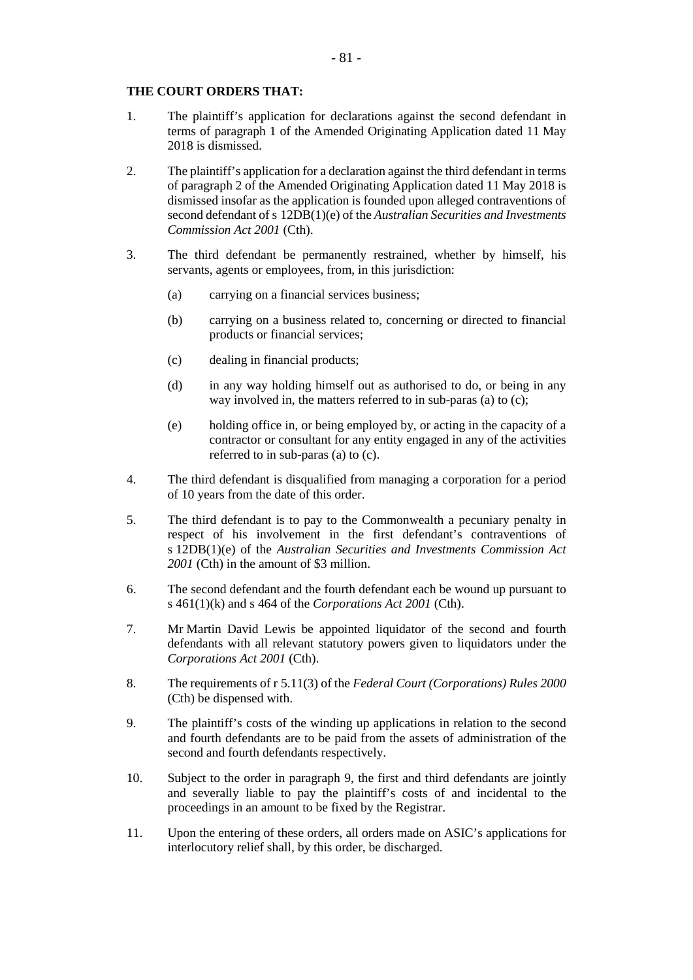## **THE COURT ORDERS THAT:**

- 1. The plaintiff's application for declarations against the second defendant in terms of paragraph 1 of the Amended Originating Application dated 11 May 2018 is dismissed.
- 2. The plaintiff's application for a declaration against the third defendant in terms of paragraph 2 of the Amended Originating Application dated 11 May 2018 is dismissed insofar as the application is founded upon alleged contraventions of second defendant of s 12DB(1)(e) of the *Australian Securities and Investments Commission Act 2001* (Cth).
- 3. The third defendant be permanently restrained, whether by himself, his servants, agents or employees, from, in this jurisdiction:
	- (a) carrying on a financial services business;
	- (b) carrying on a business related to, concerning or directed to financial products or financial services;
	- (c) dealing in financial products;
	- (d) in any way holding himself out as authorised to do, or being in any way involved in, the matters referred to in sub-paras (a) to (c);
	- (e) holding office in, or being employed by, or acting in the capacity of a contractor or consultant for any entity engaged in any of the activities referred to in sub-paras (a) to (c).
- 4. The third defendant is disqualified from managing a corporation for a period of 10 years from the date of this order.
- 5. The third defendant is to pay to the Commonwealth a pecuniary penalty in respect of his involvement in the first defendant's contraventions of s 12DB(1)(e) of the *Australian Securities and Investments Commission Act 2001* (Cth) in the amount of \$3 million.
- 6. The second defendant and the fourth defendant each be wound up pursuant to s 461(1)(k) and s 464 of the *Corporations Act 2001* (Cth).
- 7. Mr Martin David Lewis be appointed liquidator of the second and fourth defendants with all relevant statutory powers given to liquidators under the *Corporations Act 2001* (Cth).
- 8. The requirements of r 5.11(3) of the *Federal Court (Corporations) Rules 2000* (Cth) be dispensed with.
- 9. The plaintiff's costs of the winding up applications in relation to the second and fourth defendants are to be paid from the assets of administration of the second and fourth defendants respectively.
- 10. Subject to the order in paragraph 9, the first and third defendants are jointly and severally liable to pay the plaintiff's costs of and incidental to the proceedings in an amount to be fixed by the Registrar.
- 11. Upon the entering of these orders, all orders made on ASIC's applications for interlocutory relief shall, by this order, be discharged.